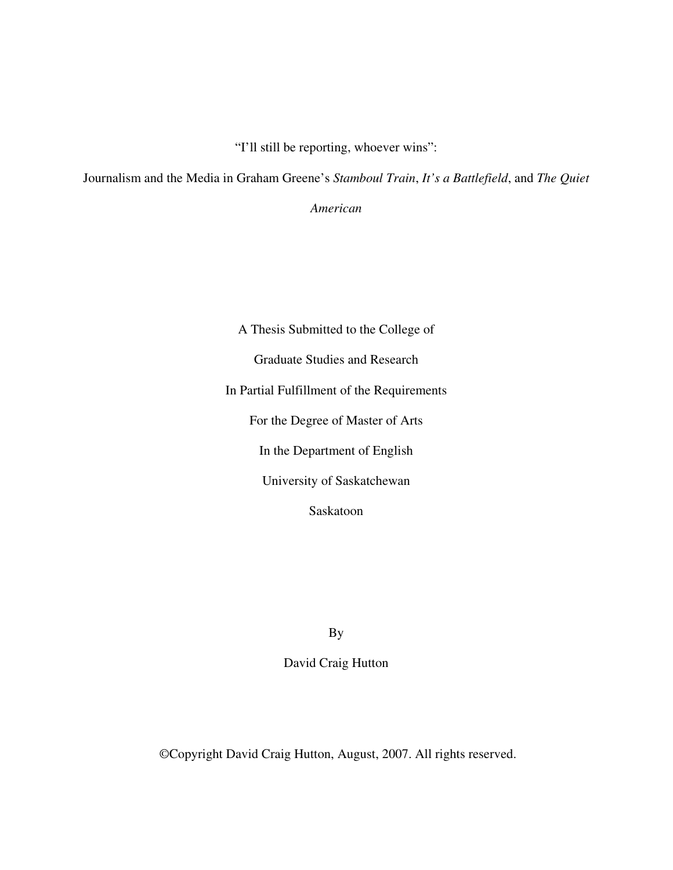"I'll still be reporting, whoever wins":

Journalism and the Media in Graham Greene's *Stamboul Train*, *It's a Battlefield*, and *The Quiet*

*American*

A Thesis Submitted to the College of Graduate Studies and Research In Partial Fulfillment of the Requirements For the Degree of Master of Arts In the Department of English University of Saskatchewan Saskatoon

By

David Craig Hutton

©Copyright David Craig Hutton, August, 2007. All rights reserved.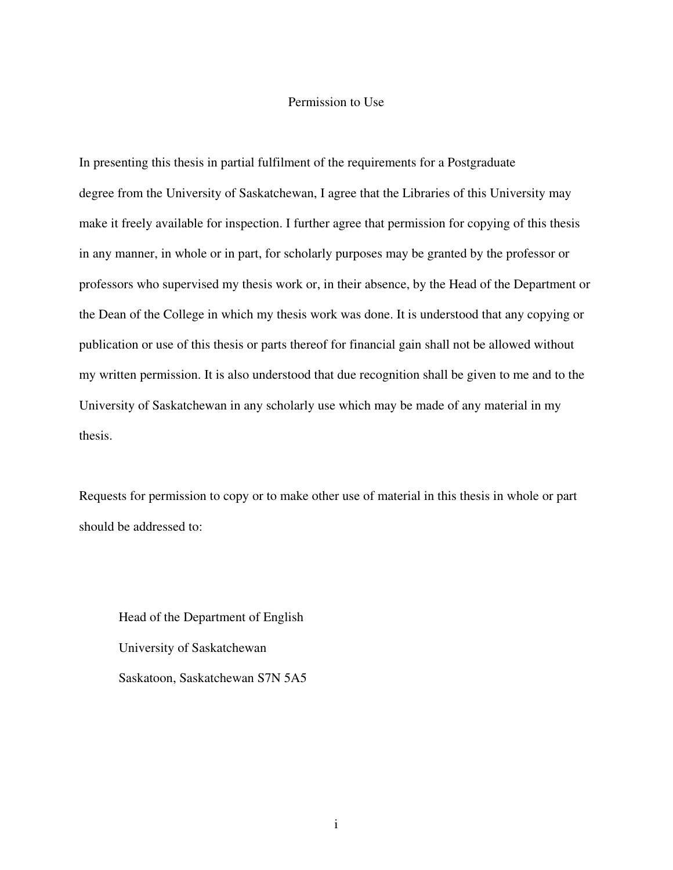### Permission to Use

In presenting this thesis in partial fulfilment of the requirements for a Postgraduate degree from the University of Saskatchewan, I agree that the Libraries of this University may make it freely available for inspection. I further agree that permission for copying of this thesis in any manner, in whole or in part, for scholarly purposes may be granted by the professor or professors who supervised my thesis work or, in their absence, by the Head of the Department or the Dean of the College in which my thesis work was done. It is understood that any copying or publication or use of this thesis or parts thereof for financial gain shall not be allowed without my written permission. It is also understood that due recognition shall be given to me and to the University of Saskatchewan in any scholarly use which may be made of any material in my thesis.

Requests for permission to copy or to make other use of material in this thesis in whole or part should be addressed to:

Head of the Department of English University of Saskatchewan Saskatoon, Saskatchewan S7N 5A5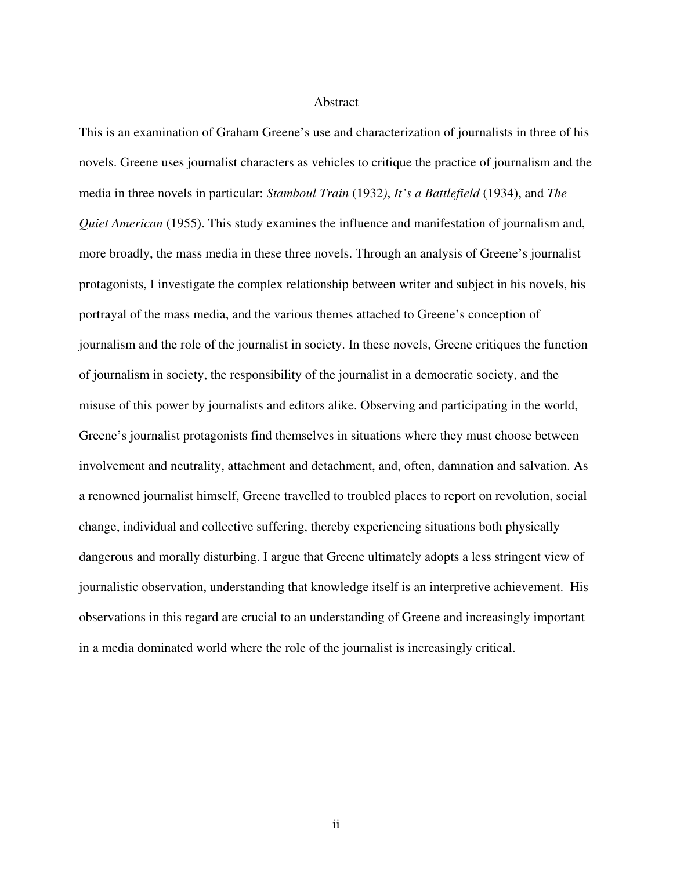### Abstract

This is an examination of Graham Greene's use and characterization of journalists in three of his novels. Greene uses journalist characters as vehicles to critique the practice of journalism and the media in three novels in particular: *Stamboul Train* (1932*)*, *It's a Battlefield* (1934), and *The Quiet American* (1955). This study examines the influence and manifestation of journalism and, more broadly, the mass media in these three novels. Through an analysis of Greene's journalist protagonists, I investigate the complex relationship between writer and subject in his novels, his portrayal of the mass media, and the various themes attached to Greene's conception of journalism and the role of the journalist in society. In these novels, Greene critiques the function of journalism in society, the responsibility of the journalist in a democratic society, and the misuse of this power by journalists and editors alike. Observing and participating in the world, Greene's journalist protagonists find themselves in situations where they must choose between involvement and neutrality, attachment and detachment, and, often, damnation and salvation. As a renowned journalist himself, Greene travelled to troubled places to report on revolution, social change, individual and collective suffering, thereby experiencing situations both physically dangerous and morally disturbing. I argue that Greene ultimately adopts a less stringent view of journalistic observation, understanding that knowledge itself is an interpretive achievement. His observations in this regard are crucial to an understanding of Greene and increasingly important in a media dominated world where the role of the journalist is increasingly critical.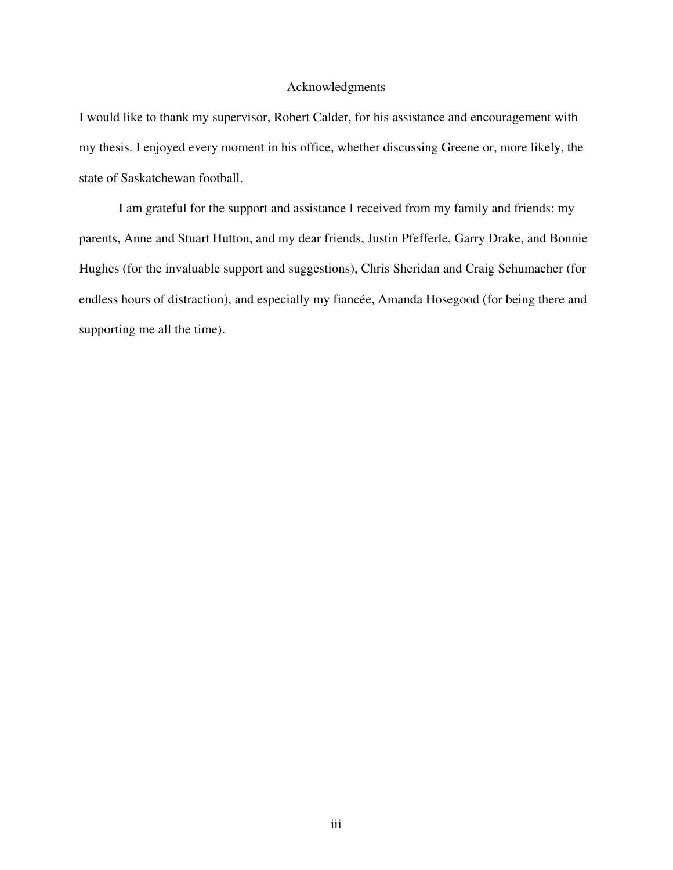### Acknowledgments

I would like to thank my supervisor, Robert Calder, for his assistance and encouragement with my thesis. I enjoyed every moment in his office, whether discussing Greene or, more likely, the state of Saskatchewan football.

I am grateful for the support and assistance I received from my family and friends: my parents, Anne and Stuart Hutton, and my dear friends, Justin Pfefferle, Garry Drake, and Bonnie Hughes (for the invaluable support and suggestions), Chris Sheridan and Craig Schumacher (for endless hours of distraction), and especially my fiancée, Amanda Hosegood (for being there and supporting me all the time).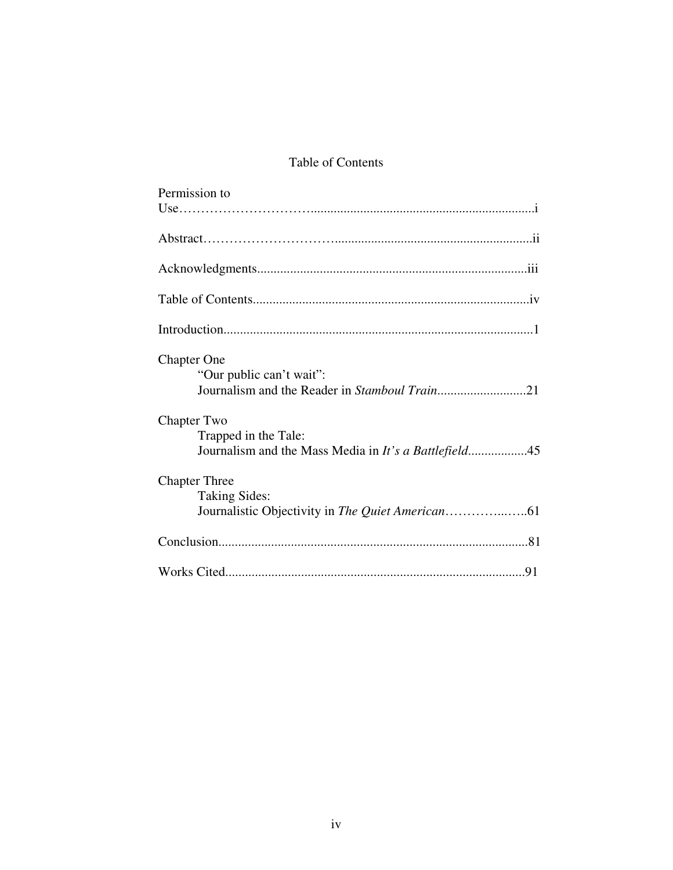# Table of Contents

| Permission to                                         |
|-------------------------------------------------------|
|                                                       |
|                                                       |
|                                                       |
|                                                       |
|                                                       |
|                                                       |
|                                                       |
|                                                       |
|                                                       |
| <b>Chapter One</b>                                    |
| "Our public can't wait":                              |
|                                                       |
|                                                       |
| <b>Chapter Two</b>                                    |
| Trapped in the Tale:                                  |
| Journalism and the Mass Media in It's a Battlefield45 |
|                                                       |
| <b>Chapter Three</b>                                  |
| <b>Taking Sides:</b>                                  |
|                                                       |
|                                                       |
|                                                       |
|                                                       |
|                                                       |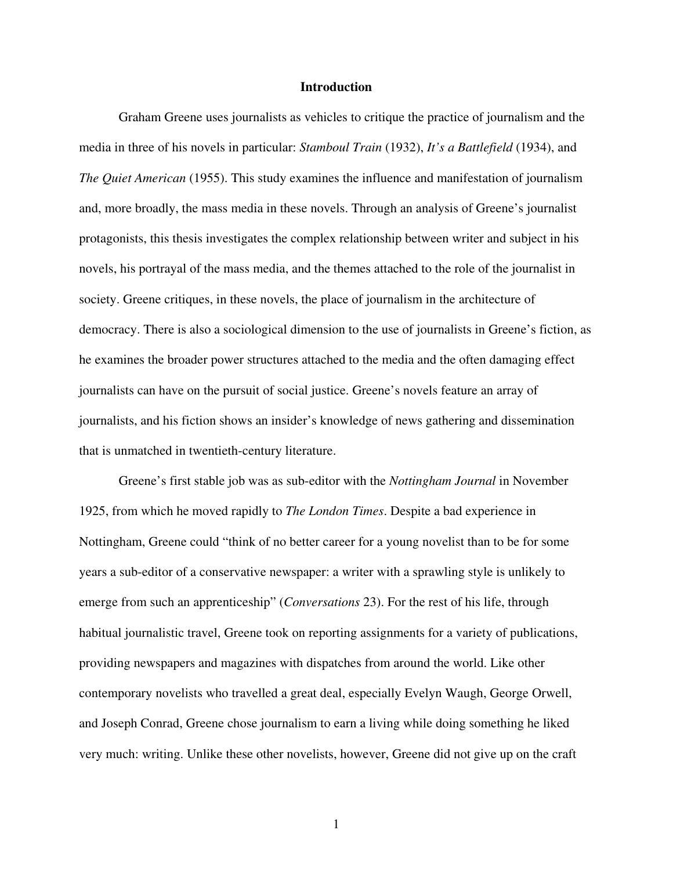#### **Introduction**

Graham Greene uses journalists as vehicles to critique the practice of journalism and the media in three of his novels in particular: *Stamboul Train* (1932), *It's a Battlefield* (1934), and *The Quiet American* (1955). This study examines the influence and manifestation of journalism and, more broadly, the mass media in these novels. Through an analysis of Greene's journalist protagonists, this thesis investigates the complex relationship between writer and subject in his novels, his portrayal of the mass media, and the themes attached to the role of the journalist in society. Greene critiques, in these novels, the place of journalism in the architecture of democracy. There is also a sociological dimension to the use of journalists in Greene's fiction, as he examines the broader power structures attached to the media and the often damaging effect journalists can have on the pursuit of social justice. Greene's novels feature an array of journalists, and his fiction shows an insider's knowledge of news gathering and dissemination that is unmatched in twentieth-century literature.

Greene's first stable job was as sub-editor with the *Nottingham Journal* in November 1925, from which he moved rapidly to *The London Times*. Despite a bad experience in Nottingham, Greene could "think of no better career for a young novelist than to be for some years a sub-editor of a conservative newspaper: a writer with a sprawling style is unlikely to emerge from such an apprenticeship" (*Conversations* 23). For the rest of his life, through habitual journalistic travel, Greene took on reporting assignments for a variety of publications, providing newspapers and magazines with dispatches from around the world. Like other contemporary novelists who travelled a great deal, especially Evelyn Waugh, George Orwell, and Joseph Conrad, Greene chose journalism to earn a living while doing something he liked very much: writing. Unlike these other novelists, however, Greene did not give up on the craft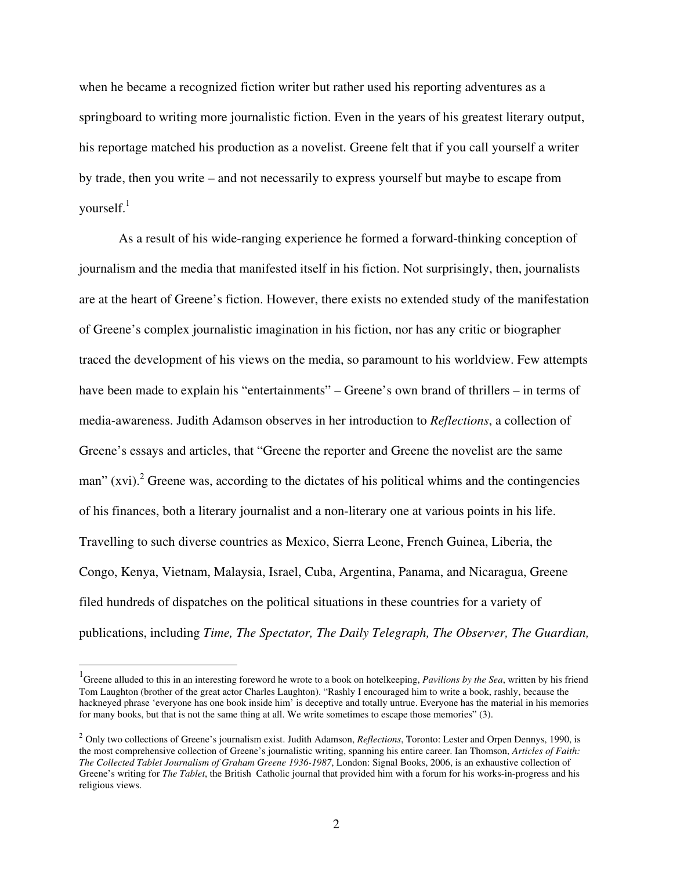when he became a recognized fiction writer but rather used his reporting adventures as a springboard to writing more journalistic fiction. Even in the years of his greatest literary output, his reportage matched his production as a novelist. Greene felt that if you call yourself a writer by trade, then you write – and not necessarily to express yourself but maybe to escape from yourself.<sup>1</sup>

As a result of his wide-ranging experience he formed a forward-thinking conception of journalism and the media that manifested itself in his fiction. Not surprisingly, then, journalists are at the heart of Greene's fiction. However, there exists no extended study of the manifestation of Greene's complex journalistic imagination in his fiction, nor has any critic or biographer traced the development of his views on the media, so paramount to his worldview. Few attempts have been made to explain his "entertainments" – Greene's own brand of thrillers – in terms of media-awareness. Judith Adamson observes in her introduction to *Reflections*, a collection of Greene's essays and articles, that "Greene the reporter and Greene the novelist are the same man" (xvi). <sup>2</sup> Greene was, according to the dictates of his political whims and the contingencies of his finances, both a literary journalist and a non-literary one at various points in his life. Travelling to such diverse countries as Mexico, Sierra Leone, French Guinea, Liberia, the Congo, Kenya, Vietnam, Malaysia, Israel, Cuba, Argentina, Panama, and Nicaragua, Greene filed hundreds of dispatches on the political situations in these countries for a variety of publications, including *Time, The Spectator, The Daily Telegraph, The Observer, The Guardian,*

<sup>1</sup> Greene alluded to this in an interesting foreword he wrote to a book on hotelkeeping, *Pavilions by the Sea*, written by his friend Tom Laughton (brother of the great actor Charles Laughton). "Rashly I encouraged him to write a book, rashly, because the hackneyed phrase 'everyone has one book inside him' is deceptive and totally untrue. Everyone has the material in his memories for many books, but that is not the same thing at all. We write sometimes to escape those memories" (3).

<sup>2</sup> Only two collections of Greene's journalism exist. Judith Adamson, *Reflections*, Toronto: Lester and Orpen Dennys, 1990, is the most comprehensive collection of Greene's journalistic writing, spanning his entire career. Ian Thomson, *Articles of Faith: The Collected Tablet Journalism of Graham Greene 1936-1987*, London: Signal Books, 2006, is an exhaustive collection of Greene's writing for *The Tablet*, the British Catholic journal that provided him with a forum for his works-in-progress and his religious views.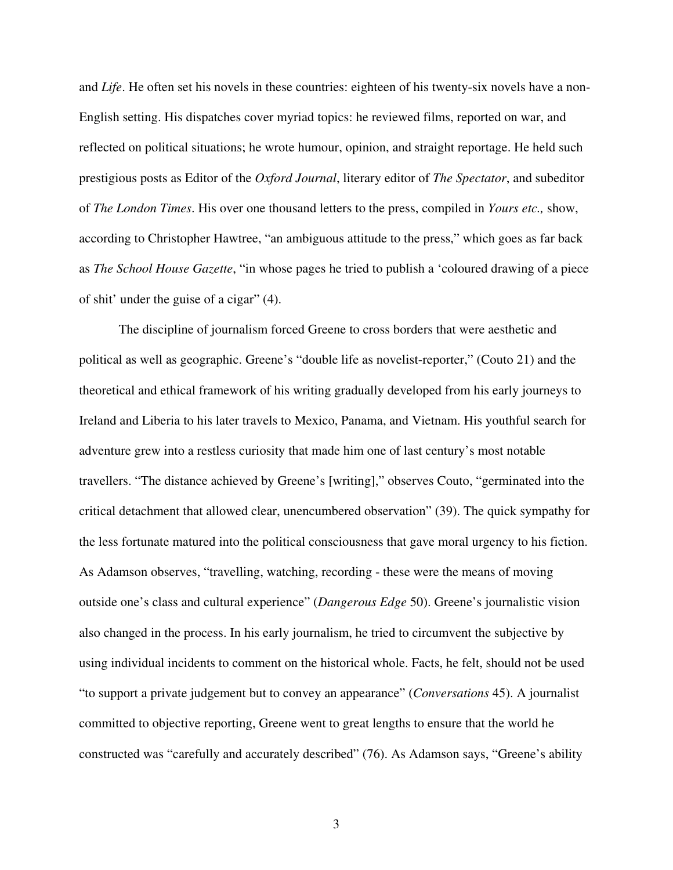and *Life*. He often set his novels in these countries: eighteen of his twenty-six novels have a non-English setting. His dispatches cover myriad topics: he reviewed films, reported on war, and reflected on political situations; he wrote humour, opinion, and straight reportage. He held such prestigious posts as Editor of the *Oxford Journal*, literary editor of *The Spectator*, and subeditor of *The London Times*. His over one thousand letters to the press, compiled in *Yours etc.,* show, according to Christopher Hawtree, "an ambiguous attitude to the press," which goes as far back as *The School House Gazette*, "in whose pages he tried to publish a 'coloured drawing of a piece of shit' under the guise of a cigar" (4).

The discipline of journalism forced Greene to cross borders that were aesthetic and political as well as geographic. Greene's "double life as novelist-reporter," (Couto 21) and the theoretical and ethical framework of his writing gradually developed from his early journeys to Ireland and Liberia to his later travels to Mexico, Panama, and Vietnam. His youthful search for adventure grew into a restless curiosity that made him one of last century's most notable travellers. "The distance achieved by Greene's [writing]," observes Couto, "germinated into the critical detachment that allowed clear, unencumbered observation" (39). The quick sympathy for the less fortunate matured into the political consciousness that gave moral urgency to his fiction. As Adamson observes, "travelling, watching, recording - these were the means of moving outside one's class and cultural experience" (*Dangerous Edge* 50). Greene's journalistic vision also changed in the process. In his early journalism, he tried to circumvent the subjective by using individual incidents to comment on the historical whole. Facts, he felt, should not be used "to support a private judgement but to convey an appearance" (*Conversations* 45). A journalist committed to objective reporting, Greene went to great lengths to ensure that the world he constructed was "carefully and accurately described" (76). As Adamson says, "Greene's ability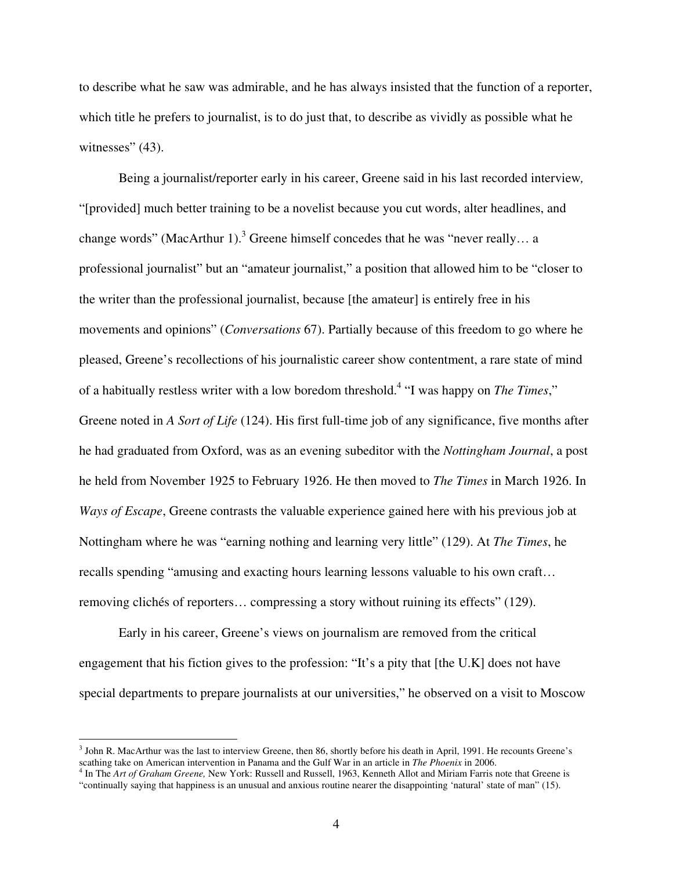to describe what he saw was admirable, and he has always insisted that the function of a reporter, which title he prefers to journalist, is to do just that, to describe as vividly as possible what he witnesses" (43).

Being a journalist/reporter early in his career, Greene said in his last recorded interview*,* "[provided] much better training to be a novelist because you cut words, alter headlines, and change words" (MacArthur 1).<sup>3</sup> Greene himself concedes that he was "never really... a professional journalist" but an "amateur journalist," a position that allowed him to be "closer to the writer than the professional journalist, because [the amateur] is entirely free in his movements and opinions" (*Conversations* 67). Partially because of this freedom to go where he pleased, Greene's recollections of his journalistic career show contentment, a rare state of mind of a habitually restless writer with a low boredom threshold. 4 "I was happy on *The Times*," Greene noted in *A Sort of Life* (124). His first full-time job of any significance, five months after he had graduated from Oxford, was as an evening subeditor with the *Nottingham Journal*, a post he held from November 1925 to February 1926. He then moved to *The Times* in March 1926. In *Ways of Escape*, Greene contrasts the valuable experience gained here with his previous job at Nottingham where he was "earning nothing and learning very little" (129). At *The Times*, he recalls spending "amusing and exacting hours learning lessons valuable to his own craft… removing clichés of reporters… compressing a story without ruining its effects" (129).

Early in his career, Greene's views on journalism are removed from the critical engagement that his fiction gives to the profession: "It's a pity that [the U.K] does not have special departments to prepare journalists at our universities," he observed on a visit to Moscow

<sup>&</sup>lt;sup>3</sup> John R. MacArthur was the last to interview Greene, then 86, shortly before his death in April, 1991. He recounts Greene's scathing take on American intervention in Panama and the Gulf War in an article in *The Phoenix* in 2006.<br><sup>4</sup> In The Art of Graham Greene, New York: Russell and Russell, 1963, Kenneth Allot and Miriam Farris note that Gree

<sup>&</sup>quot;continually saying that happiness is an unusual and anxious routine nearer the disappointing 'natural' state of man" (15).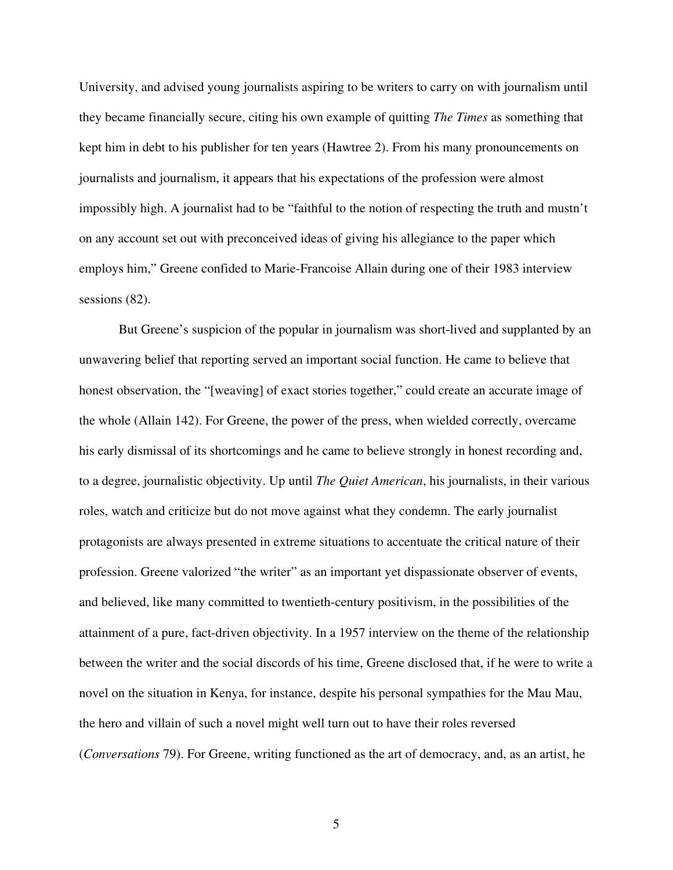University, and advised young journalists aspiring to be writers to carry on with journalism until they became financially secure, citing his own example of quitting *The Times* as something that kept him in debt to his publisher for ten years (Hawtree 2). From his many pronouncements on journalists and journalism, it appears that his expectations of the profession were almost impossibly high. A journalist had to be "faithful to the notion of respecting the truth and mustn't on any account set out with preconceived ideas of giving his allegiance to the paper which employs him," Greene confided to Marie-Francoise Allain during one of their 1983 interview sessions  $(82)$ .

But Greene's suspicion of the popular in journalism was short-lived and supplanted by an unwavering belief that reporting served an important social function. He came to believe that honest observation, the "[weaving] of exact stories together," could create an accurate image of the whole (Allain 142). For Greene, the power of the press, when wielded correctly, overcame his early dismissal of its shortcomings and he came to believe strongly in honest recording and, to a degree, journalistic objectivity. Up until *The Quiet American*, his journalists, in their various roles, watch and criticize but do not move against what they condemn. The early journalist protagonists are always presented in extreme situations to accentuate the critical nature of their profession. Greene valorized "the writer" as an important yet dispassionate observer of events, and believed, like many committed to twentieth-century positivism, in the possibilities of the attainment of a pure, fact-driven objectivity. In a 1957 interview on the theme of the relationship between the writer and the social discords of his time, Greene disclosed that, if he were to write a novel on the situation in Kenya, for instance, despite his personal sympathies for the Mau Mau, the hero and villain of such a novel might well turn out to have their roles reversed (*Conversations* 79). For Greene, writing functioned as the art of democracy, and, as an artist, he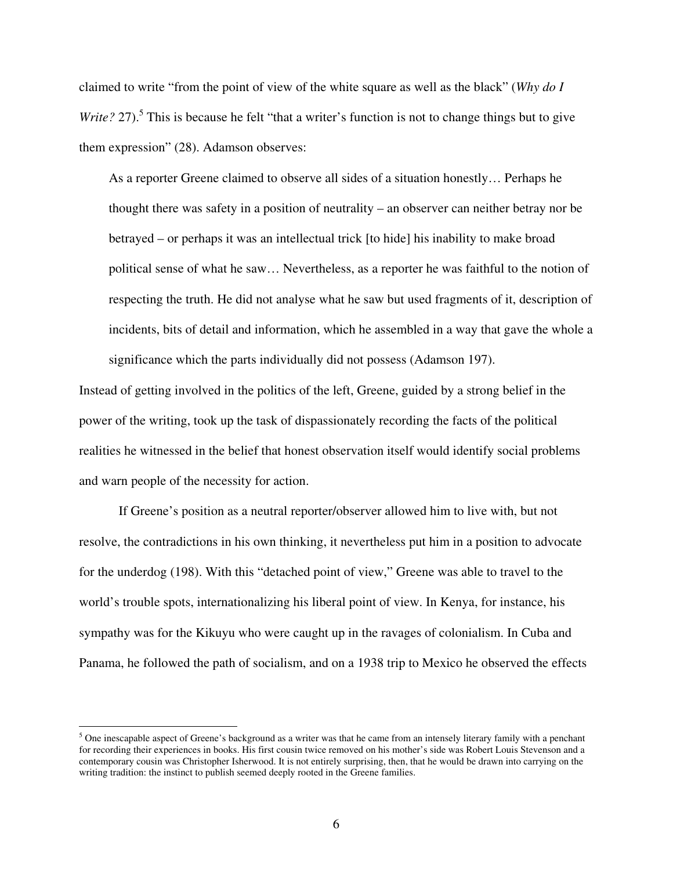claimed to write "from the point of view of the white square as well as the black" (*Why do I* Write? 27).<sup>5</sup> This is because he felt "that a writer's function is not to change things but to give them expression" (28). Adamson observes:

As a reporter Greene claimed to observe all sides of a situation honestly… Perhaps he thought there was safety in a position of neutrality – an observer can neither betray nor be betrayed – or perhaps it was an intellectual trick [to hide] his inability to make broad political sense of what he saw… Nevertheless, as a reporter he was faithful to the notion of respecting the truth. He did not analyse what he saw but used fragments of it, description of incidents, bits of detail and information, which he assembled in a way that gave the whole a significance which the parts individually did not possess (Adamson 197).

Instead of getting involved in the politics of the left, Greene, guided by a strong belief in the power of the writing, took up the task of dispassionately recording the facts of the political realities he witnessed in the belief that honest observation itself would identify social problems and warn people of the necessity for action.

If Greene's position as a neutral reporter/observer allowed him to live with, but not resolve, the contradictions in his own thinking, it nevertheless put him in a position to advocate for the underdog (198). With this "detached point of view," Greene was able to travel to the world's trouble spots, internationalizing his liberal point of view. In Kenya, for instance, his sympathy was for the Kikuyu who were caught up in the ravages of colonialism. In Cuba and Panama, he followed the path of socialism, and on a 1938 trip to Mexico he observed the effects

 $<sup>5</sup>$  One inescapable aspect of Greene's background as a writer was that he came from an intensely literary family with a penchant</sup> for recording their experiences in books. His first cousin twice removed on his mother's side was Robert Louis Stevenson and a contemporary cousin was Christopher Isherwood. It is not entirely surprising, then, that he would be drawn into carrying on the writing tradition: the instinct to publish seemed deeply rooted in the Greene families.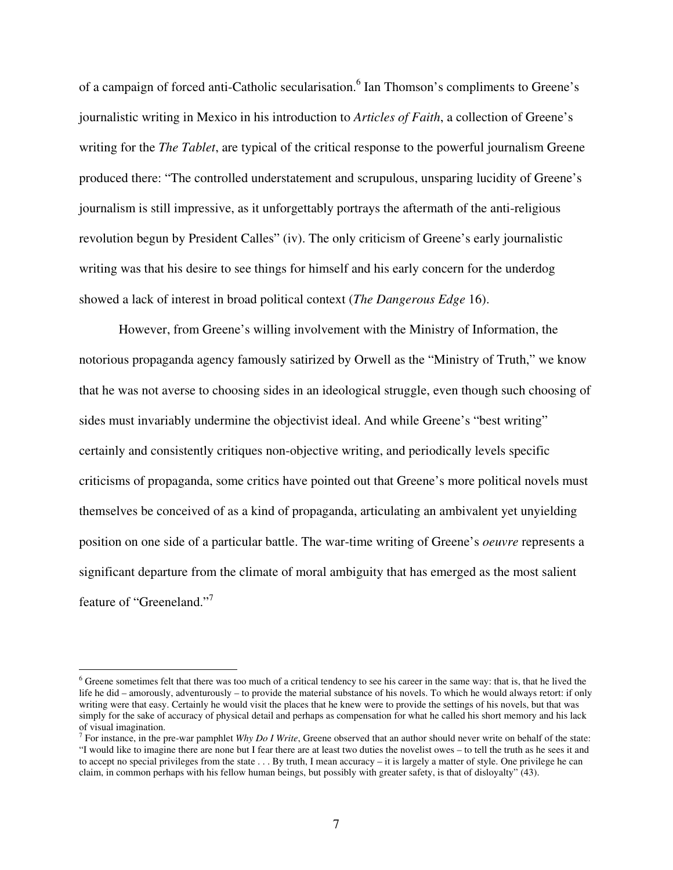of a campaign of forced anti-Catholic secularisation.<sup>6</sup> Ian Thomson's compliments to Greene's journalistic writing in Mexico in his introduction to *Articles of Faith*, a collection of Greene's writing for the *The Tablet*, are typical of the critical response to the powerful journalism Greene produced there: "The controlled understatement and scrupulous, unsparing lucidity of Greene's journalism is still impressive, as it unforgettably portrays the aftermath of the anti-religious revolution begun by President Calles" (iv). The only criticism of Greene's early journalistic writing was that his desire to see things for himself and his early concern for the underdog showed a lack of interest in broad political context (*The Dangerous Edge* 16).

However, from Greene's willing involvement with the Ministry of Information, the notorious propaganda agency famously satirized by Orwell as the "Ministry of Truth," we know that he was not averse to choosing sides in an ideological struggle, even though such choosing of sides must invariably undermine the objectivist ideal. And while Greene's "best writing" certainly and consistently critiques non-objective writing, and periodically levels specific criticisms of propaganda, some critics have pointed out that Greene's more political novels must themselves be conceived of as a kind of propaganda, articulating an ambivalent yet unyielding position on one side of a particular battle. The war-time writing of Greene's *oeuvre* represents a significant departure from the climate of moral ambiguity that has emerged as the most salient feature of "Greeneland."7

 $6$  Greene sometimes felt that there was too much of a critical tendency to see his career in the same way: that is, that he lived the life he did – amorously, adventurously – to provide the material substance of his novels. To which he would always retort: if only writing were that easy. Certainly he would visit the places that he knew were to provide the settings of his novels, but that was simply for the sake of accuracy of physical detail and perhaps as compensation for what he called his short memory and his lack of visual imagination.

<sup>7</sup> For instance, in the pre-war pamphlet *Why Do I Write*, Greene observed that an author should never write on behalf of the state: "I would like to imagine there are none but I fear there are at least two duties the novelist owes – to tell the truth as he sees it and to accept no special privileges from the state . . . By truth, I mean accuracy – it is largely a matter of style. One privilege he can claim, in common perhaps with his fellow human beings, but possibly with greater safety, is that of disloyalty" (43).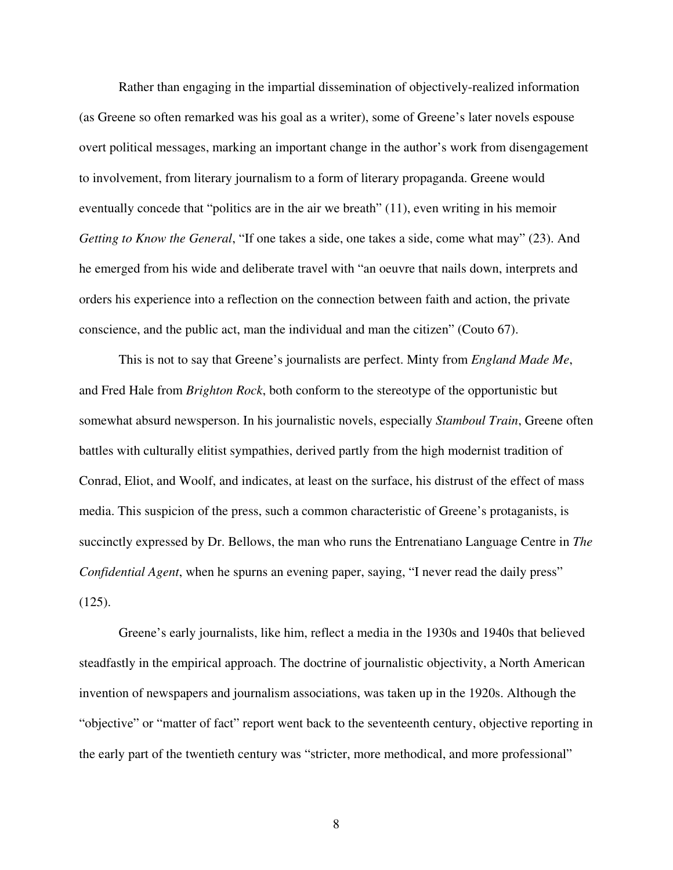Rather than engaging in the impartial dissemination of objectively-realized information (as Greene so often remarked was his goal as a writer), some of Greene's later novels espouse overt political messages, marking an important change in the author's work from disengagement to involvement, from literary journalism to a form of literary propaganda. Greene would eventually concede that "politics are in the air we breath" (11), even writing in his memoir *Getting to Know the General*, "If one takes a side, one takes a side, come what may" (23). And he emerged from his wide and deliberate travel with "an oeuvre that nails down, interprets and orders his experience into a reflection on the connection between faith and action, the private conscience, and the public act, man the individual and man the citizen" (Couto 67).

This is not to say that Greene's journalists are perfect. Minty from *England Made Me*, and Fred Hale from *Brighton Rock*, both conform to the stereotype of the opportunistic but somewhat absurd newsperson. In his journalistic novels, especially *Stamboul Train*, Greene often battles with culturally elitist sympathies, derived partly from the high modernist tradition of Conrad, Eliot, and Woolf, and indicates, at least on the surface, his distrust of the effect of mass media. This suspicion of the press, such a common characteristic of Greene's protaganists, is succinctly expressed by Dr. Bellows, the man who runs the Entrenatiano Language Centre in *The Confidential Agent*, when he spurns an evening paper, saying, "I never read the daily press"  $(125)$ .

Greene's early journalists, like him, reflect a media in the 1930s and 1940s that believed steadfastly in the empirical approach. The doctrine of journalistic objectivity, a North American invention of newspapers and journalism associations, was taken up in the 1920s. Although the "objective" or "matter of fact" report went back to the seventeenth century, objective reporting in the early part of the twentieth century was "stricter, more methodical, and more professional"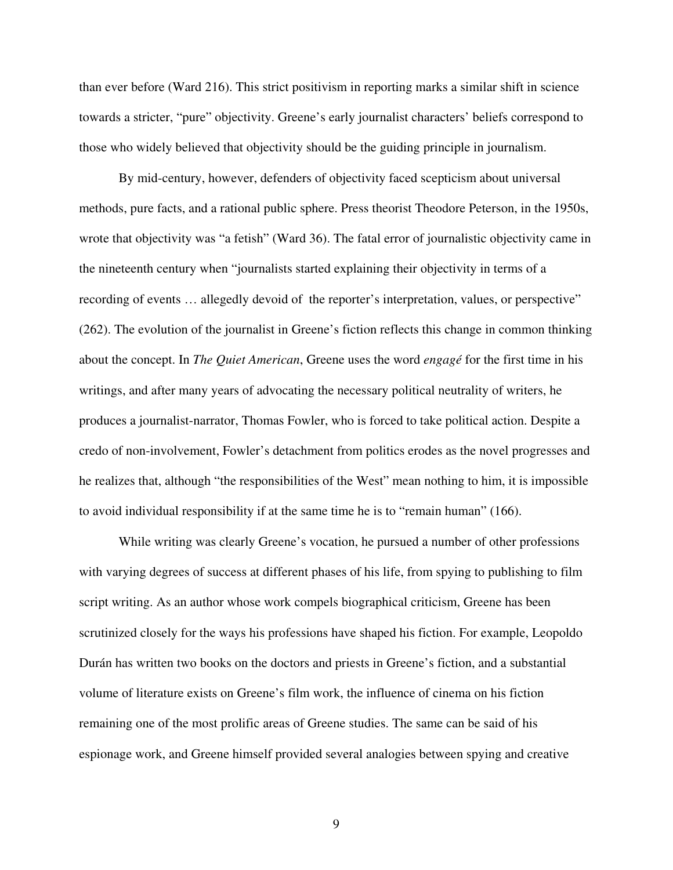than ever before (Ward 216). This strict positivism in reporting marks a similar shift in science towards a stricter, "pure" objectivity. Greene's early journalist characters' beliefs correspond to those who widely believed that objectivity should be the guiding principle in journalism.

By mid-century, however, defenders of objectivity faced scepticism about universal methods, pure facts, and a rational public sphere. Press theorist Theodore Peterson, in the 1950s, wrote that objectivity was "a fetish" (Ward 36). The fatal error of journalistic objectivity came in the nineteenth century when "journalists started explaining their objectivity in terms of a recording of events … allegedly devoid of the reporter's interpretation, values, or perspective" (262). The evolution of the journalist in Greene's fiction reflects this change in common thinking about the concept. In *The Quiet American*, Greene uses the word *engagé* for the first time in his writings, and after many years of advocating the necessary political neutrality of writers, he produces a journalist-narrator, Thomas Fowler, who is forced to take political action. Despite a credo of non-involvement, Fowler's detachment from politics erodes as the novel progresses and he realizes that, although "the responsibilities of the West" mean nothing to him, it is impossible to avoid individual responsibility if at the same time he is to "remain human" (166).

While writing was clearly Greene's vocation, he pursued a number of other professions with varying degrees of success at different phases of his life, from spying to publishing to film script writing. As an author whose work compels biographical criticism, Greene has been scrutinized closely for the ways his professions have shaped his fiction. For example, Leopoldo Durán has written two books on the doctors and priests in Greene's fiction, and a substantial volume of literature exists on Greene's film work, the influence of cinema on his fiction remaining one of the most prolific areas of Greene studies. The same can be said of his espionage work, and Greene himself provided several analogies between spying and creative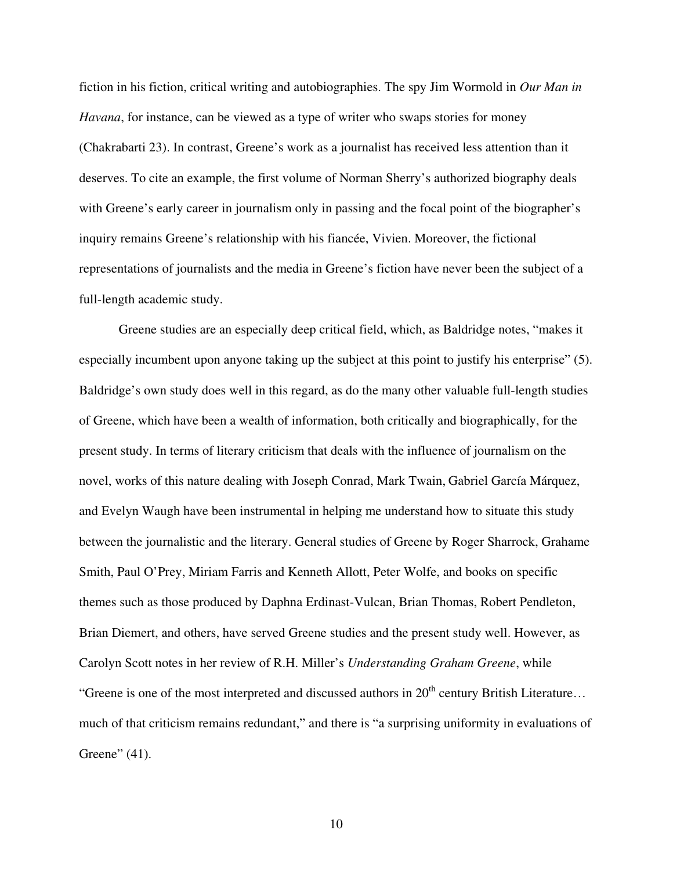fiction in his fiction, critical writing and autobiographies. The spy Jim Wormold in *Our Man in Havana*, for instance, can be viewed as a type of writer who swaps stories for money (Chakrabarti 23). In contrast, Greene's work as a journalist has received less attention than it deserves. To cite an example, the first volume of Norman Sherry's authorized biography deals with Greene's early career in journalism only in passing and the focal point of the biographer's inquiry remains Greene's relationship with his fiancée, Vivien. Moreover, the fictional representations of journalists and the media in Greene's fiction have never been the subject of a full-length academic study.

Greene studies are an especially deep critical field, which, as Baldridge notes, "makes it especially incumbent upon anyone taking up the subject at this point to justify his enterprise" (5). Baldridge's own study does well in this regard, as do the many other valuable full-length studies of Greene, which have been a wealth of information, both critically and biographically, for the present study. In terms of literary criticism that deals with the influence of journalism on the novel, works of this nature dealing with Joseph Conrad, Mark Twain, Gabriel García Márquez, and Evelyn Waugh have been instrumental in helping me understand how to situate this study between the journalistic and the literary. General studies of Greene by Roger Sharrock, Grahame Smith, Paul O'Prey, Miriam Farris and Kenneth Allott, Peter Wolfe, and books on specific themes such as those produced by Daphna Erdinast-Vulcan, Brian Thomas, Robert Pendleton, Brian Diemert, and others, have served Greene studies and the present study well. However, as Carolyn Scott notes in her review of R.H. Miller's *Understanding Graham Greene*, while "Greene is one of the most interpreted and discussed authors in 20<sup>th</sup> century British Literature... much of that criticism remains redundant," and there is "a surprising uniformity in evaluations of Greene" (41).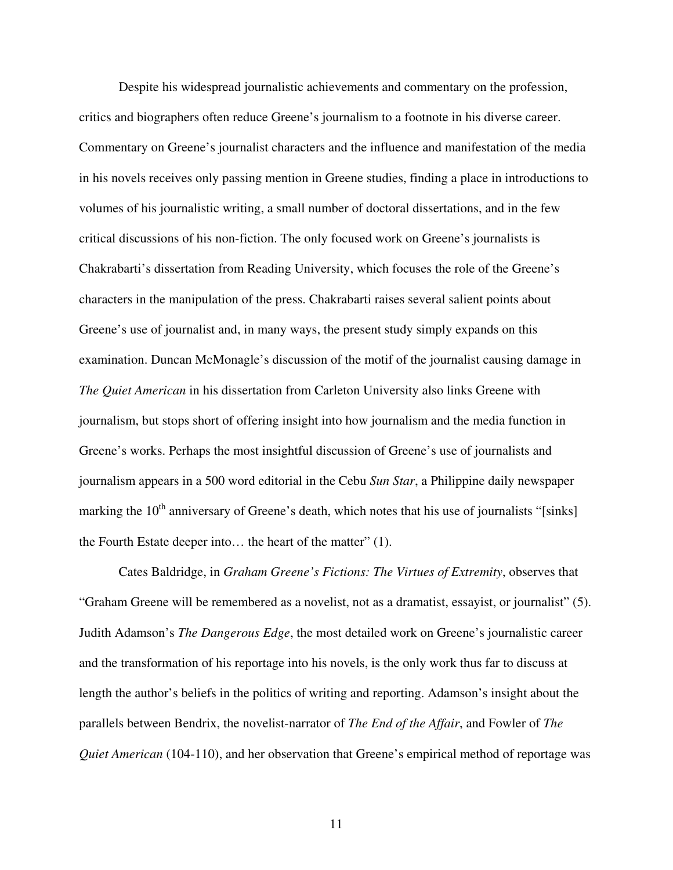Despite his widespread journalistic achievements and commentary on the profession, critics and biographers often reduce Greene's journalism to a footnote in his diverse career. Commentary on Greene's journalist characters and the influence and manifestation of the media in his novels receives only passing mention in Greene studies, finding a place in introductions to volumes of his journalistic writing, a small number of doctoral dissertations, and in the few critical discussions of his non-fiction. The only focused work on Greene's journalists is Chakrabarti's dissertation from Reading University, which focuses the role of the Greene's characters in the manipulation of the press. Chakrabarti raises several salient points about Greene's use of journalist and, in many ways, the present study simply expands on this examination. Duncan McMonagle's discussion of the motif of the journalist causing damage in *The Quiet American* in his dissertation from Carleton University also links Greene with journalism, but stops short of offering insight into how journalism and the media function in Greene's works. Perhaps the most insightful discussion of Greene's use of journalists and journalism appears in a 500 word editorial in the Cebu *Sun Star*, a Philippine daily newspaper marking the 10<sup>th</sup> anniversary of Greene's death, which notes that his use of journalists "[sinks] the Fourth Estate deeper into… the heart of the matter" (1).

Cates Baldridge, in *Graham Greene's Fictions: The Virtues of Extremity*, observes that "Graham Greene will be remembered as a novelist, not as a dramatist, essayist, or journalist" (5). Judith Adamson's *The Dangerous Edge*, the most detailed work on Greene's journalistic career and the transformation of his reportage into his novels, is the only work thus far to discuss at length the author's beliefs in the politics of writing and reporting. Adamson's insight about the parallels between Bendrix, the novelist-narrator of *The End of the Affair*, and Fowler of *The Quiet American* (104-110), and her observation that Greene's empirical method of reportage was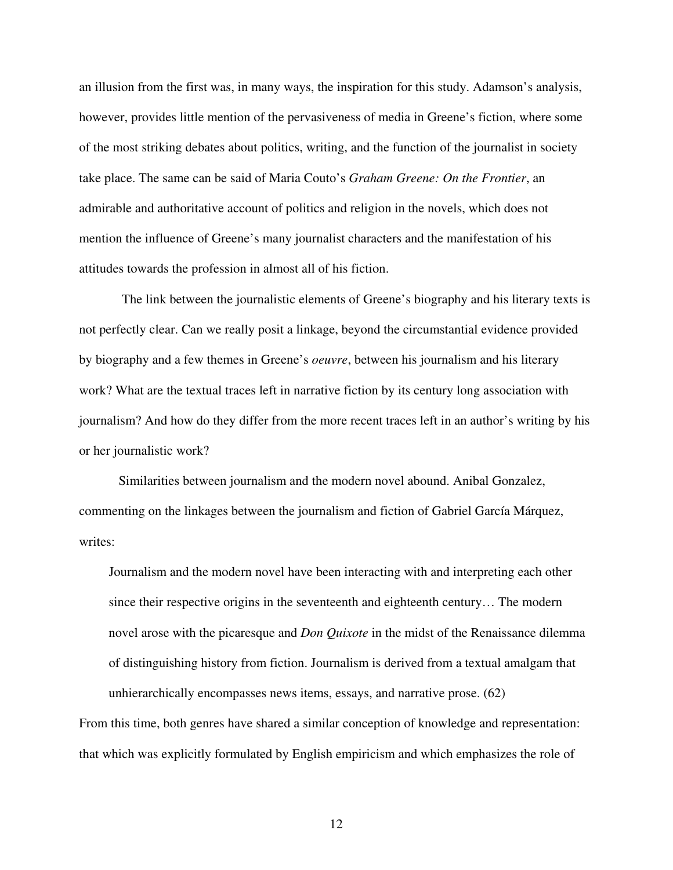an illusion from the first was, in many ways, the inspiration for this study. Adamson's analysis, however, provides little mention of the pervasiveness of media in Greene's fiction, where some of the most striking debates about politics, writing, and the function of the journalist in society take place. The same can be said of Maria Couto's *Graham Greene: On the Frontier*, an admirable and authoritative account of politics and religion in the novels, which does not mention the influence of Greene's many journalist characters and the manifestation of his attitudes towards the profession in almost all of his fiction.

The link between the journalistic elements of Greene's biography and his literary texts is not perfectly clear. Can we really posit a linkage, beyond the circumstantial evidence provided by biography and a few themes in Greene's *oeuvre*, between his journalism and his literary work? What are the textual traces left in narrative fiction by its century long association with journalism? And how do they differ from the more recent traces left in an author's writing by his or her journalistic work?

Similarities between journalism and the modern novel abound. Anibal Gonzalez, commenting on the linkages between the journalism and fiction of Gabriel García Márquez, writes:

Journalism and the modern novel have been interacting with and interpreting each other since their respective origins in the seventeenth and eighteenth century… The modern novel arose with the picaresque and *Don Quixote* in the midst of the Renaissance dilemma of distinguishing history from fiction. Journalism is derived from a textual amalgam that unhierarchically encompasses news items, essays, and narrative prose. (62)

From this time, both genres have shared a similar conception of knowledge and representation: that which was explicitly formulated by English empiricism and which emphasizes the role of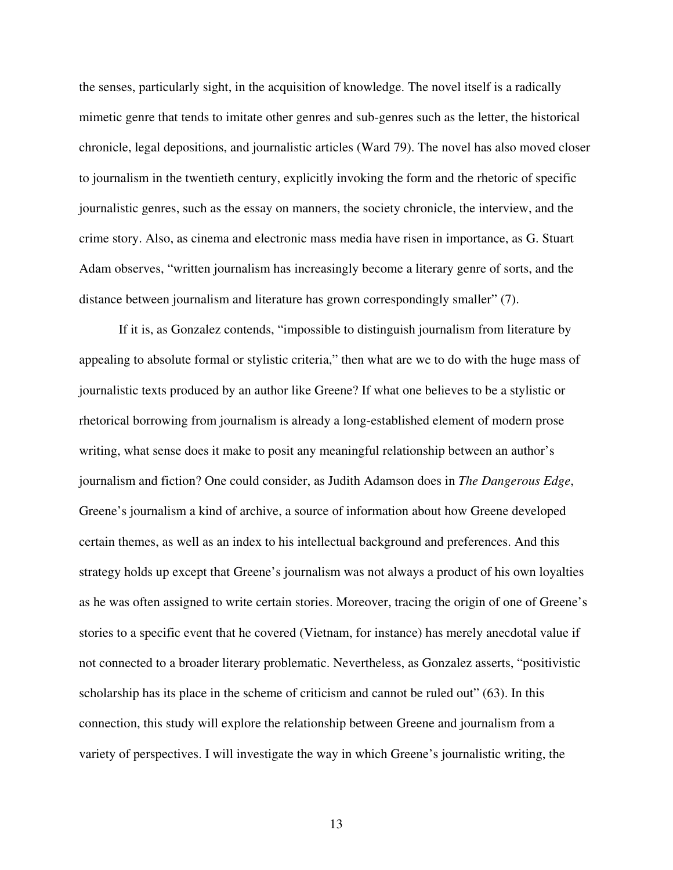the senses, particularly sight, in the acquisition of knowledge. The novel itself is a radically mimetic genre that tends to imitate other genres and sub-genres such as the letter, the historical chronicle, legal depositions, and journalistic articles (Ward 79). The novel has also moved closer to journalism in the twentieth century, explicitly invoking the form and the rhetoric of specific journalistic genres, such as the essay on manners, the society chronicle, the interview, and the crime story. Also, as cinema and electronic mass media have risen in importance, as G. Stuart Adam observes, "written journalism has increasingly become a literary genre of sorts, and the distance between journalism and literature has grown correspondingly smaller" (7).

If it is, as Gonzalez contends, "impossible to distinguish journalism from literature by appealing to absolute formal or stylistic criteria," then what are we to do with the huge mass of journalistic texts produced by an author like Greene? If what one believes to be a stylistic or rhetorical borrowing from journalism is already a long-established element of modern prose writing, what sense does it make to posit any meaningful relationship between an author's journalism and fiction? One could consider, as Judith Adamson does in *The Dangerous Edge*, Greene's journalism a kind of archive, a source of information about how Greene developed certain themes, as well as an index to his intellectual background and preferences. And this strategy holds up except that Greene's journalism was not always a product of his own loyalties as he was often assigned to write certain stories. Moreover, tracing the origin of one of Greene's stories to a specific event that he covered (Vietnam, for instance) has merely anecdotal value if not connected to a broader literary problematic. Nevertheless, as Gonzalez asserts, "positivistic scholarship has its place in the scheme of criticism and cannot be ruled out" (63). In this connection, this study will explore the relationship between Greene and journalism from a variety of perspectives. I will investigate the way in which Greene's journalistic writing, the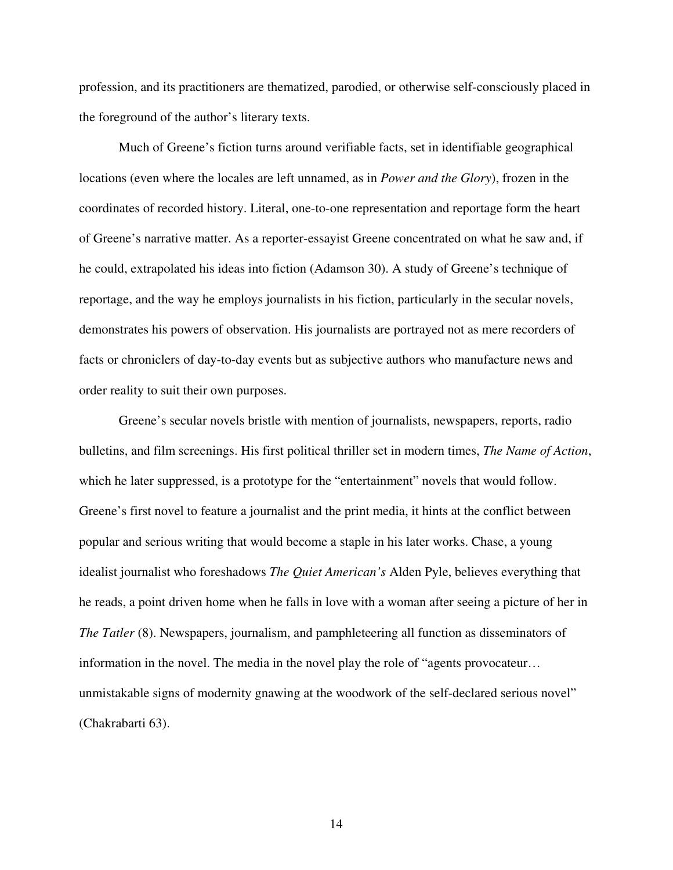profession, and its practitioners are thematized, parodied, or otherwise self-consciously placed in the foreground of the author's literary texts.

Much of Greene's fiction turns around verifiable facts, set in identifiable geographical locations (even where the locales are left unnamed, as in *Power and the Glory*), frozen in the coordinates of recorded history. Literal, one-to-one representation and reportage form the heart of Greene's narrative matter. As a reporter-essayist Greene concentrated on what he saw and, if he could, extrapolated his ideas into fiction (Adamson 30). A study of Greene's technique of reportage, and the way he employs journalists in his fiction, particularly in the secular novels, demonstrates his powers of observation. His journalists are portrayed not as mere recorders of facts or chroniclers of day-to-day events but as subjective authors who manufacture news and order reality to suit their own purposes.

Greene's secular novels bristle with mention of journalists, newspapers, reports, radio bulletins, and film screenings. His first political thriller set in modern times, *The Name of Action*, which he later suppressed, is a prototype for the "entertainment" novels that would follow. Greene's first novel to feature a journalist and the print media, it hints at the conflict between popular and serious writing that would become a staple in his later works. Chase, a young idealist journalist who foreshadows *The Quiet American's* Alden Pyle, believes everything that he reads, a point driven home when he falls in love with a woman after seeing a picture of her in *The Tatler* (8). Newspapers, journalism, and pamphleteering all function as disseminators of information in the novel. The media in the novel play the role of "agents provocateur… unmistakable signs of modernity gnawing at the woodwork of the self-declared serious novel" (Chakrabarti 63).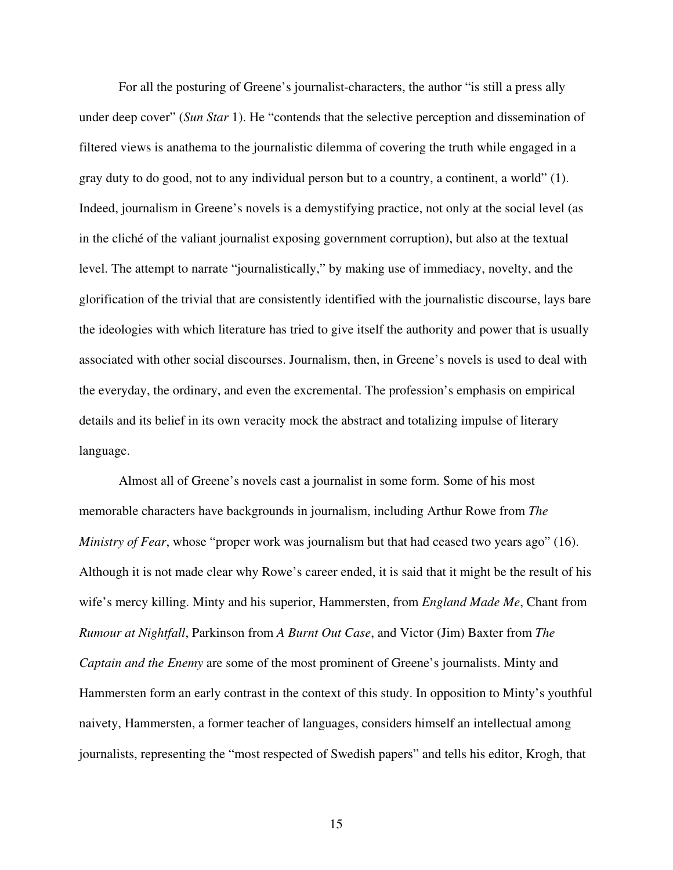For all the posturing of Greene's journalist-characters, the author "is still a press ally under deep cover" (*Sun Star* 1). He "contends that the selective perception and dissemination of filtered views is anathema to the journalistic dilemma of covering the truth while engaged in a gray duty to do good, not to any individual person but to a country, a continent, a world" (1). Indeed, journalism in Greene's novels is a demystifying practice, not only at the social level (as in the cliché of the valiant journalist exposing government corruption), but also at the textual level. The attempt to narrate "journalistically," by making use of immediacy, novelty, and the glorification of the trivial that are consistently identified with the journalistic discourse, lays bare the ideologies with which literature has tried to give itself the authority and power that is usually associated with other social discourses. Journalism, then, in Greene's novels is used to deal with the everyday, the ordinary, and even the excremental. The profession's emphasis on empirical details and its belief in its own veracity mock the abstract and totalizing impulse of literary language.

Almost all of Greene's novels cast a journalist in some form. Some of his most memorable characters have backgrounds in journalism, including Arthur Rowe from *The Ministry of Fear*, whose "proper work was journalism but that had ceased two years ago" (16). Although it is not made clear why Rowe's career ended, it is said that it might be the result of his wife's mercy killing. Minty and his superior, Hammersten, from *England Made Me*, Chant from *Rumour at Nightfall*, Parkinson from *A Burnt Out Case*, and Victor (Jim) Baxter from *The Captain and the Enemy* are some of the most prominent of Greene's journalists. Minty and Hammersten form an early contrast in the context of this study. In opposition to Minty's youthful naivety, Hammersten, a former teacher of languages, considers himself an intellectual among journalists, representing the "most respected of Swedish papers" and tells his editor, Krogh, that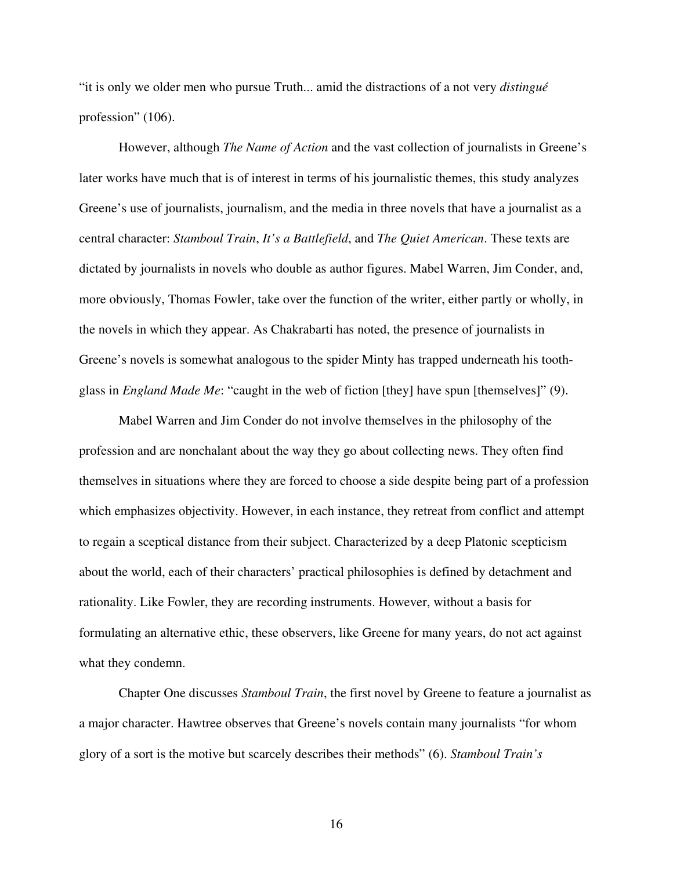"it is only we older men who pursue Truth... amid the distractions of a not very *distingué* profession" (106).

However, although *The Name of Action* and the vast collection of journalists in Greene's later works have much that is of interest in terms of his journalistic themes, this study analyzes Greene's use of journalists, journalism, and the media in three novels that have a journalist as a central character: *Stamboul Train*, *It's a Battlefield*, and *The Quiet American*. These texts are dictated by journalists in novels who double as author figures. Mabel Warren, Jim Conder, and, more obviously, Thomas Fowler, take over the function of the writer, either partly or wholly, in the novels in which they appear. As Chakrabarti has noted, the presence of journalists in Greene's novels is somewhat analogous to the spider Minty has trapped underneath his toothglass in *England Made Me*: "caught in the web of fiction [they] have spun [themselves]" (9).

Mabel Warren and Jim Conder do not involve themselves in the philosophy of the profession and are nonchalant about the way they go about collecting news. They often find themselves in situations where they are forced to choose a side despite being part of a profession which emphasizes objectivity. However, in each instance, they retreat from conflict and attempt to regain a sceptical distance from their subject. Characterized by a deep Platonic scepticism about the world, each of their characters' practical philosophies is defined by detachment and rationality. Like Fowler, they are recording instruments. However, without a basis for formulating an alternative ethic, these observers, like Greene for many years, do not act against what they condemn.

Chapter One discusses *Stamboul Train*, the first novel by Greene to feature a journalist as a major character. Hawtree observes that Greene's novels contain many journalists "for whom glory of a sort is the motive but scarcely describes their methods" (6). *Stamboul Train's*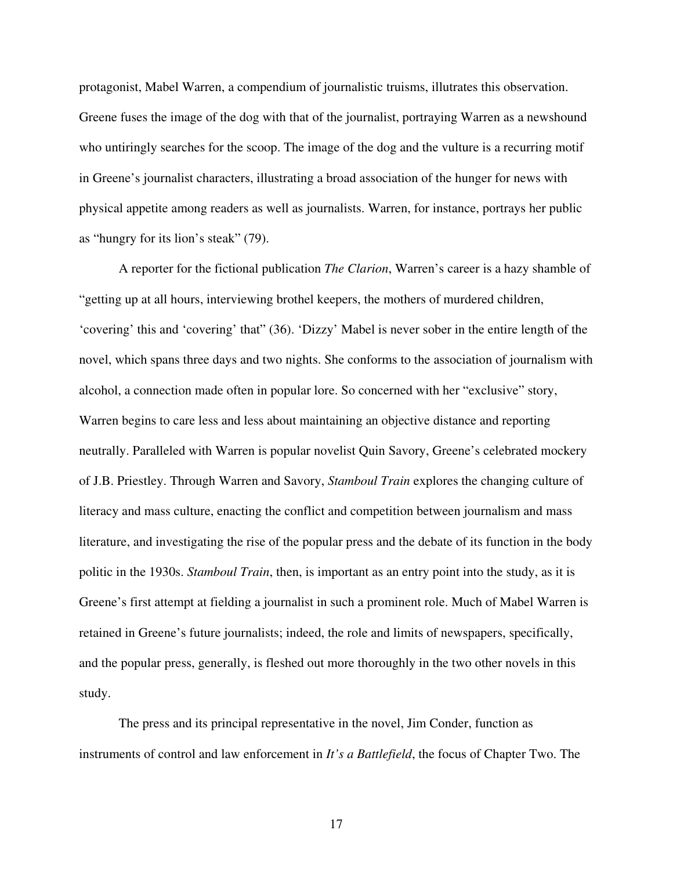protagonist, Mabel Warren, a compendium of journalistic truisms, illutrates this observation. Greene fuses the image of the dog with that of the journalist, portraying Warren as a newshound who untiringly searches for the scoop. The image of the dog and the vulture is a recurring motif in Greene's journalist characters, illustrating a broad association of the hunger for news with physical appetite among readers as well as journalists. Warren, for instance, portrays her public as "hungry for its lion's steak" (79).

A reporter for the fictional publication *The Clarion*, Warren's career is a hazy shamble of "getting up at all hours, interviewing brothel keepers, the mothers of murdered children, 'covering' this and 'covering' that" (36). 'Dizzy' Mabel is never sober in the entire length of the novel, which spans three days and two nights. She conforms to the association of journalism with alcohol, a connection made often in popular lore. So concerned with her "exclusive" story, Warren begins to care less and less about maintaining an objective distance and reporting neutrally. Paralleled with Warren is popular novelist Quin Savory, Greene's celebrated mockery of J.B. Priestley. Through Warren and Savory, *Stamboul Train* explores the changing culture of literacy and mass culture, enacting the conflict and competition between journalism and mass literature, and investigating the rise of the popular press and the debate of its function in the body politic in the 1930s. *Stamboul Train*, then, is important as an entry point into the study, as it is Greene's first attempt at fielding a journalist in such a prominent role. Much of Mabel Warren is retained in Greene's future journalists; indeed, the role and limits of newspapers, specifically, and the popular press, generally, is fleshed out more thoroughly in the two other novels in this study.

The press and its principal representative in the novel, Jim Conder, function as instruments of control and law enforcement in *It's a Battlefield*, the focus of Chapter Two. The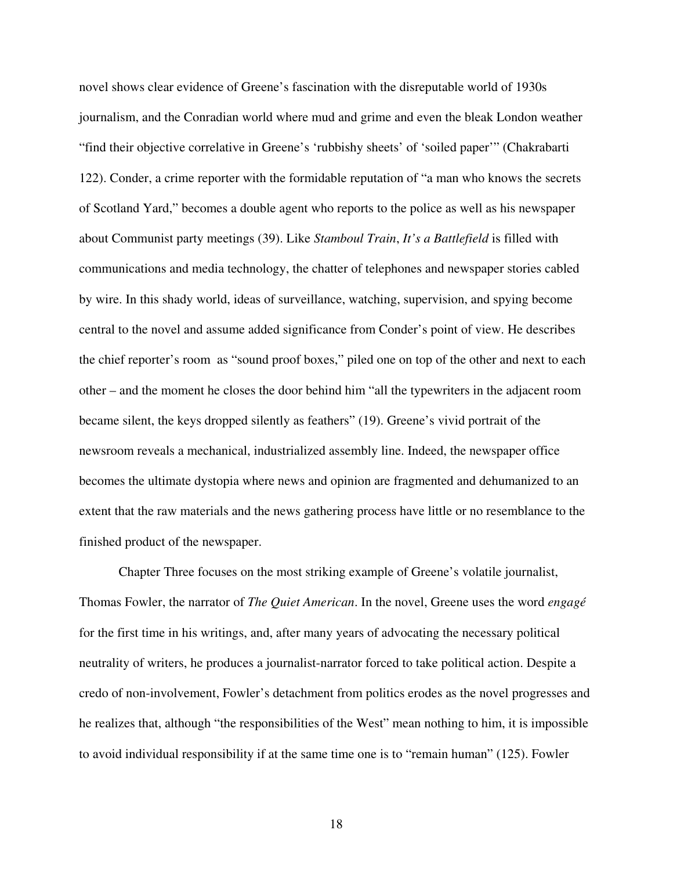novel shows clear evidence of Greene's fascination with the disreputable world of 1930s journalism, and the Conradian world where mud and grime and even the bleak London weather "find their objective correlative in Greene's 'rubbishy sheets' of 'soiled paper'" (Chakrabarti 122). Conder, a crime reporter with the formidable reputation of "a man who knows the secrets of Scotland Yard," becomes a double agent who reports to the police as well as his newspaper about Communist party meetings (39). Like *Stamboul Train*, *It's a Battlefield* is filled with communications and media technology, the chatter of telephones and newspaper stories cabled by wire. In this shady world, ideas of surveillance, watching, supervision, and spying become central to the novel and assume added significance from Conder's point of view. He describes the chief reporter's room as "sound proof boxes," piled one on top of the other and next to each other – and the moment he closes the door behind him "all the typewriters in the adjacent room became silent, the keys dropped silently as feathers" (19). Greene's vivid portrait of the newsroom reveals a mechanical, industrialized assembly line. Indeed, the newspaper office becomes the ultimate dystopia where news and opinion are fragmented and dehumanized to an extent that the raw materials and the news gathering process have little or no resemblance to the finished product of the newspaper.

Chapter Three focuses on the most striking example of Greene's volatile journalist, Thomas Fowler, the narrator of *The Quiet American*. In the novel, Greene uses the word *engagé* for the first time in his writings, and, after many years of advocating the necessary political neutrality of writers, he produces a journalist-narrator forced to take political action. Despite a credo of non-involvement, Fowler's detachment from politics erodes as the novel progresses and he realizes that, although "the responsibilities of the West" mean nothing to him, it is impossible to avoid individual responsibility if at the same time one is to "remain human" (125). Fowler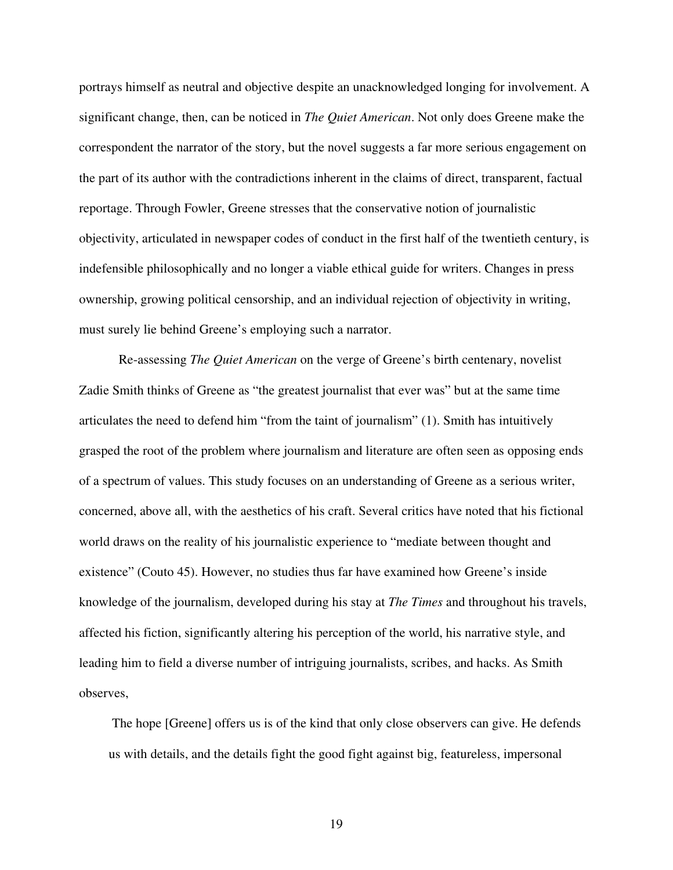portrays himself as neutral and objective despite an unacknowledged longing for involvement. A significant change, then, can be noticed in *The Quiet American*. Not only does Greene make the correspondent the narrator of the story, but the novel suggests a far more serious engagement on the part of its author with the contradictions inherent in the claims of direct, transparent, factual reportage. Through Fowler, Greene stresses that the conservative notion of journalistic objectivity, articulated in newspaper codes of conduct in the first half of the twentieth century, is indefensible philosophically and no longer a viable ethical guide for writers. Changes in press ownership, growing political censorship, and an individual rejection of objectivity in writing, must surely lie behind Greene's employing such a narrator.

Re-assessing *The Quiet American* on the verge of Greene's birth centenary, novelist Zadie Smith thinks of Greene as "the greatest journalist that ever was" but at the same time articulates the need to defend him "from the taint of journalism" (1). Smith has intuitively grasped the root of the problem where journalism and literature are often seen as opposing ends of a spectrum of values. This study focuses on an understanding of Greene as a serious writer, concerned, above all, with the aesthetics of his craft. Several critics have noted that his fictional world draws on the reality of his journalistic experience to "mediate between thought and existence" (Couto 45). However, no studies thus far have examined how Greene's inside knowledge of the journalism, developed during his stay at *The Times* and throughout his travels, affected his fiction, significantly altering his perception of the world, his narrative style, and leading him to field a diverse number of intriguing journalists, scribes, and hacks. As Smith observes,

The hope [Greene] offers us is of the kind that only close observers can give. He defends us with details, and the details fight the good fight against big, featureless, impersonal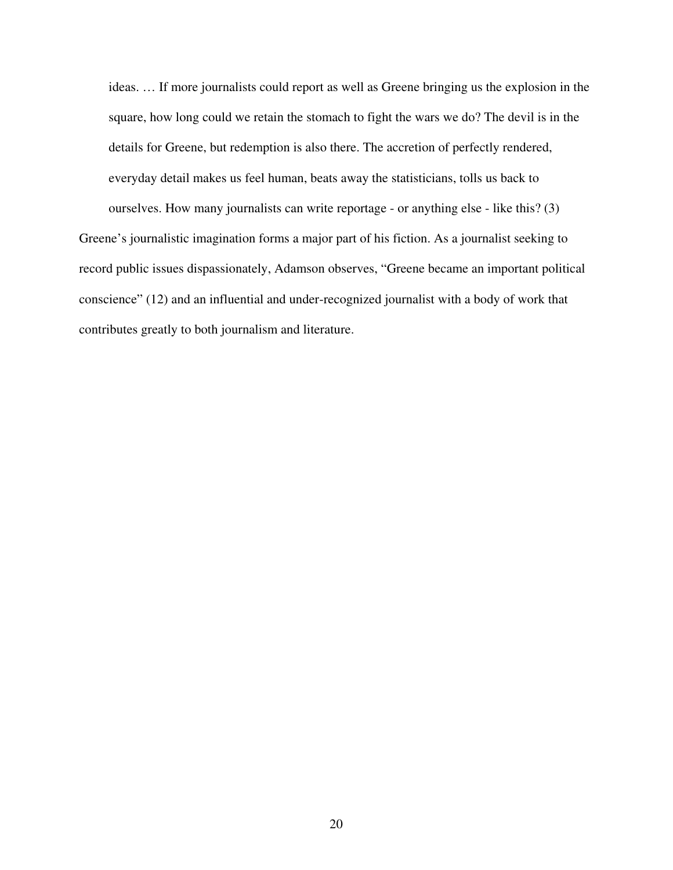ideas. … If more journalists could report as well as Greene bringing us the explosion in the square, how long could we retain the stomach to fight the wars we do? The devil is in the details for Greene, but redemption is also there. The accretion of perfectly rendered, everyday detail makes us feel human, beats away the statisticians, tolls us back to ourselves. How many journalists can write reportage - or anything else - like this? (3)

Greene's journalistic imagination forms a major part of his fiction. As a journalist seeking to record public issues dispassionately, Adamson observes, "Greene became an important political conscience" (12) and an influential and under-recognized journalist with a body of work that contributes greatly to both journalism and literature.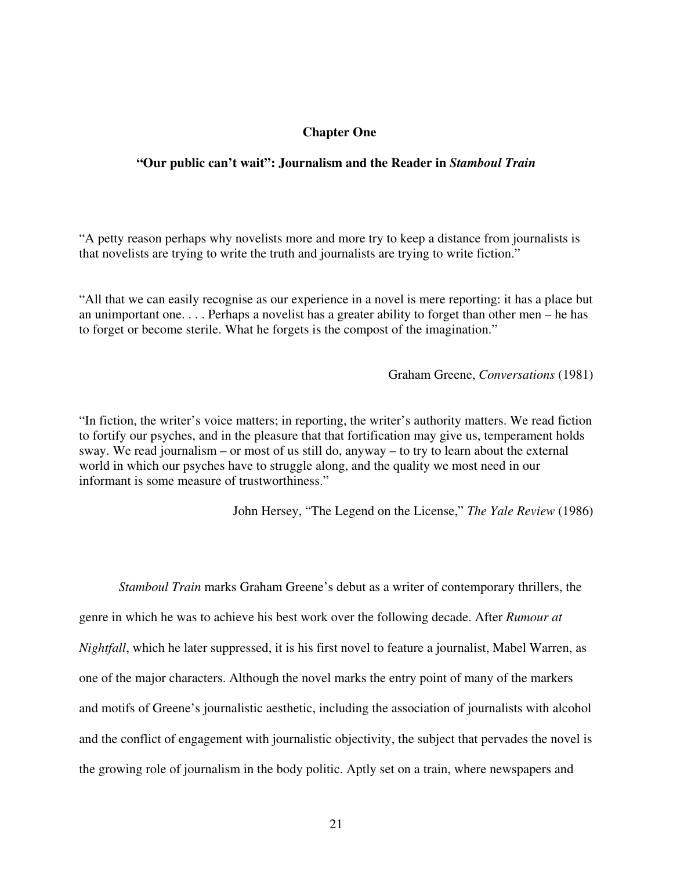## **Chapter One**

### **"Our public can't wait": Journalism and the Reader in** *Stamboul Train*

"A petty reason perhaps why novelists more and more try to keep a distance from journalists is that novelists are trying to write the truth and journalists are trying to write fiction."

"All that we can easily recognise as our experience in a novel is mere reporting: it has a place but an unimportant one. . . . Perhaps a novelist has a greater ability to forget than other men – he has to forget or become sterile. What he forgets is the compost of the imagination."

Graham Greene, *Conversations* (1981)

"In fiction, the writer's voice matters; in reporting, the writer's authority matters. We read fiction to fortify our psyches, and in the pleasure that that fortification may give us, temperament holds sway. We read journalism – or most of us still do, anyway – to try to learn about the external world in which our psyches have to struggle along, and the quality we most need in our informant is some measure of trustworthiness."

John Hersey, "The Legend on the License," *The Yale Review* (1986)

*Stamboul Train* marks Graham Greene's debut as a writer of contemporary thrillers, the genre in which he was to achieve his best work over the following decade. After *Rumour at Nightfall*, which he later suppressed, it is his first novel to feature a journalist, Mabel Warren, as one of the major characters. Although the novel marks the entry point of many of the markers and motifs of Greene's journalistic aesthetic, including the association of journalists with alcohol and the conflict of engagement with journalistic objectivity, the subject that pervades the novel is the growing role of journalism in the body politic. Aptly set on a train, where newspapers and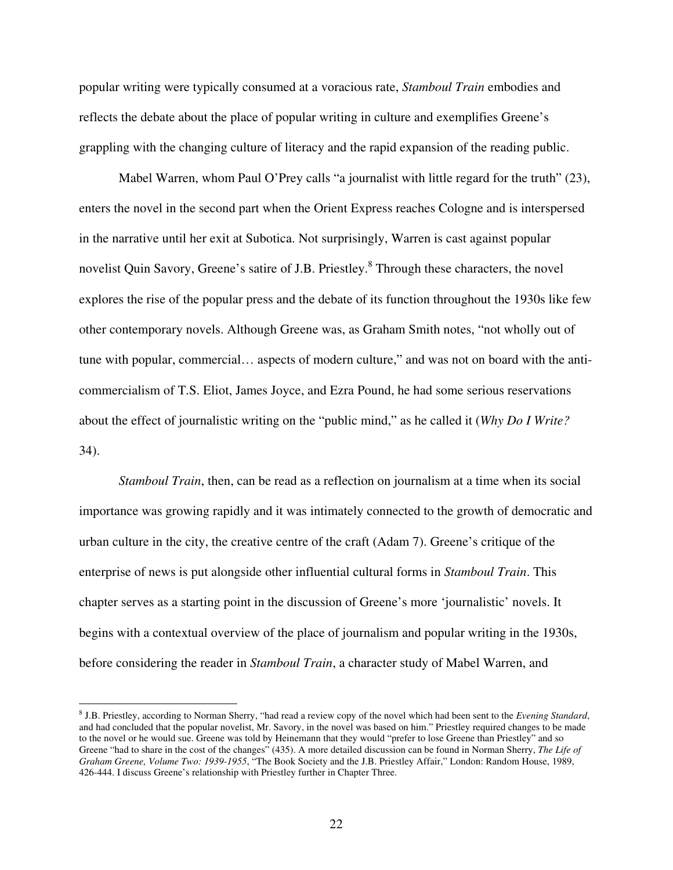popular writing were typically consumed at a voracious rate, *Stamboul Train* embodies and reflects the debate about the place of popular writing in culture and exemplifies Greene's grappling with the changing culture of literacy and the rapid expansion of the reading public.

Mabel Warren, whom Paul O'Prey calls "a journalist with little regard for the truth" (23), enters the novel in the second part when the Orient Express reaches Cologne and is interspersed in the narrative until her exit at Subotica. Not surprisingly, Warren is cast against popular novelist Quin Savory, Greene's satire of J.B. Priestley.<sup>8</sup> Through these characters, the novel explores the rise of the popular press and the debate of its function throughout the 1930s like few other contemporary novels. Although Greene was, as Graham Smith notes, "not wholly out of tune with popular, commercial… aspects of modern culture," and was not on board with the anticommercialism of T.S. Eliot, James Joyce, and Ezra Pound, he had some serious reservations about the effect of journalistic writing on the "public mind," as he called it (*Why Do I Write?* 34).

*Stamboul Train*, then, can be read as a reflection on journalism at a time when its social importance was growing rapidly and it was intimately connected to the growth of democratic and urban culture in the city, the creative centre of the craft (Adam 7). Greene's critique of the enterprise of news is put alongside other influential cultural forms in *Stamboul Train*. This chapter serves as a starting point in the discussion of Greene's more 'journalistic' novels. It begins with a contextual overview of the place of journalism and popular writing in the 1930s, before considering the reader in *Stamboul Train*, a character study of Mabel Warren, and

<sup>8</sup> J.B. Priestley, according to Norman Sherry, "had read a review copy of the novel which had been sent to the *Evening Standard*, and had concluded that the popular novelist, Mr. Savory, in the novel was based on him." Priestley required changes to be made to the novel or he would sue. Greene was told by Heinemann that they would "prefer to lose Greene than Priestley" and so Greene "had to share in the cost of the changes" (435). A more detailed discussion can be found in Norman Sherry, *The Life of Graham Greene, Volume Two: 1939-1955*, "The Book Society and the J.B. Priestley Affair," London: Random House, 1989, 426-444. I discuss Greene's relationship with Priestley further in Chapter Three.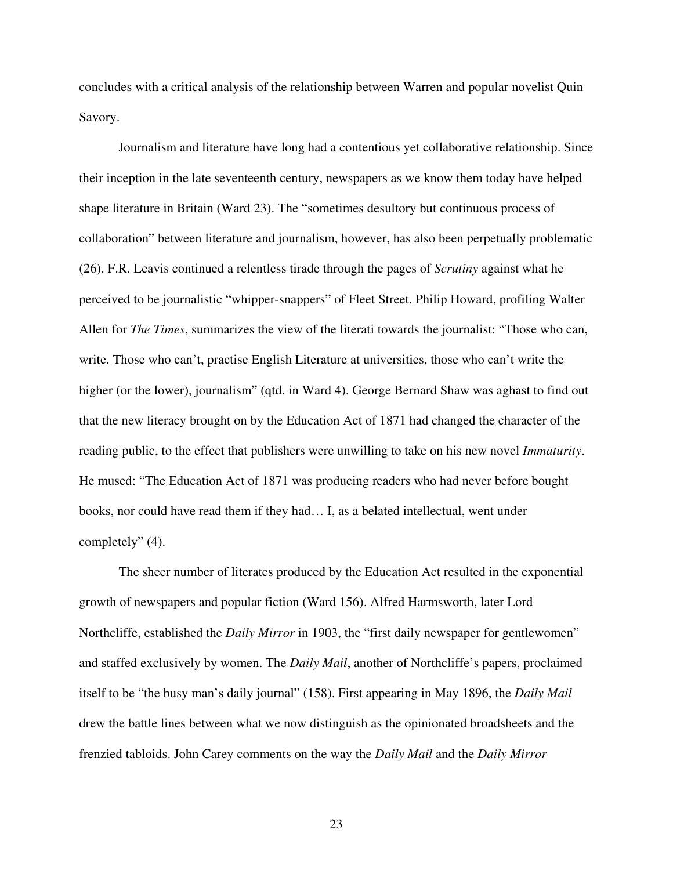concludes with a critical analysis of the relationship between Warren and popular novelist Quin Savory.

Journalism and literature have long had a contentious yet collaborative relationship. Since their inception in the late seventeenth century, newspapers as we know them today have helped shape literature in Britain (Ward 23). The "sometimes desultory but continuous process of collaboration" between literature and journalism, however, has also been perpetually problematic (26). F.R. Leavis continued a relentless tirade through the pages of *Scrutiny* against what he perceived to be journalistic "whipper-snappers" of Fleet Street. Philip Howard, profiling Walter Allen for *The Times*, summarizes the view of the literati towards the journalist: "Those who can, write. Those who can't, practise English Literature at universities, those who can't write the higher (or the lower), journalism" (qtd. in Ward 4). George Bernard Shaw was aghast to find out that the new literacy brought on by the Education Act of 1871 had changed the character of the reading public, to the effect that publishers were unwilling to take on his new novel *Immaturity*. He mused: "The Education Act of 1871 was producing readers who had never before bought books, nor could have read them if they had… I, as a belated intellectual, went under completely" (4).

The sheer number of literates produced by the Education Act resulted in the exponential growth of newspapers and popular fiction (Ward 156). Alfred Harmsworth, later Lord Northcliffe, established the *Daily Mirror* in 1903, the "first daily newspaper for gentlewomen" and staffed exclusively by women. The *Daily Mail*, another of Northcliffe's papers, proclaimed itself to be "the busy man's daily journal" (158). First appearing in May 1896, the *Daily Mail* drew the battle lines between what we now distinguish as the opinionated broadsheets and the frenzied tabloids. John Carey comments on the way the *Daily Mail* and the *Daily Mirror*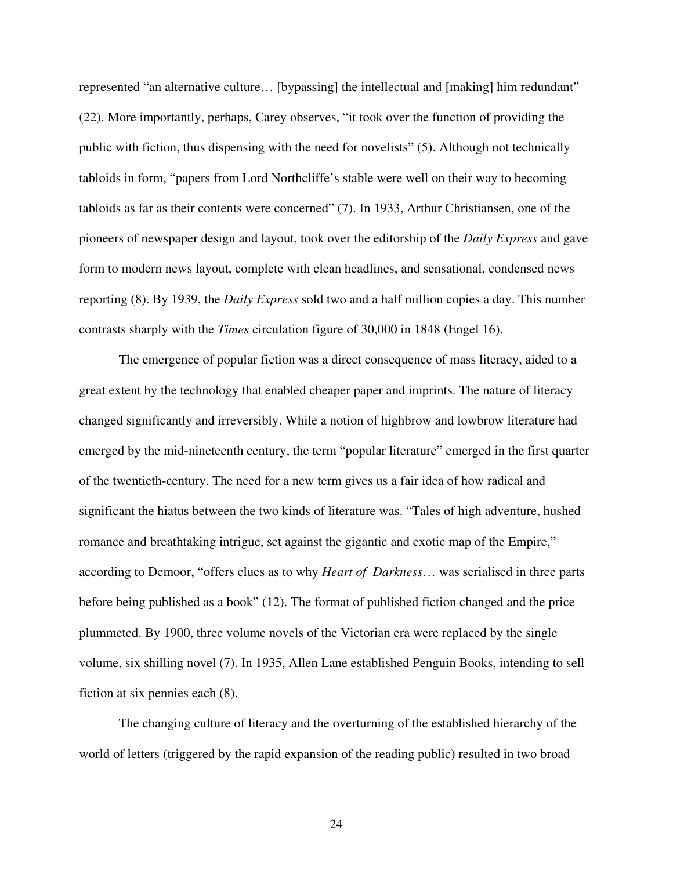represented "an alternative culture… [bypassing] the intellectual and [making] him redundant" (22). More importantly, perhaps, Carey observes, "it took over the function of providing the public with fiction, thus dispensing with the need for novelists" (5). Although not technically tabloids in form, "papers from Lord Northcliffe's stable were well on their way to becoming tabloids as far as their contents were concerned" (7). In 1933, Arthur Christiansen, one of the pioneers of newspaper design and layout, took over the editorship of the *Daily Express* and gave form to modern news layout, complete with clean headlines, and sensational, condensed news reporting (8). By 1939, the *Daily Express* sold two and a half million copies a day. This number contrasts sharply with the *Times* circulation figure of 30,000 in 1848 (Engel 16).

The emergence of popular fiction was a direct consequence of mass literacy, aided to a great extent by the technology that enabled cheaper paper and imprints. The nature of literacy changed significantly and irreversibly. While a notion of highbrow and lowbrow literature had emerged by the mid-nineteenth century, the term "popular literature" emerged in the first quarter of the twentieth-century. The need for a new term gives us a fair idea of how radical and significant the hiatus between the two kinds of literature was. "Tales of high adventure, hushed romance and breathtaking intrigue, set against the gigantic and exotic map of the Empire," according to Demoor, "offers clues as to why *Heart of Darkness*… was serialised in three parts before being published as a book" (12). The format of published fiction changed and the price plummeted. By 1900, three volume novels of the Victorian era were replaced by the single volume, six shilling novel (7). In 1935, Allen Lane established Penguin Books, intending to sell fiction at six pennies each (8).

The changing culture of literacy and the overturning of the established hierarchy of the world of letters (triggered by the rapid expansion of the reading public) resulted in two broad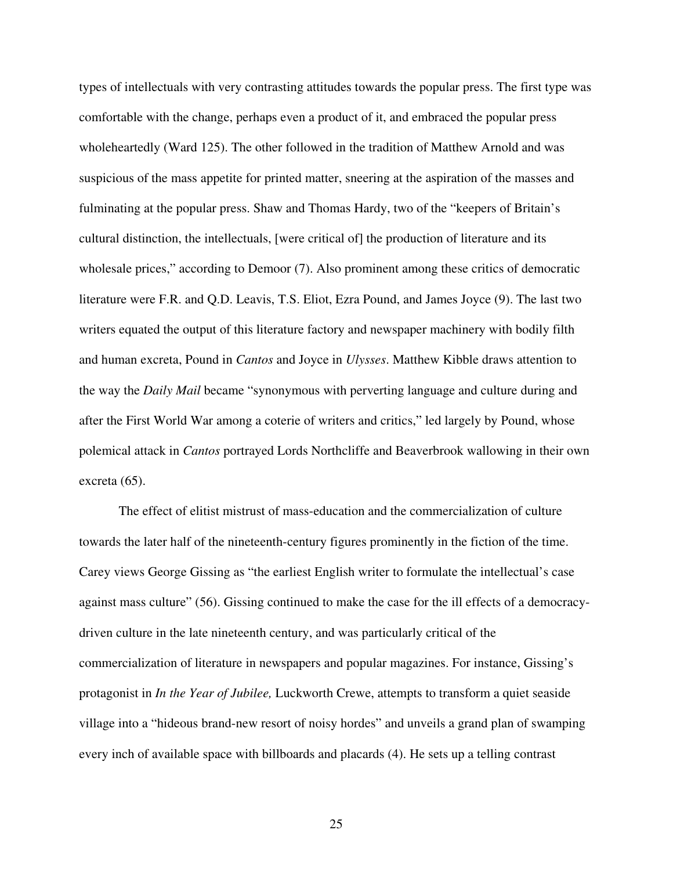types of intellectuals with very contrasting attitudes towards the popular press. The first type was comfortable with the change, perhaps even a product of it, and embraced the popular press wholeheartedly (Ward 125). The other followed in the tradition of Matthew Arnold and was suspicious of the mass appetite for printed matter, sneering at the aspiration of the masses and fulminating at the popular press. Shaw and Thomas Hardy, two of the "keepers of Britain's cultural distinction, the intellectuals, [were critical of] the production of literature and its wholesale prices," according to Demoor (7). Also prominent among these critics of democratic literature were F.R. and Q.D. Leavis, T.S. Eliot, Ezra Pound, and James Joyce (9). The last two writers equated the output of this literature factory and newspaper machinery with bodily filth and human excreta, Pound in *Cantos* and Joyce in *Ulysses*. Matthew Kibble draws attention to the way the *Daily Mail* became "synonymous with perverting language and culture during and after the First World War among a coterie of writers and critics," led largely by Pound, whose polemical attack in *Cantos* portrayed Lords Northcliffe and Beaverbrook wallowing in their own excreta (65).

The effect of elitist mistrust of mass-education and the commercialization of culture towards the later half of the nineteenth-century figures prominently in the fiction of the time. Carey views George Gissing as "the earliest English writer to formulate the intellectual's case against mass culture" (56). Gissing continued to make the case for the ill effects of a democracydriven culture in the late nineteenth century, and was particularly critical of the commercialization of literature in newspapers and popular magazines. For instance, Gissing's protagonist in *In the Year of Jubilee,* Luckworth Crewe, attempts to transform a quiet seaside village into a "hideous brand-new resort of noisy hordes" and unveils a grand plan of swamping every inch of available space with billboards and placards (4). He sets up a telling contrast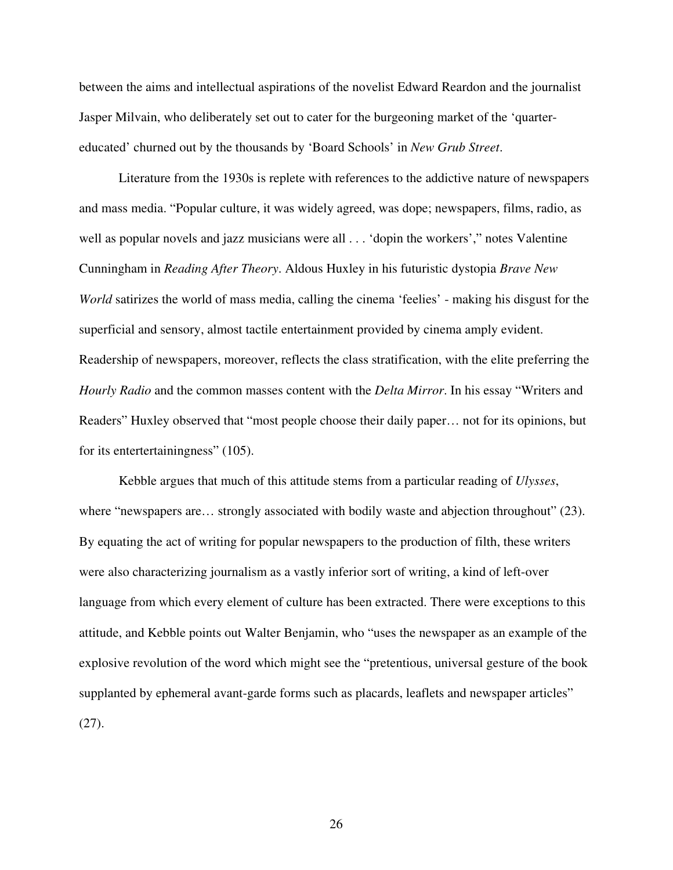between the aims and intellectual aspirations of the novelist Edward Reardon and the journalist Jasper Milvain, who deliberately set out to cater for the burgeoning market of the 'quartereducated' churned out by the thousands by 'Board Schools' in *New Grub Street*.

Literature from the 1930s is replete with references to the addictive nature of newspapers and mass media. "Popular culture, it was widely agreed, was dope; newspapers, films, radio, as well as popular novels and jazz musicians were all . . . 'dopin the workers'," notes Valentine Cunningham in *Reading After Theory*. Aldous Huxley in his futuristic dystopia *Brave New World* satirizes the world of mass media, calling the cinema 'feelies' - making his disgust for the superficial and sensory, almost tactile entertainment provided by cinema amply evident. Readership of newspapers, moreover, reflects the class stratification, with the elite preferring the *Hourly Radio* and the common masses content with the *Delta Mirror*. In his essay "Writers and Readers" Huxley observed that "most people choose their daily paper… not for its opinions, but for its entertertainingness" (105).

Kebble argues that much of this attitude stems from a particular reading of *Ulysses*, where "newspapers are... strongly associated with bodily waste and abjection throughout" (23). By equating the act of writing for popular newspapers to the production of filth, these writers were also characterizing journalism as a vastly inferior sort of writing, a kind of left-over language from which every element of culture has been extracted. There were exceptions to this attitude, and Kebble points out Walter Benjamin, who "uses the newspaper as an example of the explosive revolution of the word which might see the "pretentious, universal gesture of the book supplanted by ephemeral avant-garde forms such as placards, leaflets and newspaper articles" (27).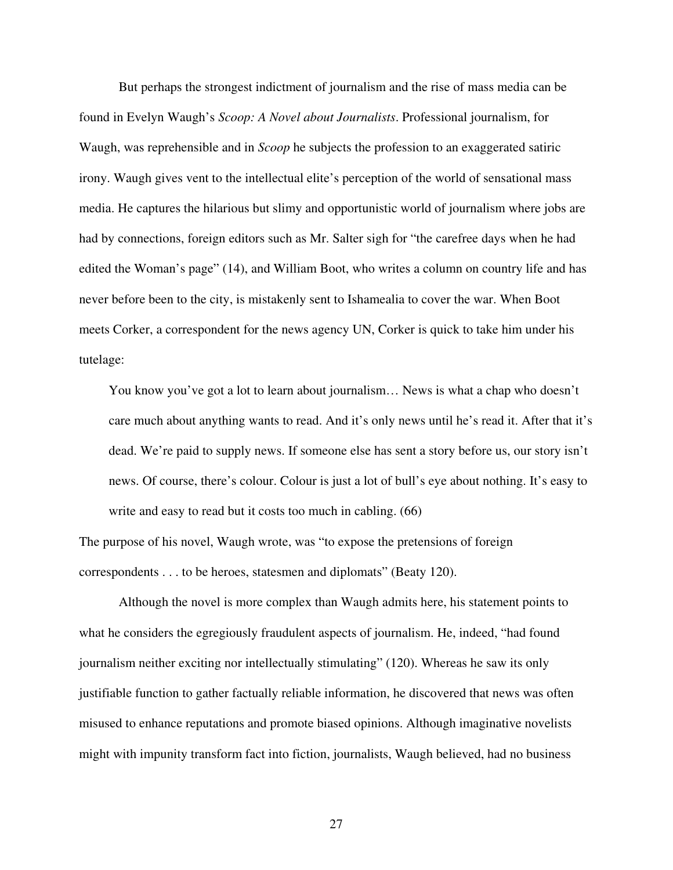But perhaps the strongest indictment of journalism and the rise of mass media can be found in Evelyn Waugh's *Scoop: A Novel about Journalists*. Professional journalism, for Waugh, was reprehensible and in *Scoop* he subjects the profession to an exaggerated satiric irony. Waugh gives vent to the intellectual elite's perception of the world of sensational mass media. He captures the hilarious but slimy and opportunistic world of journalism where jobs are had by connections, foreign editors such as Mr. Salter sigh for "the carefree days when he had edited the Woman's page" (14), and William Boot, who writes a column on country life and has never before been to the city, is mistakenly sent to Ishamealia to cover the war. When Boot meets Corker, a correspondent for the news agency UN, Corker is quick to take him under his tutelage:

You know you've got a lot to learn about journalism… News is what a chap who doesn't care much about anything wants to read. And it's only news until he's read it. After that it's dead. We're paid to supply news. If someone else has sent a story before us, our story isn't news. Of course, there's colour. Colour is just a lot of bull's eye about nothing. It's easy to write and easy to read but it costs too much in cabling.  $(66)$ 

The purpose of his novel, Waugh wrote, was "to expose the pretensions of foreign correspondents . . . to be heroes, statesmen and diplomats" (Beaty 120).

Although the novel is more complex than Waugh admits here, his statement points to what he considers the egregiously fraudulent aspects of journalism. He, indeed, "had found journalism neither exciting nor intellectually stimulating" (120). Whereas he saw its only justifiable function to gather factually reliable information, he discovered that news was often misused to enhance reputations and promote biased opinions. Although imaginative novelists might with impunity transform fact into fiction, journalists, Waugh believed, had no business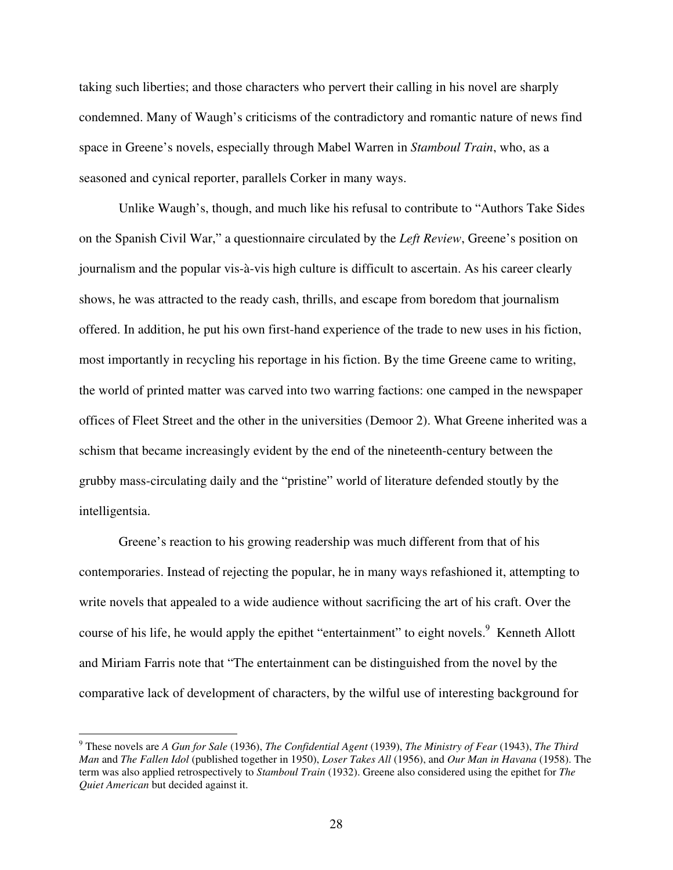taking such liberties; and those characters who pervert their calling in his novel are sharply condemned. Many of Waugh's criticisms of the contradictory and romantic nature of news find space in Greene's novels, especially through Mabel Warren in *Stamboul Train*, who, as a seasoned and cynical reporter, parallels Corker in many ways.

Unlike Waugh's, though, and much like his refusal to contribute to "Authors Take Sides on the Spanish Civil War," a questionnaire circulated by the *Left Review*, Greene's position on journalism and the popular vis-à-vis high culture is difficult to ascertain. As his career clearly shows, he was attracted to the ready cash, thrills, and escape from boredom that journalism offered. In addition, he put his own first-hand experience of the trade to new uses in his fiction, most importantly in recycling his reportage in his fiction. By the time Greene came to writing, the world of printed matter was carved into two warring factions: one camped in the newspaper offices of Fleet Street and the other in the universities (Demoor 2). What Greene inherited was a schism that became increasingly evident by the end of the nineteenth-century between the grubby mass-circulating daily and the "pristine" world of literature defended stoutly by the intelligentsia.

Greene's reaction to his growing readership was much different from that of his contemporaries. Instead of rejecting the popular, he in many ways refashioned it, attempting to write novels that appealed to a wide audience without sacrificing the art of his craft. Over the course of his life, he would apply the epithet "entertainment" to eight novels.<sup>9</sup> Kenneth Allott and Miriam Farris note that "The entertainment can be distinguished from the novel by the comparative lack of development of characters, by the wilful use of interesting background for

<sup>9</sup> These novels are *A Gun for Sale* (1936), *The Confidential Agent* (1939), *The Ministry of Fear* (1943), *The Third Man* and *The Fallen Idol* (published together in 1950), *Loser Takes All* (1956), and *Our Man in Havana* (1958). The term was also applied retrospectively to *Stamboul Train* (1932). Greene also considered using the epithet for *The Quiet American* but decided against it.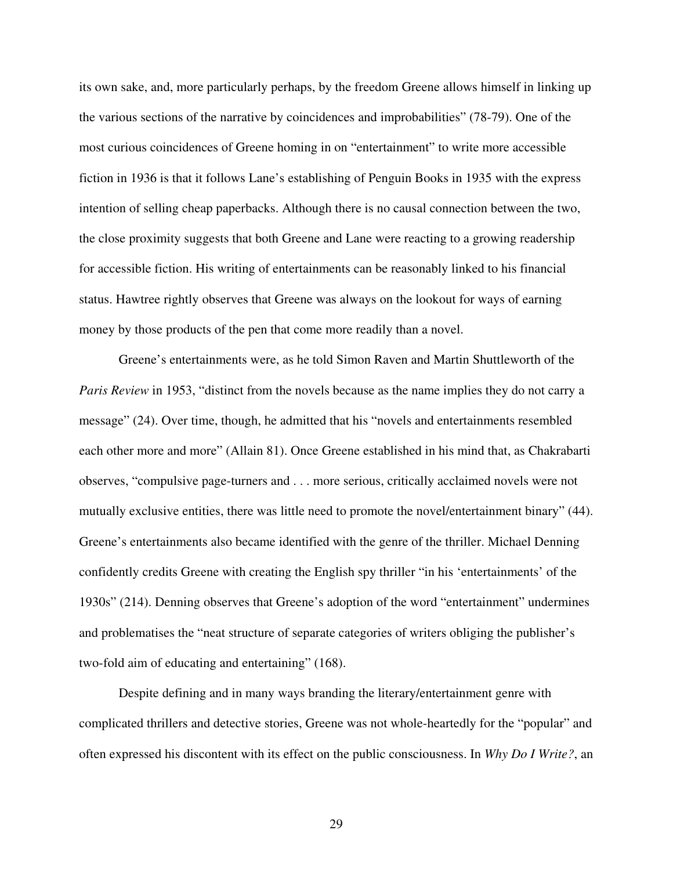its own sake, and, more particularly perhaps, by the freedom Greene allows himself in linking up the various sections of the narrative by coincidences and improbabilities" (78-79). One of the most curious coincidences of Greene homing in on "entertainment" to write more accessible fiction in 1936 is that it follows Lane's establishing of Penguin Books in 1935 with the express intention of selling cheap paperbacks. Although there is no causal connection between the two, the close proximity suggests that both Greene and Lane were reacting to a growing readership for accessible fiction. His writing of entertainments can be reasonably linked to his financial status. Hawtree rightly observes that Greene was always on the lookout for ways of earning money by those products of the pen that come more readily than a novel.

Greene's entertainments were, as he told Simon Raven and Martin Shuttleworth of the *Paris Review* in 1953, "distinct from the novels because as the name implies they do not carry a message" (24). Over time, though, he admitted that his "novels and entertainments resembled each other more and more" (Allain 81). Once Greene established in his mind that, as Chakrabarti observes, "compulsive page-turners and . . . more serious, critically acclaimed novels were not mutually exclusive entities, there was little need to promote the novel/entertainment binary" (44). Greene's entertainments also became identified with the genre of the thriller. Michael Denning confidently credits Greene with creating the English spy thriller "in his 'entertainments' of the 1930s" (214). Denning observes that Greene's adoption of the word "entertainment" undermines and problematises the "neat structure of separate categories of writers obliging the publisher's two-fold aim of educating and entertaining" (168).

Despite defining and in many ways branding the literary/entertainment genre with complicated thrillers and detective stories, Greene was not whole-heartedly for the "popular" and often expressed his discontent with its effect on the public consciousness. In *Why Do I Write?*, an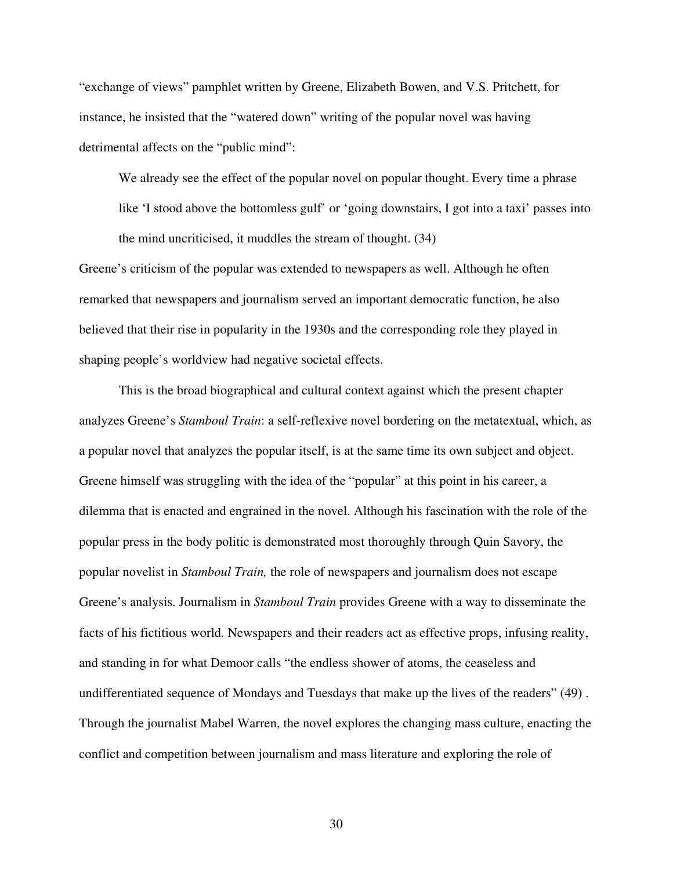"exchange of views" pamphlet written by Greene, Elizabeth Bowen, and V.S. Pritchett, for instance, he insisted that the "watered down" writing of the popular novel was having detrimental affects on the "public mind":

We already see the effect of the popular novel on popular thought. Every time a phrase

like 'I stood above the bottomless gulf' or 'going downstairs, I got into a taxi' passes into the mind uncriticised, it muddles the stream of thought. (34)

Greene's criticism of the popular was extended to newspapers as well. Although he often remarked that newspapers and journalism served an important democratic function, he also believed that their rise in popularity in the 1930s and the corresponding role they played in shaping people's worldview had negative societal effects.

This is the broad biographical and cultural context against which the present chapter analyzes Greene's *Stamboul Train*: a self-reflexive novel bordering on the metatextual, which, as a popular novel that analyzes the popular itself, is at the same time its own subject and object. Greene himself was struggling with the idea of the "popular" at this point in his career, a dilemma that is enacted and engrained in the novel. Although his fascination with the role of the popular press in the body politic is demonstrated most thoroughly through Quin Savory, the popular novelist in *Stamboul Train,* the role of newspapers and journalism does not escape Greene's analysis. Journalism in *Stamboul Train* provides Greene with a way to disseminate the facts of his fictitious world. Newspapers and their readers act as effective props, infusing reality, and standing in for what Demoor calls "the endless shower of atoms, the ceaseless and undifferentiated sequence of Mondays and Tuesdays that make up the lives of the readers" (49) . Through the journalist Mabel Warren, the novel explores the changing mass culture, enacting the conflict and competition between journalism and mass literature and exploring the role of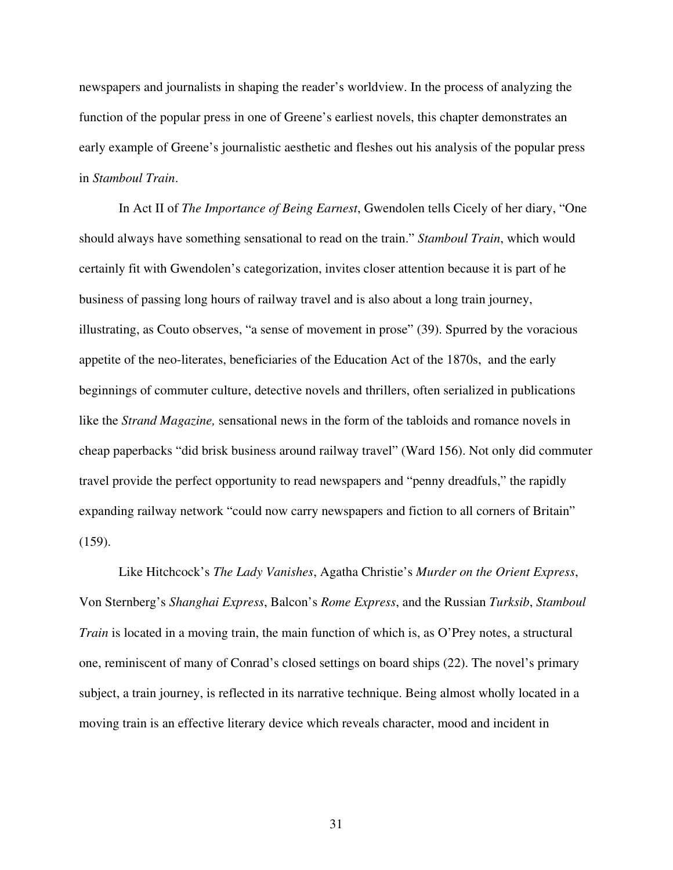newspapers and journalists in shaping the reader's worldview. In the process of analyzing the function of the popular press in one of Greene's earliest novels, this chapter demonstrates an early example of Greene's journalistic aesthetic and fleshes out his analysis of the popular press in *Stamboul Train*.

In Act II of *The Importance of Being Earnest*, Gwendolen tells Cicely of her diary, "One should always have something sensational to read on the train." *Stamboul Train*, which would certainly fit with Gwendolen's categorization, invites closer attention because it is part of he business of passing long hours of railway travel and is also about a long train journey, illustrating, as Couto observes, "a sense of movement in prose" (39). Spurred by the voracious appetite of the neo-literates, beneficiaries of the Education Act of the 1870s, and the early beginnings of commuter culture, detective novels and thrillers, often serialized in publications like the *Strand Magazine,* sensational news in the form of the tabloids and romance novels in cheap paperbacks "did brisk business around railway travel" (Ward 156). Not only did commuter travel provide the perfect opportunity to read newspapers and "penny dreadfuls," the rapidly expanding railway network "could now carry newspapers and fiction to all corners of Britain" (159).

Like Hitchcock's *The Lady Vanishes*, Agatha Christie's *Murder on the Orient Express*, Von Sternberg's *Shanghai Express*, Balcon's *Rome Express*, and the Russian *Turksib*, *Stamboul Train* is located in a moving train, the main function of which is, as O'Prey notes, a structural one, reminiscent of many of Conrad's closed settings on board ships (22). The novel's primary subject, a train journey, is reflected in its narrative technique. Being almost wholly located in a moving train is an effective literary device which reveals character, mood and incident in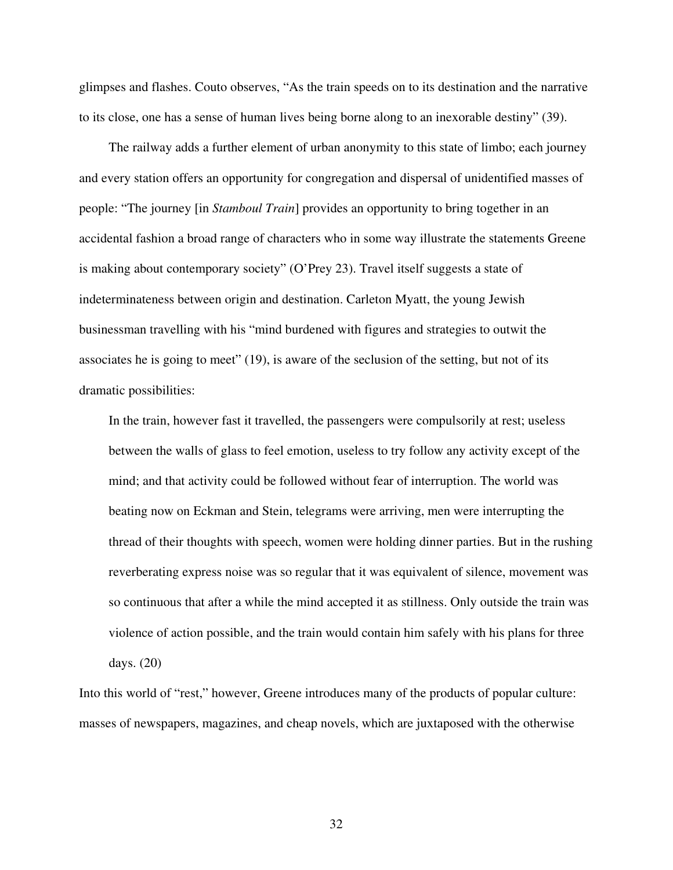glimpses and flashes. Couto observes, "As the train speeds on to its destination and the narrative to its close, one has a sense of human lives being borne along to an inexorable destiny" (39).

The railway adds a further element of urban anonymity to this state of limbo; each journey and every station offers an opportunity for congregation and dispersal of unidentified masses of people: "The journey [in *Stamboul Train*] provides an opportunity to bring together in an accidental fashion a broad range of characters who in some way illustrate the statements Greene is making about contemporary society" (O'Prey 23). Travel itself suggests a state of indeterminateness between origin and destination. Carleton Myatt, the young Jewish businessman travelling with his "mind burdened with figures and strategies to outwit the associates he is going to meet" (19), is aware of the seclusion of the setting, but not of its dramatic possibilities:

In the train, however fast it travelled, the passengers were compulsorily at rest; useless between the walls of glass to feel emotion, useless to try follow any activity except of the mind; and that activity could be followed without fear of interruption. The world was beating now on Eckman and Stein, telegrams were arriving, men were interrupting the thread of their thoughts with speech, women were holding dinner parties. But in the rushing reverberating express noise was so regular that it was equivalent of silence, movement was so continuous that after a while the mind accepted it as stillness. Only outside the train was violence of action possible, and the train would contain him safely with his plans for three days. (20)

Into this world of "rest," however, Greene introduces many of the products of popular culture: masses of newspapers, magazines, and cheap novels, which are juxtaposed with the otherwise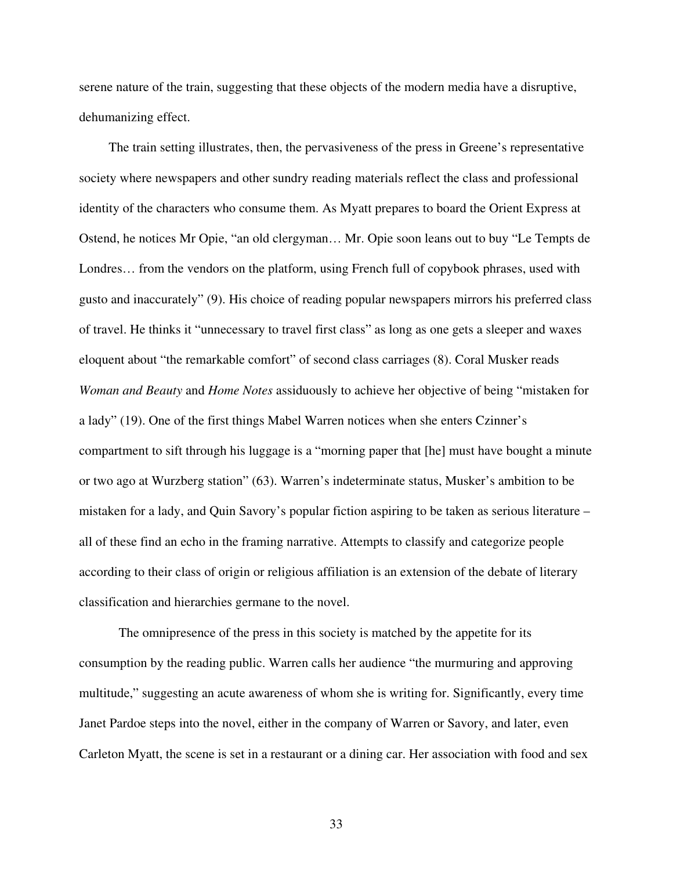serene nature of the train, suggesting that these objects of the modern media have a disruptive, dehumanizing effect.

The train setting illustrates, then, the pervasiveness of the press in Greene's representative society where newspapers and other sundry reading materials reflect the class and professional identity of the characters who consume them. As Myatt prepares to board the Orient Express at Ostend, he notices Mr Opie, "an old clergyman… Mr. Opie soon leans out to buy "Le Tempts de Londres… from the vendors on the platform, using French full of copybook phrases, used with gusto and inaccurately" (9). His choice of reading popular newspapers mirrors his preferred class of travel. He thinks it "unnecessary to travel first class" as long as one gets a sleeper and waxes eloquent about "the remarkable comfort" of second class carriages (8). Coral Musker reads *Woman and Beauty* and *Home Notes* assiduously to achieve her objective of being "mistaken for a lady" (19). One of the first things Mabel Warren notices when she enters Czinner's compartment to sift through his luggage is a "morning paper that [he] must have bought a minute or two ago at Wurzberg station" (63). Warren's indeterminate status, Musker's ambition to be mistaken for a lady, and Quin Savory's popular fiction aspiring to be taken as serious literature – all of these find an echo in the framing narrative. Attempts to classify and categorize people according to their class of origin or religious affiliation is an extension of the debate of literary classification and hierarchies germane to the novel.

The omnipresence of the press in this society is matched by the appetite for its consumption by the reading public. Warren calls her audience "the murmuring and approving multitude," suggesting an acute awareness of whom she is writing for. Significantly, every time Janet Pardoe steps into the novel, either in the company of Warren or Savory, and later, even Carleton Myatt, the scene is set in a restaurant or a dining car. Her association with food and sex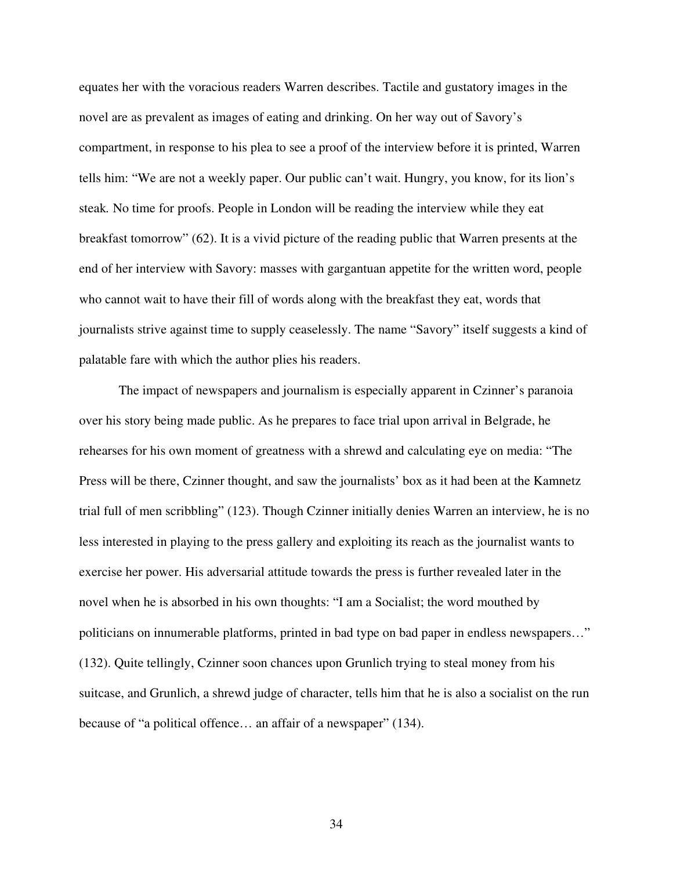equates her with the voracious readers Warren describes. Tactile and gustatory images in the novel are as prevalent as images of eating and drinking. On her way out of Savory's compartment, in response to his plea to see a proof of the interview before it is printed, Warren tells him: "We are not a weekly paper. Our public can't wait. Hungry, you know, for its lion's steak*.* No time for proofs. People in London will be reading the interview while they eat breakfast tomorrow" (62). It is a vivid picture of the reading public that Warren presents at the end of her interview with Savory: masses with gargantuan appetite for the written word, people who cannot wait to have their fill of words along with the breakfast they eat, words that journalists strive against time to supply ceaselessly. The name "Savory" itself suggests a kind of palatable fare with which the author plies his readers.

The impact of newspapers and journalism is especially apparent in Czinner's paranoia over his story being made public. As he prepares to face trial upon arrival in Belgrade, he rehearses for his own moment of greatness with a shrewd and calculating eye on media: "The Press will be there, Czinner thought, and saw the journalists' box as it had been at the Kamnetz trial full of men scribbling" (123). Though Czinner initially denies Warren an interview, he is no less interested in playing to the press gallery and exploiting its reach as the journalist wants to exercise her power. His adversarial attitude towards the press is further revealed later in the novel when he is absorbed in his own thoughts: "I am a Socialist; the word mouthed by politicians on innumerable platforms, printed in bad type on bad paper in endless newspapers…" (132). Quite tellingly, Czinner soon chances upon Grunlich trying to steal money from his suitcase, and Grunlich, a shrewd judge of character, tells him that he is also a socialist on the run because of "a political offence… an affair of a newspaper" (134).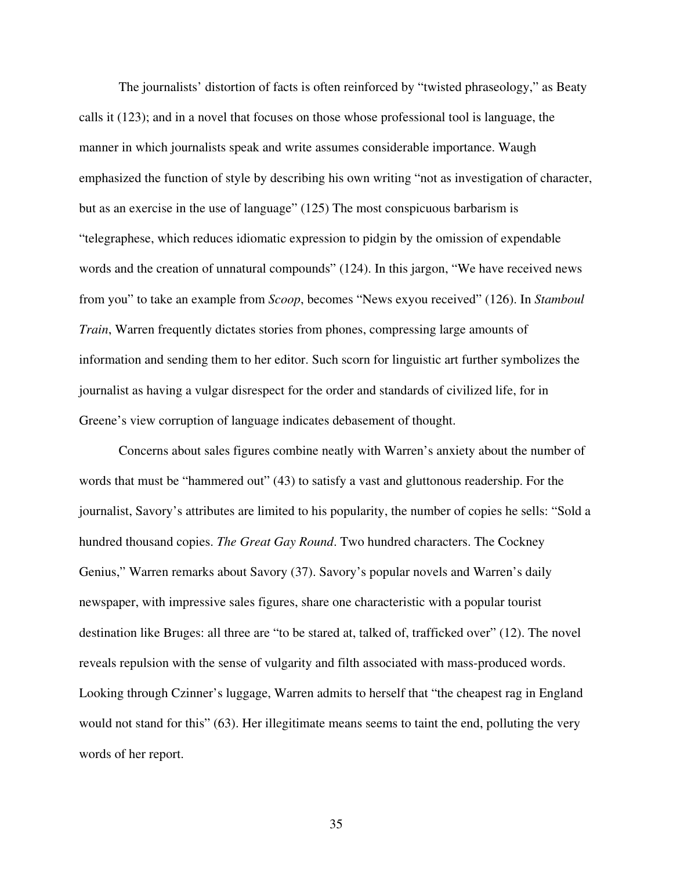The journalists' distortion of facts is often reinforced by "twisted phraseology," as Beaty calls it (123); and in a novel that focuses on those whose professional tool is language, the manner in which journalists speak and write assumes considerable importance. Waugh emphasized the function of style by describing his own writing "not as investigation of character, but as an exercise in the use of language" (125) The most conspicuous barbarism is "telegraphese, which reduces idiomatic expression to pidgin by the omission of expendable words and the creation of unnatural compounds" (124). In this jargon, "We have received news from you" to take an example from *Scoop*, becomes "News exyou received" (126). In *Stamboul Train*, Warren frequently dictates stories from phones, compressing large amounts of information and sending them to her editor. Such scorn for linguistic art further symbolizes the journalist as having a vulgar disrespect for the order and standards of civilized life, for in Greene's view corruption of language indicates debasement of thought.

Concerns about sales figures combine neatly with Warren's anxiety about the number of words that must be "hammered out" (43) to satisfy a vast and gluttonous readership. For the journalist, Savory's attributes are limited to his popularity, the number of copies he sells: "Sold a hundred thousand copies. *The Great Gay Round*. Two hundred characters. The Cockney Genius," Warren remarks about Savory (37). Savory's popular novels and Warren's daily newspaper, with impressive sales figures, share one characteristic with a popular tourist destination like Bruges: all three are "to be stared at, talked of, trafficked over" (12). The novel reveals repulsion with the sense of vulgarity and filth associated with mass-produced words. Looking through Czinner's luggage, Warren admits to herself that "the cheapest rag in England would not stand for this" (63). Her illegitimate means seems to taint the end, polluting the very words of her report.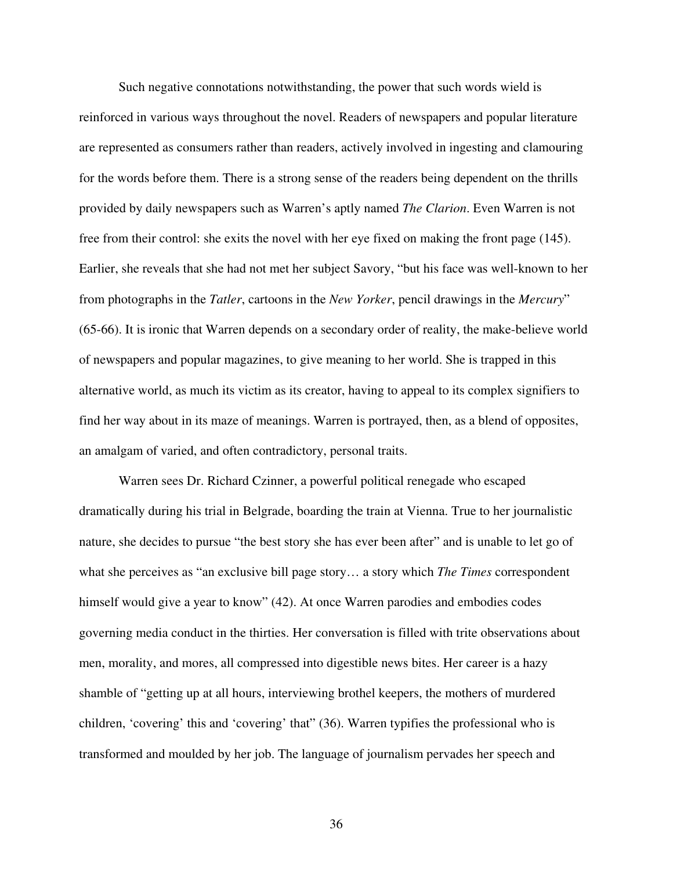Such negative connotations notwithstanding, the power that such words wield is reinforced in various ways throughout the novel. Readers of newspapers and popular literature are represented as consumers rather than readers, actively involved in ingesting and clamouring for the words before them. There is a strong sense of the readers being dependent on the thrills provided by daily newspapers such as Warren's aptly named *The Clarion*. Even Warren is not free from their control: she exits the novel with her eye fixed on making the front page (145). Earlier, she reveals that she had not met her subject Savory, "but his face was well-known to her from photographs in the *Tatler*, cartoons in the *New Yorker*, pencil drawings in the *Mercury*" (65-66). It is ironic that Warren depends on a secondary order of reality, the make-believe world of newspapers and popular magazines, to give meaning to her world. She is trapped in this alternative world, as much its victim as its creator, having to appeal to its complex signifiers to find her way about in its maze of meanings. Warren is portrayed, then, as a blend of opposites, an amalgam of varied, and often contradictory, personal traits.

Warren sees Dr. Richard Czinner, a powerful political renegade who escaped dramatically during his trial in Belgrade, boarding the train at Vienna. True to her journalistic nature, she decides to pursue "the best story she has ever been after" and is unable to let go of what she perceives as "an exclusive bill page story… a story which *The Times* correspondent himself would give a year to know" (42). At once Warren parodies and embodies codes governing media conduct in the thirties. Her conversation is filled with trite observations about men, morality, and mores, all compressed into digestible news bites. Her career is a hazy shamble of "getting up at all hours, interviewing brothel keepers, the mothers of murdered children, 'covering' this and 'covering' that" (36). Warren typifies the professional who is transformed and moulded by her job. The language of journalism pervades her speech and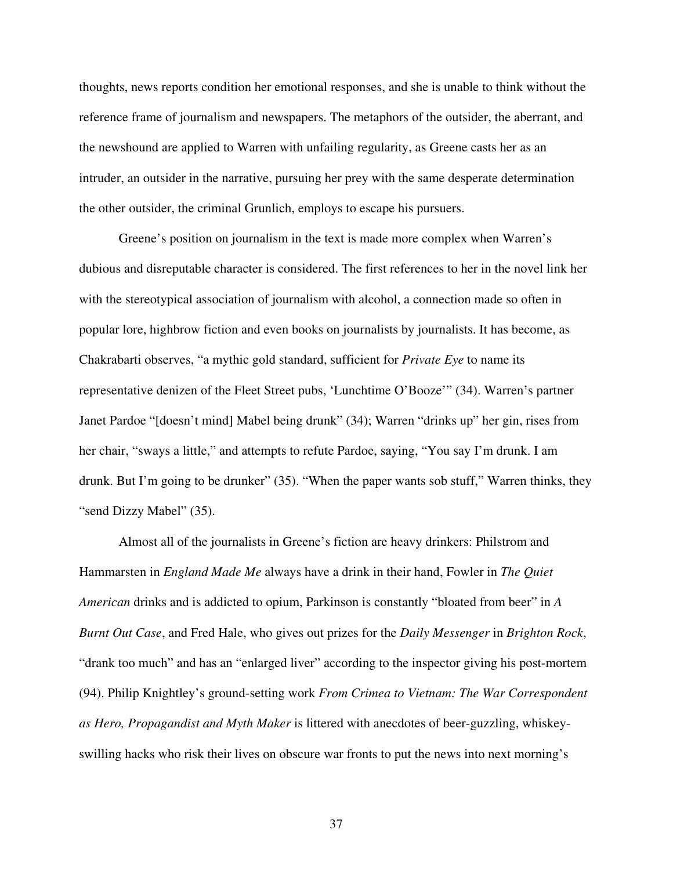thoughts, news reports condition her emotional responses, and she is unable to think without the reference frame of journalism and newspapers. The metaphors of the outsider, the aberrant, and the newshound are applied to Warren with unfailing regularity, as Greene casts her as an intruder, an outsider in the narrative, pursuing her prey with the same desperate determination the other outsider, the criminal Grunlich, employs to escape his pursuers.

Greene's position on journalism in the text is made more complex when Warren's dubious and disreputable character is considered. The first references to her in the novel link her with the stereotypical association of journalism with alcohol, a connection made so often in popular lore, highbrow fiction and even books on journalists by journalists. It has become, as Chakrabarti observes, "a mythic gold standard, sufficient for *Private Eye* to name its representative denizen of the Fleet Street pubs, 'Lunchtime O'Booze'" (34). Warren's partner Janet Pardoe "[doesn't mind] Mabel being drunk" (34); Warren "drinks up" her gin, rises from her chair, "sways a little," and attempts to refute Pardoe, saying, "You say I'm drunk. I am drunk. But I'm going to be drunker" (35). "When the paper wants sob stuff," Warren thinks, they "send Dizzy Mabel" (35).

Almost all of the journalists in Greene's fiction are heavy drinkers: Philstrom and Hammarsten in *England Made Me* always have a drink in their hand, Fowler in *The Quiet American* drinks and is addicted to opium, Parkinson is constantly "bloated from beer" in *A Burnt Out Case*, and Fred Hale, who gives out prizes for the *Daily Messenger* in *Brighton Rock*, "drank too much" and has an "enlarged liver" according to the inspector giving his post-mortem (94). Philip Knightley's ground-setting work *From Crimea to Vietnam: The War Correspondent as Hero, Propagandist and Myth Maker* is littered with anecdotes of beer-guzzling, whiskeyswilling hacks who risk their lives on obscure war fronts to put the news into next morning's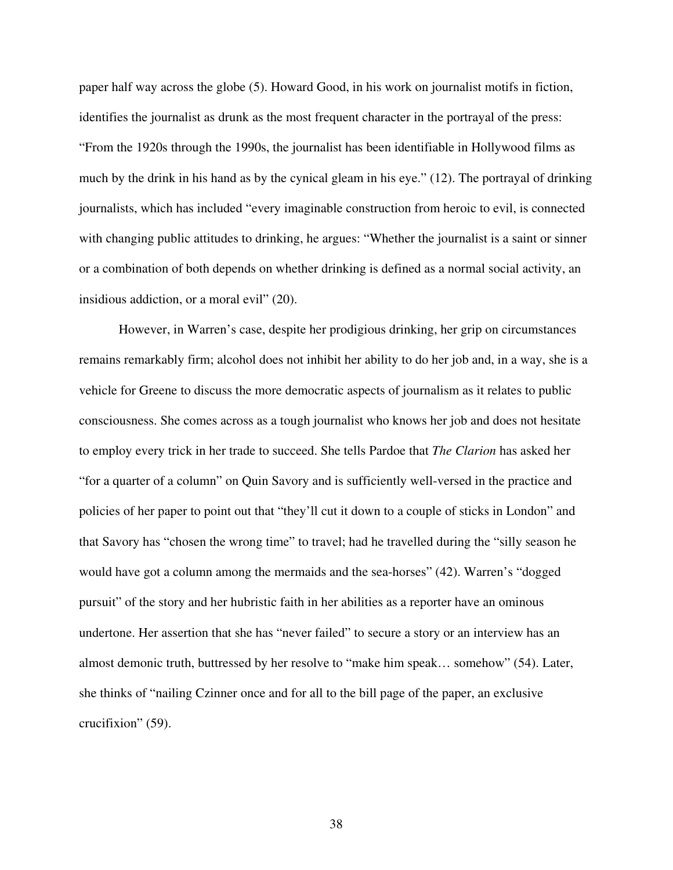paper half way across the globe (5). Howard Good, in his work on journalist motifs in fiction, identifies the journalist as drunk as the most frequent character in the portrayal of the press: "From the 1920s through the 1990s, the journalist has been identifiable in Hollywood films as much by the drink in his hand as by the cynical gleam in his eye." (12). The portrayal of drinking journalists, which has included "every imaginable construction from heroic to evil, is connected with changing public attitudes to drinking, he argues: "Whether the journalist is a saint or sinner or a combination of both depends on whether drinking is defined as a normal social activity, an insidious addiction, or a moral evil" (20).

However, in Warren's case, despite her prodigious drinking, her grip on circumstances remains remarkably firm; alcohol does not inhibit her ability to do her job and, in a way, she is a vehicle for Greene to discuss the more democratic aspects of journalism as it relates to public consciousness. She comes across as a tough journalist who knows her job and does not hesitate to employ every trick in her trade to succeed. She tells Pardoe that *The Clarion* has asked her "for a quarter of a column" on Quin Savory and is sufficiently well-versed in the practice and policies of her paper to point out that "they'll cut it down to a couple of sticks in London" and that Savory has "chosen the wrong time" to travel; had he travelled during the "silly season he would have got a column among the mermaids and the sea-horses" (42). Warren's "dogged pursuit" of the story and her hubristic faith in her abilities as a reporter have an ominous undertone. Her assertion that she has "never failed" to secure a story or an interview has an almost demonic truth, buttressed by her resolve to "make him speak… somehow" (54). Later, she thinks of "nailing Czinner once and for all to the bill page of the paper, an exclusive crucifixion" (59).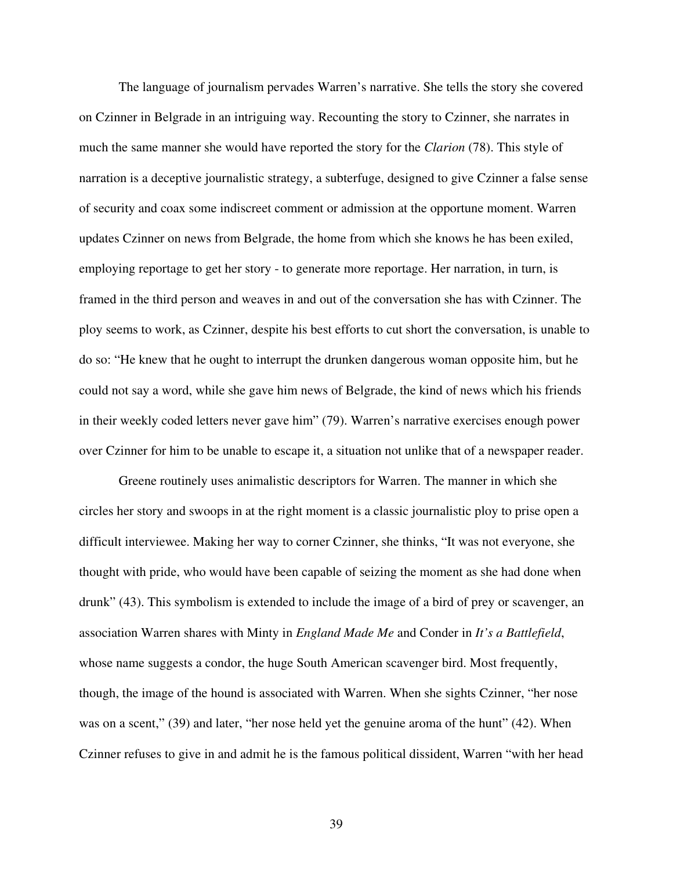The language of journalism pervades Warren's narrative. She tells the story she covered on Czinner in Belgrade in an intriguing way. Recounting the story to Czinner, she narrates in much the same manner she would have reported the story for the *Clarion* (78). This style of narration is a deceptive journalistic strategy, a subterfuge, designed to give Czinner a false sense of security and coax some indiscreet comment or admission at the opportune moment. Warren updates Czinner on news from Belgrade, the home from which she knows he has been exiled, employing reportage to get her story - to generate more reportage. Her narration, in turn, is framed in the third person and weaves in and out of the conversation she has with Czinner. The ploy seems to work, as Czinner, despite his best efforts to cut short the conversation, is unable to do so: "He knew that he ought to interrupt the drunken dangerous woman opposite him, but he could not say a word, while she gave him news of Belgrade, the kind of news which his friends in their weekly coded letters never gave him" (79). Warren's narrative exercises enough power over Czinner for him to be unable to escape it, a situation not unlike that of a newspaper reader.

Greene routinely uses animalistic descriptors for Warren. The manner in which she circles her story and swoops in at the right moment is a classic journalistic ploy to prise open a difficult interviewee. Making her way to corner Czinner, she thinks, "It was not everyone, she thought with pride, who would have been capable of seizing the moment as she had done when drunk" (43). This symbolism is extended to include the image of a bird of prey or scavenger, an association Warren shares with Minty in *England Made Me* and Conder in *It's a Battlefield*, whose name suggests a condor, the huge South American scavenger bird. Most frequently, though, the image of the hound is associated with Warren. When she sights Czinner, "her nose was on a scent," (39) and later, "her nose held yet the genuine aroma of the hunt" (42). When Czinner refuses to give in and admit he is the famous political dissident, Warren "with her head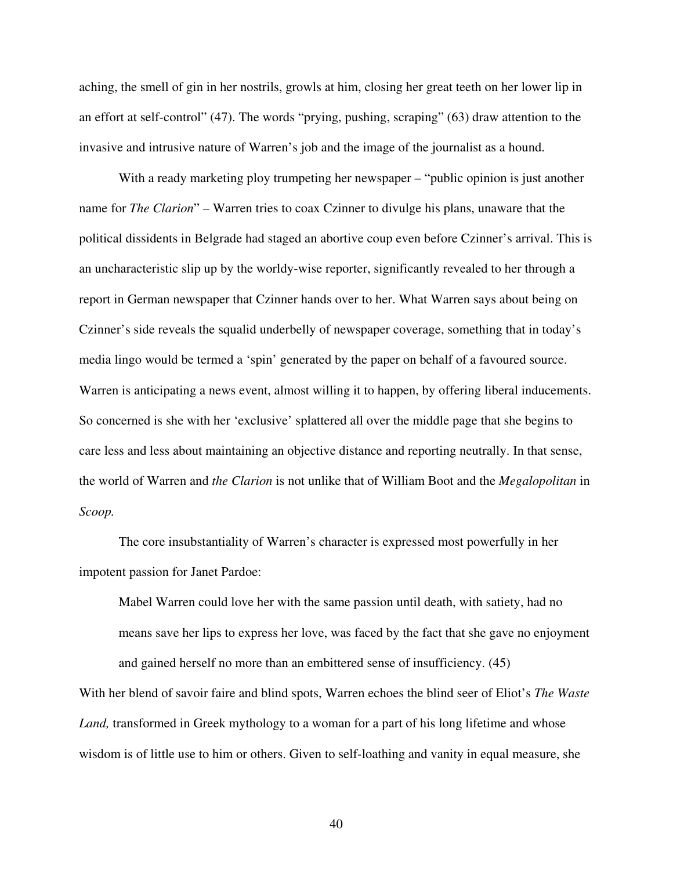aching, the smell of gin in her nostrils, growls at him, closing her great teeth on her lower lip in an effort at self-control" (47). The words "prying, pushing, scraping" (63) draw attention to the invasive and intrusive nature of Warren's job and the image of the journalist as a hound.

With a ready marketing ploy trumpeting her newspaper – "public opinion is just another name for *The Clarion*" – Warren tries to coax Czinner to divulge his plans, unaware that the political dissidents in Belgrade had staged an abortive coup even before Czinner's arrival. This is an uncharacteristic slip up by the worldy-wise reporter, significantly revealed to her through a report in German newspaper that Czinner hands over to her. What Warren says about being on Czinner's side reveals the squalid underbelly of newspaper coverage, something that in today's media lingo would be termed a 'spin' generated by the paper on behalf of a favoured source. Warren is anticipating a news event, almost willing it to happen, by offering liberal inducements. So concerned is she with her 'exclusive' splattered all over the middle page that she begins to care less and less about maintaining an objective distance and reporting neutrally. In that sense, the world of Warren and *the Clarion* is not unlike that of William Boot and the *Megalopolitan* in *Scoop.*

The core insubstantiality of Warren's character is expressed most powerfully in her impotent passion for Janet Pardoe:

Mabel Warren could love her with the same passion until death, with satiety, had no means save her lips to express her love, was faced by the fact that she gave no enjoyment and gained herself no more than an embittered sense of insufficiency. (45)

With her blend of savoir faire and blind spots, Warren echoes the blind seer of Eliot's *The Waste Land,* transformed in Greek mythology to a woman for a part of his long lifetime and whose wisdom is of little use to him or others. Given to self-loathing and vanity in equal measure, she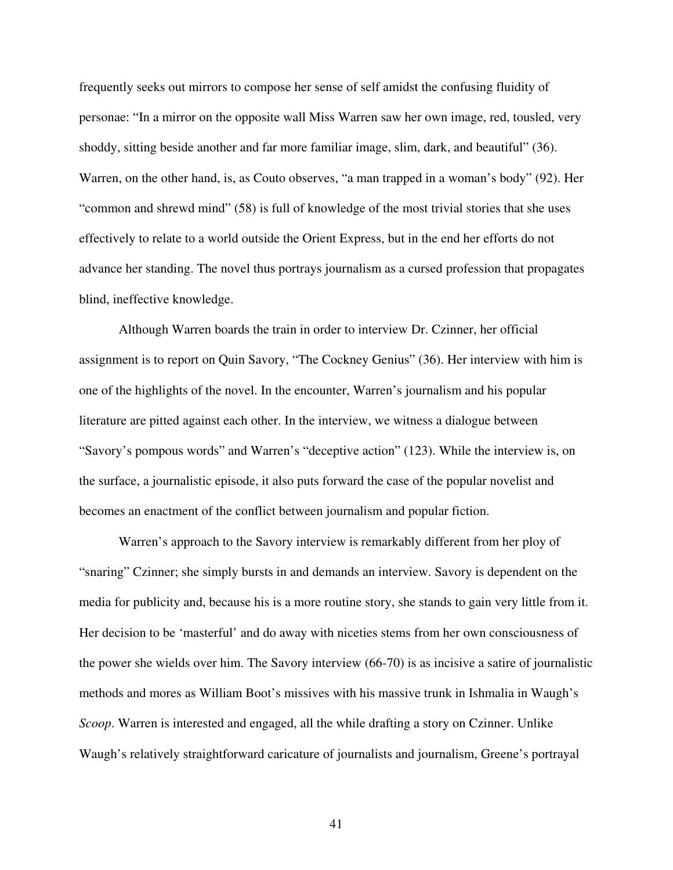frequently seeks out mirrors to compose her sense of self amidst the confusing fluidity of personae: "In a mirror on the opposite wall Miss Warren saw her own image, red, tousled, very shoddy, sitting beside another and far more familiar image, slim, dark, and beautiful" (36). Warren, on the other hand, is, as Couto observes, "a man trapped in a woman's body" (92). Her "common and shrewd mind" (58) is full of knowledge of the most trivial stories that she uses effectively to relate to a world outside the Orient Express, but in the end her efforts do not advance her standing. The novel thus portrays journalism as a cursed profession that propagates blind, ineffective knowledge.

Although Warren boards the train in order to interview Dr. Czinner, her official assignment is to report on Quin Savory, "The Cockney Genius" (36). Her interview with him is one of the highlights of the novel. In the encounter, Warren's journalism and his popular literature are pitted against each other. In the interview, we witness a dialogue between "Savory's pompous words" and Warren's "deceptive action" (123). While the interview is, on the surface, a journalistic episode, it also puts forward the case of the popular novelist and becomes an enactment of the conflict between journalism and popular fiction.

Warren's approach to the Savory interview is remarkably different from her ploy of "snaring" Czinner; she simply bursts in and demands an interview. Savory is dependent on the media for publicity and, because his is a more routine story, she stands to gain very little from it. Her decision to be 'masterful' and do away with niceties stems from her own consciousness of the power she wields over him. The Savory interview (66-70) is as incisive a satire of journalistic methods and mores as William Boot's missives with his massive trunk in Ishmalia in Waugh's *Scoop*. Warren is interested and engaged, all the while drafting a story on Czinner. Unlike Waugh's relatively straightforward caricature of journalists and journalism, Greene's portrayal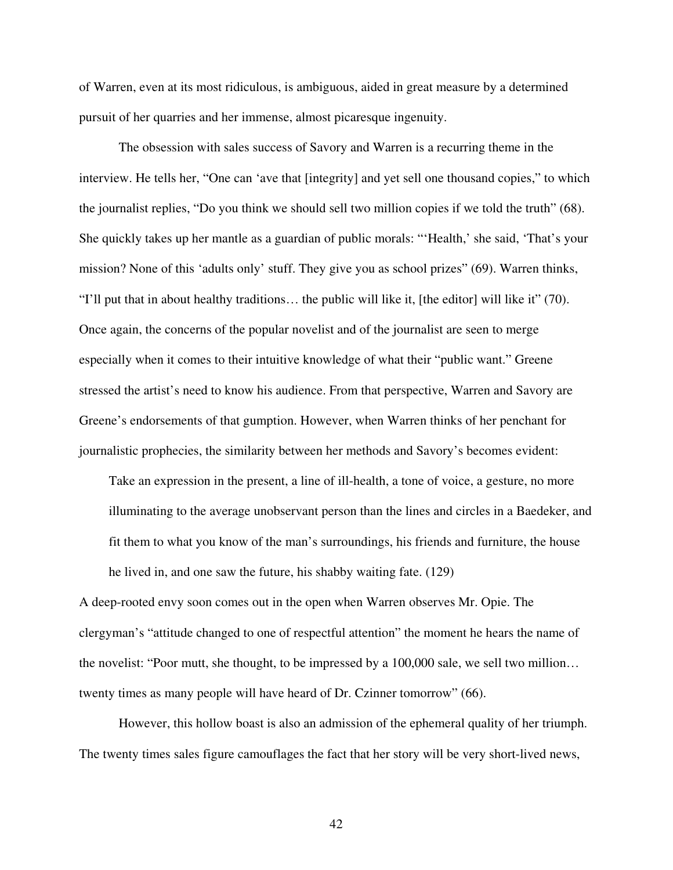of Warren, even at its most ridiculous, is ambiguous, aided in great measure by a determined pursuit of her quarries and her immense, almost picaresque ingenuity.

The obsession with sales success of Savory and Warren is a recurring theme in the interview. He tells her, "One can 'ave that [integrity] and yet sell one thousand copies," to which the journalist replies, "Do you think we should sell two million copies if we told the truth" (68). She quickly takes up her mantle as a guardian of public morals: "'Health,' she said, 'That's your mission? None of this 'adults only' stuff. They give you as school prizes" (69). Warren thinks, "I'll put that in about healthy traditions… the public will like it, [the editor] will like it" (70). Once again, the concerns of the popular novelist and of the journalist are seen to merge especially when it comes to their intuitive knowledge of what their "public want." Greene stressed the artist's need to know his audience. From that perspective, Warren and Savory are Greene's endorsements of that gumption. However, when Warren thinks of her penchant for journalistic prophecies, the similarity between her methods and Savory's becomes evident:

Take an expression in the present, a line of ill-health, a tone of voice, a gesture, no more illuminating to the average unobservant person than the lines and circles in a Baedeker, and fit them to what you know of the man's surroundings, his friends and furniture, the house he lived in, and one saw the future, his shabby waiting fate. (129)

A deep-rooted envy soon comes out in the open when Warren observes Mr. Opie. The clergyman's "attitude changed to one of respectful attention" the moment he hears the name of the novelist: "Poor mutt, she thought, to be impressed by a 100,000 sale, we sell two million… twenty times as many people will have heard of Dr. Czinner tomorrow" (66).

However, this hollow boast is also an admission of the ephemeral quality of her triumph. The twenty times sales figure camouflages the fact that her story will be very short-lived news,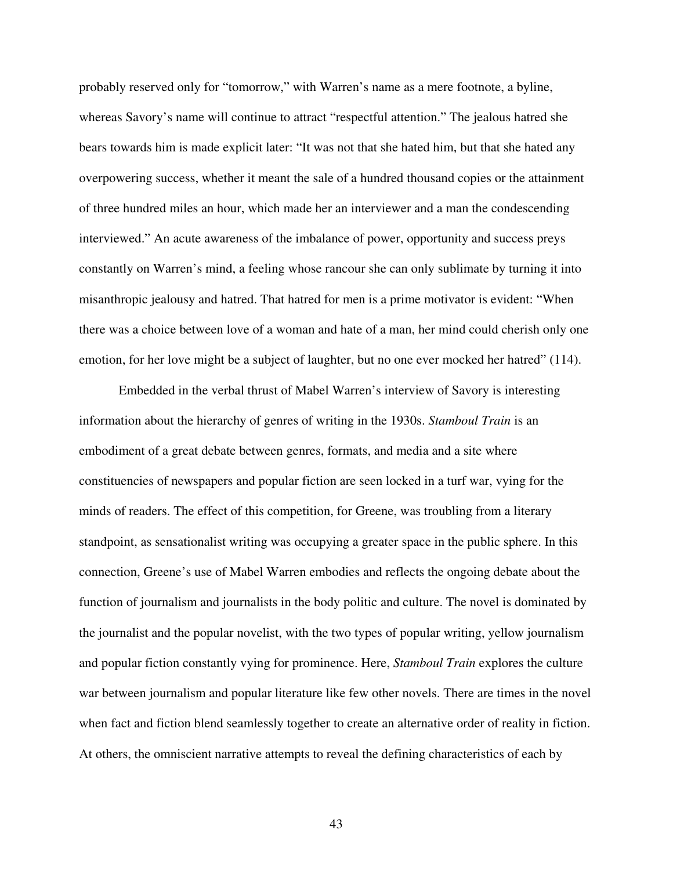probably reserved only for "tomorrow," with Warren's name as a mere footnote, a byline, whereas Savory's name will continue to attract "respectful attention." The jealous hatred she bears towards him is made explicit later: "It was not that she hated him, but that she hated any overpowering success, whether it meant the sale of a hundred thousand copies or the attainment of three hundred miles an hour, which made her an interviewer and a man the condescending interviewed." An acute awareness of the imbalance of power, opportunity and success preys constantly on Warren's mind, a feeling whose rancour she can only sublimate by turning it into misanthropic jealousy and hatred. That hatred for men is a prime motivator is evident: "When there was a choice between love of a woman and hate of a man, her mind could cherish only one emotion, for her love might be a subject of laughter, but no one ever mocked her hatred" (114).

Embedded in the verbal thrust of Mabel Warren's interview of Savory is interesting information about the hierarchy of genres of writing in the 1930s. *Stamboul Train* is an embodiment of a great debate between genres, formats, and media and a site where constituencies of newspapers and popular fiction are seen locked in a turf war, vying for the minds of readers. The effect of this competition, for Greene, was troubling from a literary standpoint, as sensationalist writing was occupying a greater space in the public sphere. In this connection, Greene's use of Mabel Warren embodies and reflects the ongoing debate about the function of journalism and journalists in the body politic and culture. The novel is dominated by the journalist and the popular novelist, with the two types of popular writing, yellow journalism and popular fiction constantly vying for prominence. Here, *Stamboul Train* explores the culture war between journalism and popular literature like few other novels. There are times in the novel when fact and fiction blend seamlessly together to create an alternative order of reality in fiction. At others, the omniscient narrative attempts to reveal the defining characteristics of each by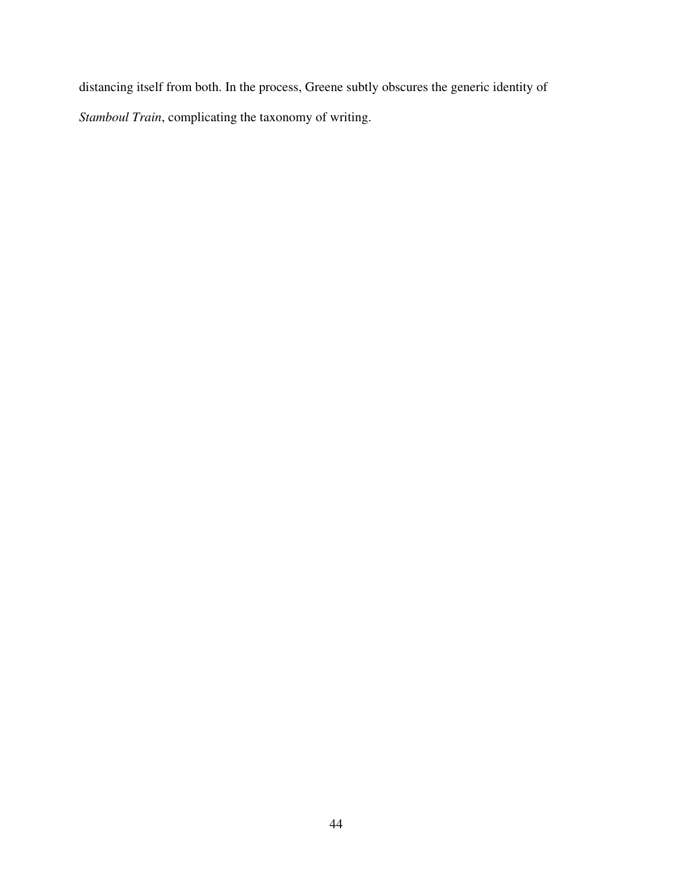distancing itself from both. In the process, Greene subtly obscures the generic identity of *Stamboul Train*, complicating the taxonomy of writing.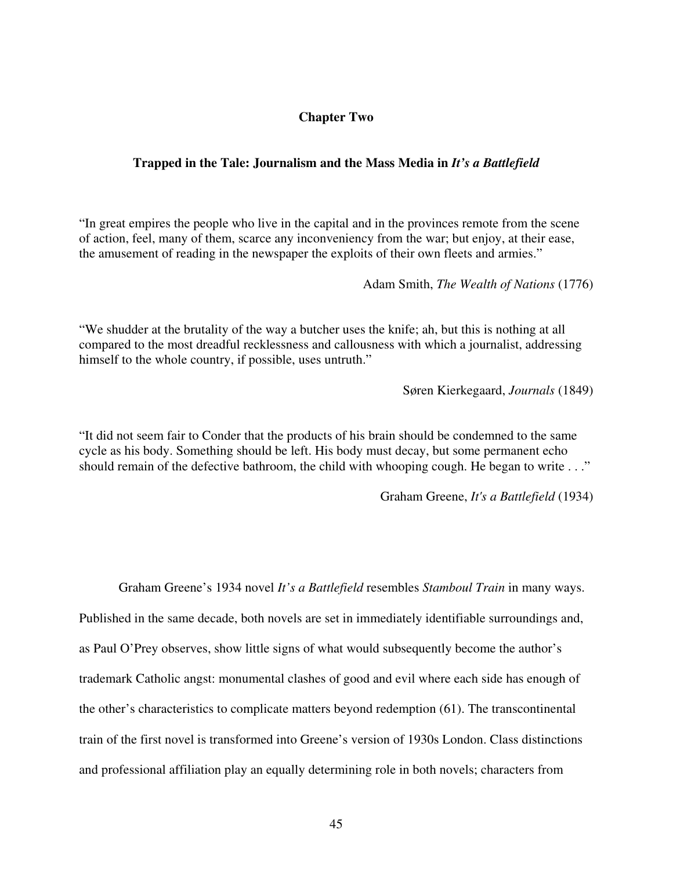## **Chapter Two**

## **Trapped in the Tale: Journalism and the Mass Media in** *It's a Battlefield*

"In great empires the people who live in the capital and in the provinces remote from the scene of action, feel, many of them, scarce any inconveniency from the war; but enjoy, at their ease, the amusement of reading in the newspaper the exploits of their own fleets and armies."

Adam Smith, *The Wealth of Nations* (1776)

"We shudder at the brutality of the way a butcher uses the knife; ah, but this is nothing at all compared to the most dreadful recklessness and callousness with which a journalist, addressing himself to the whole country, if possible, uses untruth."

Søren Kierkegaard, *Journals* (1849)

"It did not seem fair to Conder that the products of his brain should be condemned to the same cycle as his body. Something should be left. His body must decay, but some permanent echo should remain of the defective bathroom, the child with whooping cough. He began to write . . ."

Graham Greene, *It's a Battlefield* (1934)

Graham Greene's 1934 novel *It's a Battlefield* resembles *Stamboul Train* in many ways. Published in the same decade, both novels are set in immediately identifiable surroundings and, as Paul O'Prey observes, show little signs of what would subsequently become the author's trademark Catholic angst: monumental clashes of good and evil where each side has enough of the other's characteristics to complicate matters beyond redemption (61). The transcontinental train of the first novel is transformed into Greene's version of 1930s London. Class distinctions and professional affiliation play an equally determining role in both novels; characters from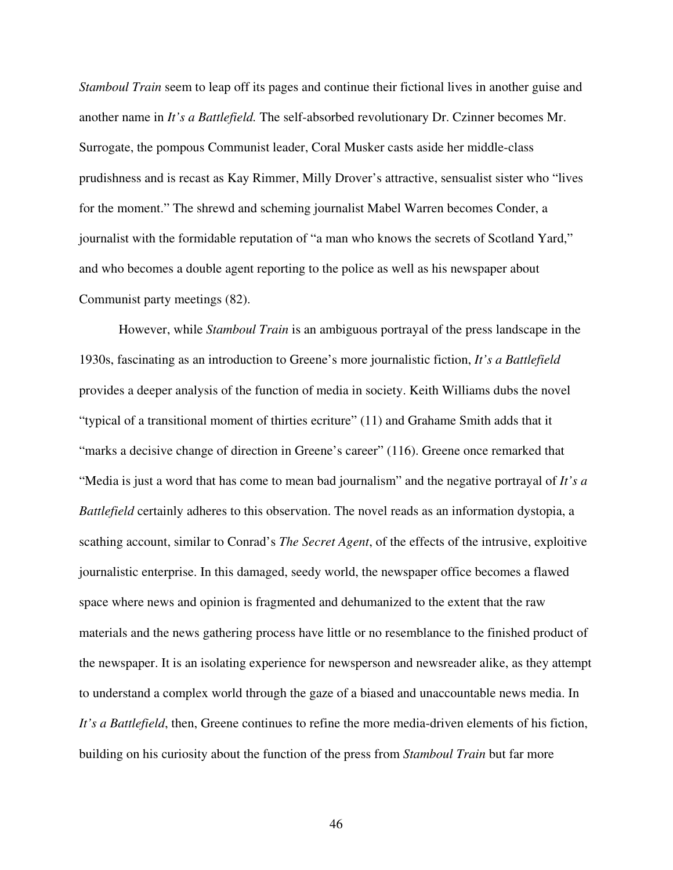*Stamboul Train* seem to leap off its pages and continue their fictional lives in another guise and another name in *It's a Battlefield.* The self-absorbed revolutionary Dr. Czinner becomes Mr. Surrogate, the pompous Communist leader, Coral Musker casts aside her middle-class prudishness and is recast as Kay Rimmer, Milly Drover's attractive, sensualist sister who "lives for the moment." The shrewd and scheming journalist Mabel Warren becomes Conder, a journalist with the formidable reputation of "a man who knows the secrets of Scotland Yard," and who becomes a double agent reporting to the police as well as his newspaper about Communist party meetings (82).

However, while *Stamboul Train* is an ambiguous portrayal of the press landscape in the 1930s, fascinating as an introduction to Greene's more journalistic fiction, *It's a Battlefield* provides a deeper analysis of the function of media in society. Keith Williams dubs the novel "typical of a transitional moment of thirties ecriture" (11) and Grahame Smith adds that it "marks a decisive change of direction in Greene's career" (116). Greene once remarked that "Media is just a word that has come to mean bad journalism" and the negative portrayal of *It's a Battlefield* certainly adheres to this observation. The novel reads as an information dystopia, a scathing account, similar to Conrad's *The Secret Agent*, of the effects of the intrusive, exploitive journalistic enterprise. In this damaged, seedy world, the newspaper office becomes a flawed space where news and opinion is fragmented and dehumanized to the extent that the raw materials and the news gathering process have little or no resemblance to the finished product of the newspaper. It is an isolating experience for newsperson and newsreader alike, as they attempt to understand a complex world through the gaze of a biased and unaccountable news media. In *It's a Battlefield*, then, Greene continues to refine the more media-driven elements of his fiction, building on his curiosity about the function of the press from *Stamboul Train* but far more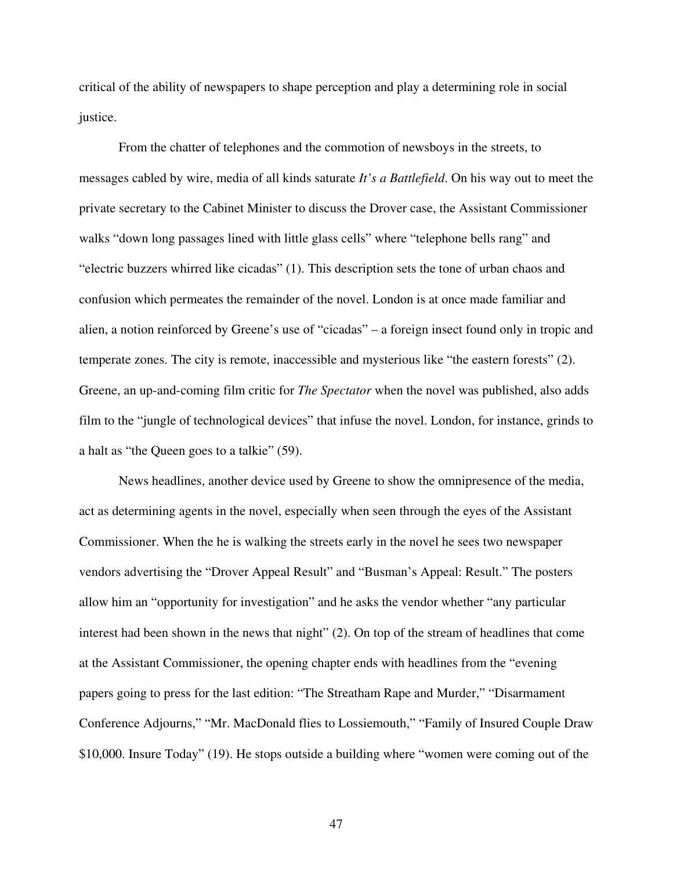critical of the ability of newspapers to shape perception and play a determining role in social justice.

From the chatter of telephones and the commotion of newsboys in the streets, to messages cabled by wire, media of all kinds saturate *It's a Battlefield*. On his way out to meet the private secretary to the Cabinet Minister to discuss the Drover case, the Assistant Commissioner walks "down long passages lined with little glass cells" where "telephone bells rang" and "electric buzzers whirred like cicadas" (1). This description sets the tone of urban chaos and confusion which permeates the remainder of the novel. London is at once made familiar and alien, a notion reinforced by Greene's use of "cicadas" – a foreign insect found only in tropic and temperate zones. The city is remote, inaccessible and mysterious like "the eastern forests" (2). Greene, an up-and-coming film critic for *The Spectator* when the novel was published, also adds film to the "jungle of technological devices" that infuse the novel. London, for instance, grinds to a halt as "the Queen goes to a talkie" (59).

News headlines, another device used by Greene to show the omnipresence of the media, act as determining agents in the novel, especially when seen through the eyes of the Assistant Commissioner. When the he is walking the streets early in the novel he sees two newspaper vendors advertising the "Drover Appeal Result" and "Busman's Appeal: Result." The posters allow him an "opportunity for investigation" and he asks the vendor whether "any particular interest had been shown in the news that night" (2). On top of the stream of headlines that come at the Assistant Commissioner, the opening chapter ends with headlines from the "evening papers going to press for the last edition: "The Streatham Rape and Murder," "Disarmament Conference Adjourns," "Mr. MacDonald flies to Lossiemouth," "Family of Insured Couple Draw \$10,000. Insure Today" (19). He stops outside a building where "women were coming out of the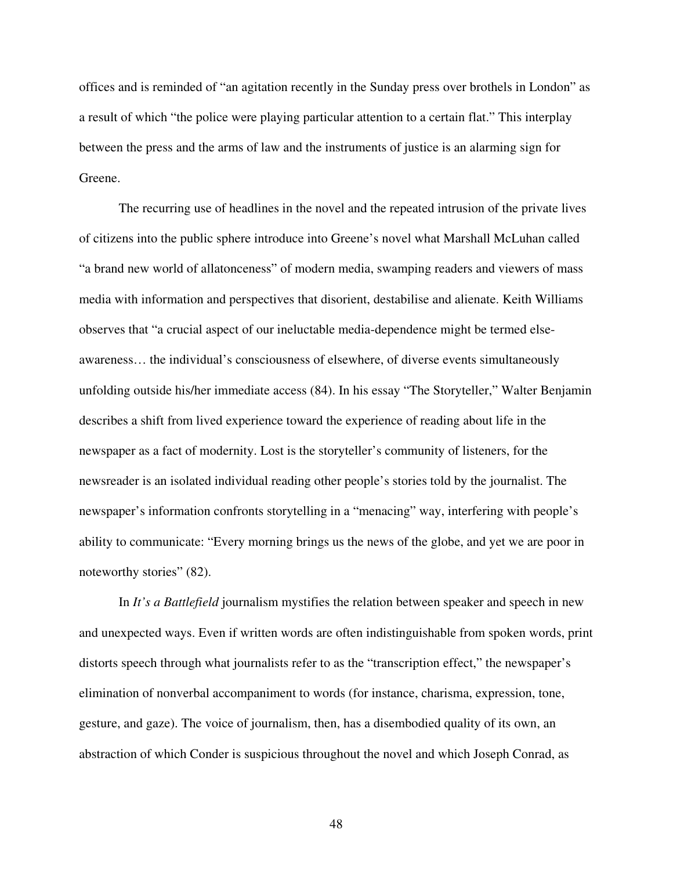offices and is reminded of "an agitation recently in the Sunday press over brothels in London" as a result of which "the police were playing particular attention to a certain flat." This interplay between the press and the arms of law and the instruments of justice is an alarming sign for Greene.

The recurring use of headlines in the novel and the repeated intrusion of the private lives of citizens into the public sphere introduce into Greene's novel what Marshall McLuhan called "a brand new world of allatonceness" of modern media, swamping readers and viewers of mass media with information and perspectives that disorient, destabilise and alienate. Keith Williams observes that "a crucial aspect of our ineluctable media-dependence might be termed elseawareness… the individual's consciousness of elsewhere, of diverse events simultaneously unfolding outside his/her immediate access (84). In his essay "The Storyteller," Walter Benjamin describes a shift from lived experience toward the experience of reading about life in the newspaper as a fact of modernity. Lost is the storyteller's community of listeners, for the newsreader is an isolated individual reading other people's stories told by the journalist. The newspaper's information confronts storytelling in a "menacing" way, interfering with people's ability to communicate: "Every morning brings us the news of the globe, and yet we are poor in noteworthy stories" (82).

In *It's a Battlefield* journalism mystifies the relation between speaker and speech in new and unexpected ways. Even if written words are often indistinguishable from spoken words, print distorts speech through what journalists refer to as the "transcription effect," the newspaper's elimination of nonverbal accompaniment to words (for instance, charisma, expression, tone, gesture, and gaze). The voice of journalism, then, has a disembodied quality of its own, an abstraction of which Conder is suspicious throughout the novel and which Joseph Conrad, as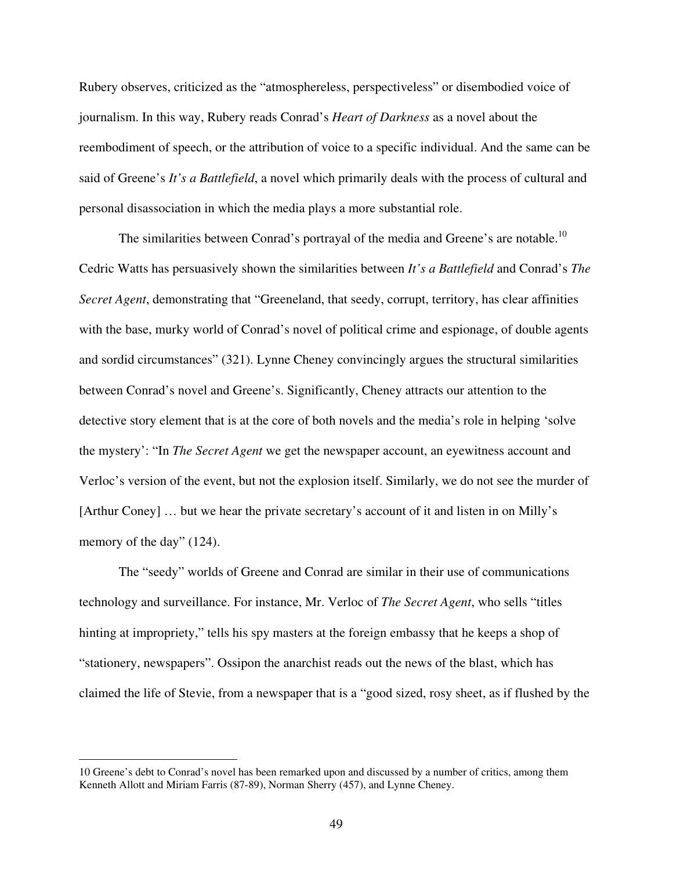Rubery observes, criticized as the "atmosphereless, perspectiveless" or disembodied voice of journalism. In this way, Rubery reads Conrad's *Heart of Darkness* as a novel about the reembodiment of speech, or the attribution of voice to a specific individual. And the same can be said of Greene's *It's a Battlefield*, a novel which primarily deals with the process of cultural and personal disassociation in which the media plays a more substantial role.

The similarities between Conrad's portrayal of the media and Greene's are notable.<sup>10</sup> Cedric Watts has persuasively shown the similarities between *It's a Battlefield* and Conrad's *The Secret Agent*, demonstrating that "Greeneland, that seedy, corrupt, territory, has clear affinities with the base, murky world of Conrad's novel of political crime and espionage, of double agents and sordid circumstances" (321). Lynne Cheney convincingly argues the structural similarities between Conrad's novel and Greene's. Significantly, Cheney attracts our attention to the detective story element that is at the core of both novels and the media's role in helping 'solve the mystery': "In *The Secret Agent* we get the newspaper account, an eyewitness account and Verloc's version of the event, but not the explosion itself. Similarly, we do not see the murder of [Arthur Coney] … but we hear the private secretary's account of it and listen in on Milly's memory of the day" (124).

The "seedy" worlds of Greene and Conrad are similar in their use of communications technology and surveillance. For instance, Mr. Verloc of *The Secret Agent*, who sells "titles hinting at impropriety," tells his spy masters at the foreign embassy that he keeps a shop of "stationery, newspapers". Ossipon the anarchist reads out the news of the blast, which has claimed the life of Stevie, from a newspaper that is a "good sized, rosy sheet, as if flushed by the

<sup>10</sup> Greene's debt to Conrad's novel has been remarked upon and discussed by a number of critics, among them Kenneth Allott and Miriam Farris (87-89), Norman Sherry (457), and Lynne Cheney.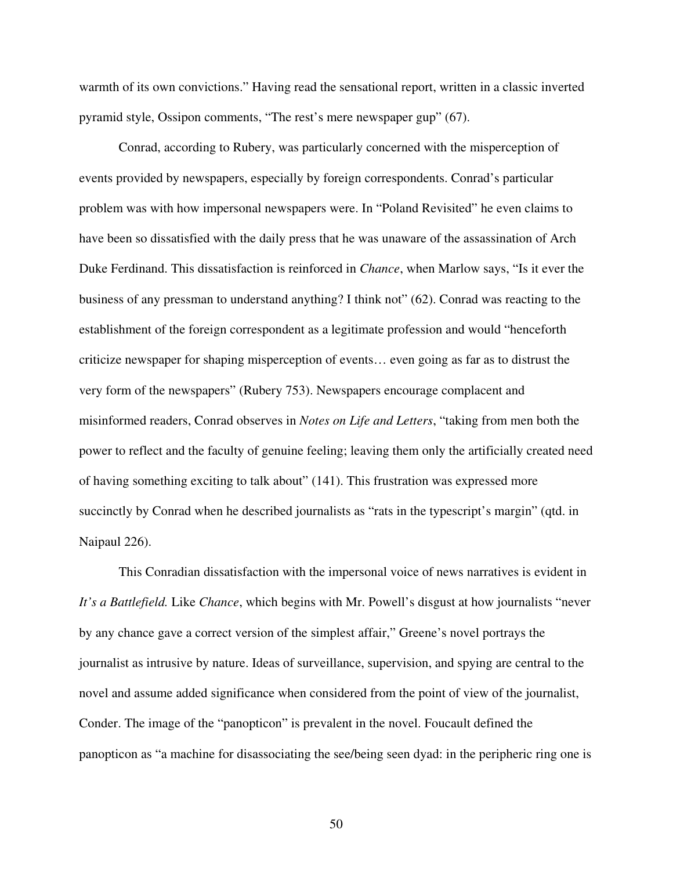warmth of its own convictions." Having read the sensational report, written in a classic inverted pyramid style, Ossipon comments, "The rest's mere newspaper gup" (67).

Conrad, according to Rubery, was particularly concerned with the misperception of events provided by newspapers, especially by foreign correspondents. Conrad's particular problem was with how impersonal newspapers were. In "Poland Revisited" he even claims to have been so dissatisfied with the daily press that he was unaware of the assassination of Arch Duke Ferdinand. This dissatisfaction is reinforced in *Chance*, when Marlow says, "Is it ever the business of any pressman to understand anything? I think not" (62). Conrad was reacting to the establishment of the foreign correspondent as a legitimate profession and would "henceforth criticize newspaper for shaping misperception of events… even going as far as to distrust the very form of the newspapers" (Rubery 753). Newspapers encourage complacent and misinformed readers, Conrad observes in *Notes on Life and Letters*, "taking from men both the power to reflect and the faculty of genuine feeling; leaving them only the artificially created need of having something exciting to talk about" (141). This frustration was expressed more succinctly by Conrad when he described journalists as "rats in the typescript's margin" (qtd. in Naipaul 226).

This Conradian dissatisfaction with the impersonal voice of news narratives is evident in *It's a Battlefield.* Like *Chance*, which begins with Mr. Powell's disgust at how journalists "never by any chance gave a correct version of the simplest affair," Greene's novel portrays the journalist as intrusive by nature. Ideas of surveillance, supervision, and spying are central to the novel and assume added significance when considered from the point of view of the journalist, Conder. The image of the "panopticon" is prevalent in the novel. Foucault defined the panopticon as "a machine for disassociating the see/being seen dyad: in the peripheric ring one is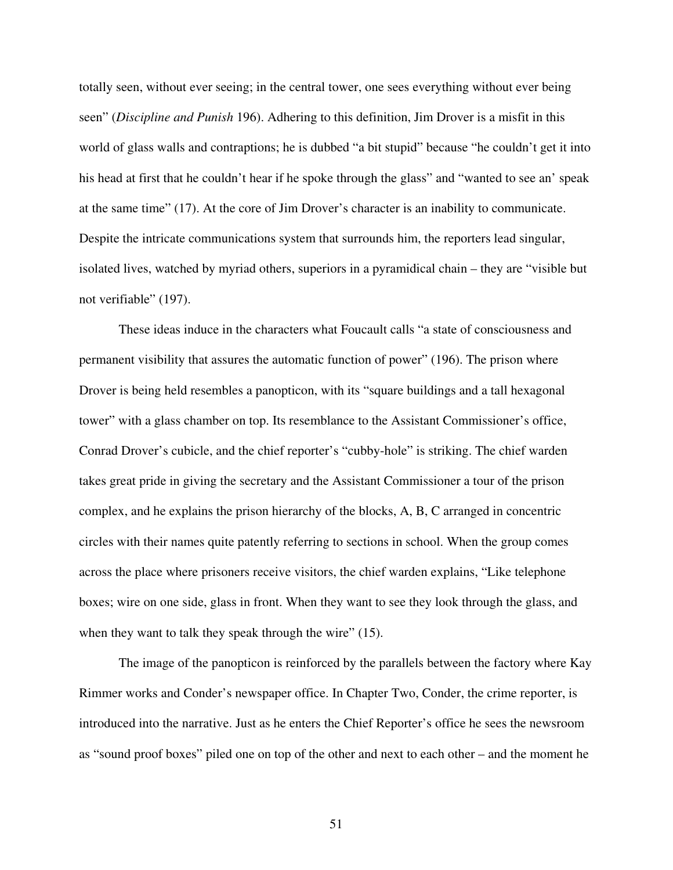totally seen, without ever seeing; in the central tower, one sees everything without ever being seen" (*Discipline and Punish* 196). Adhering to this definition, Jim Drover is a misfit in this world of glass walls and contraptions; he is dubbed "a bit stupid" because "he couldn't get it into his head at first that he couldn't hear if he spoke through the glass" and "wanted to see an' speak at the same time" (17). At the core of Jim Drover's character is an inability to communicate. Despite the intricate communications system that surrounds him, the reporters lead singular, isolated lives, watched by myriad others, superiors in a pyramidical chain – they are "visible but not verifiable" (197).

These ideas induce in the characters what Foucault calls "a state of consciousness and permanent visibility that assures the automatic function of power" (196). The prison where Drover is being held resembles a panopticon, with its "square buildings and a tall hexagonal tower" with a glass chamber on top. Its resemblance to the Assistant Commissioner's office, Conrad Drover's cubicle, and the chief reporter's "cubby-hole" is striking. The chief warden takes great pride in giving the secretary and the Assistant Commissioner a tour of the prison complex, and he explains the prison hierarchy of the blocks, A, B, C arranged in concentric circles with their names quite patently referring to sections in school. When the group comes across the place where prisoners receive visitors, the chief warden explains, "Like telephone boxes; wire on one side, glass in front. When they want to see they look through the glass, and when they want to talk they speak through the wire" (15).

The image of the panopticon is reinforced by the parallels between the factory where Kay Rimmer works and Conder's newspaper office. In Chapter Two, Conder, the crime reporter, is introduced into the narrative. Just as he enters the Chief Reporter's office he sees the newsroom as "sound proof boxes" piled one on top of the other and next to each other – and the moment he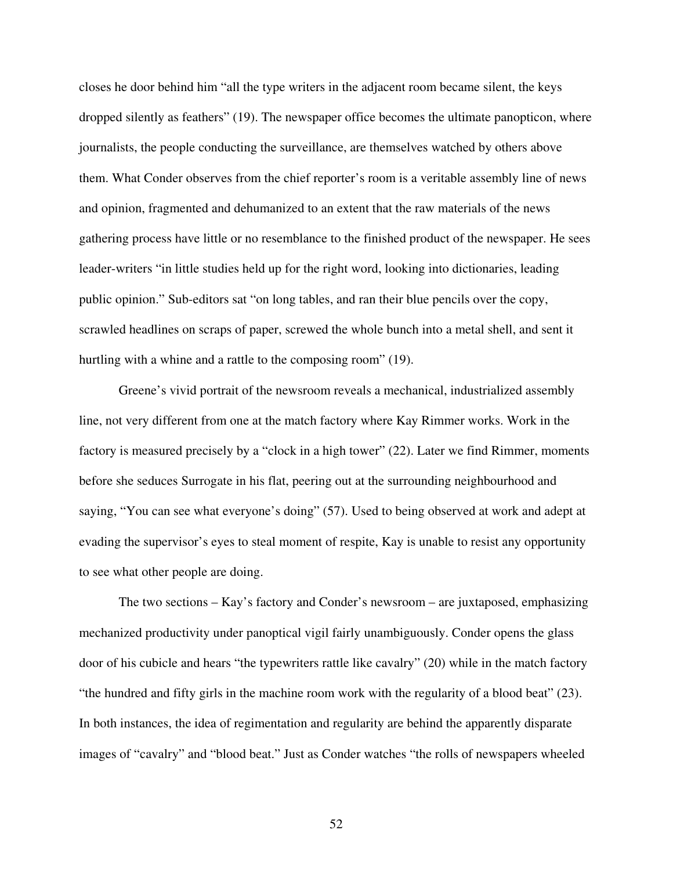closes he door behind him "all the type writers in the adjacent room became silent, the keys dropped silently as feathers" (19). The newspaper office becomes the ultimate panopticon, where journalists, the people conducting the surveillance, are themselves watched by others above them. What Conder observes from the chief reporter's room is a veritable assembly line of news and opinion, fragmented and dehumanized to an extent that the raw materials of the news gathering process have little or no resemblance to the finished product of the newspaper. He sees leader-writers "in little studies held up for the right word, looking into dictionaries, leading public opinion." Sub-editors sat "on long tables, and ran their blue pencils over the copy, scrawled headlines on scraps of paper, screwed the whole bunch into a metal shell, and sent it hurtling with a whine and a rattle to the composing room" (19).

Greene's vivid portrait of the newsroom reveals a mechanical, industrialized assembly line, not very different from one at the match factory where Kay Rimmer works. Work in the factory is measured precisely by a "clock in a high tower" (22). Later we find Rimmer, moments before she seduces Surrogate in his flat, peering out at the surrounding neighbourhood and saying, "You can see what everyone's doing" (57). Used to being observed at work and adept at evading the supervisor's eyes to steal moment of respite, Kay is unable to resist any opportunity to see what other people are doing.

The two sections – Kay's factory and Conder's newsroom – are juxtaposed, emphasizing mechanized productivity under panoptical vigil fairly unambiguously. Conder opens the glass door of his cubicle and hears "the typewriters rattle like cavalry" (20) while in the match factory "the hundred and fifty girls in the machine room work with the regularity of a blood beat" (23). In both instances, the idea of regimentation and regularity are behind the apparently disparate images of "cavalry" and "blood beat." Just as Conder watches "the rolls of newspapers wheeled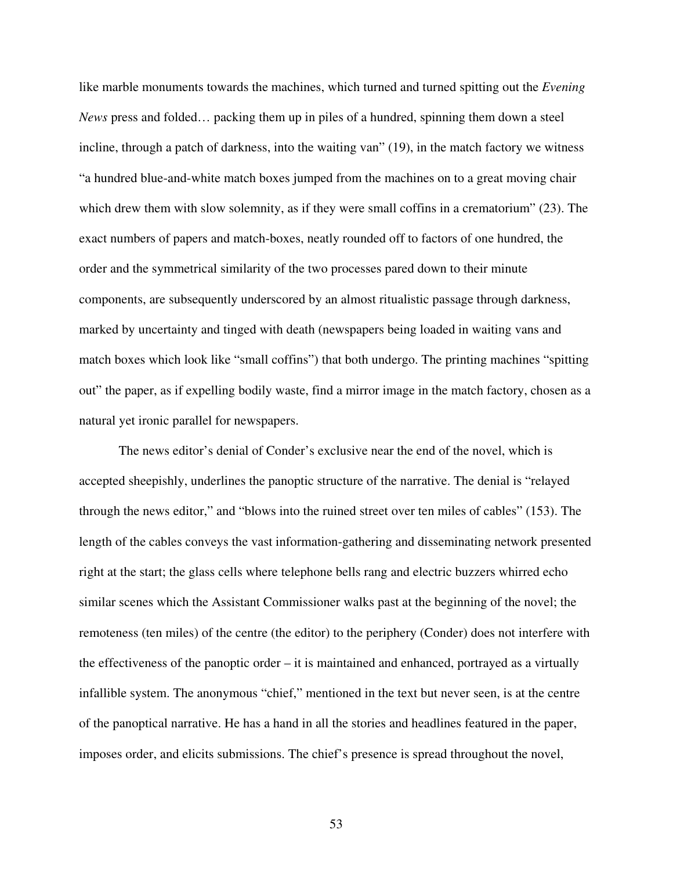like marble monuments towards the machines, which turned and turned spitting out the *Evening News* press and folded… packing them up in piles of a hundred, spinning them down a steel incline, through a patch of darkness, into the waiting van" (19), in the match factory we witness "a hundred blue-and-white match boxes jumped from the machines on to a great moving chair which drew them with slow solemnity, as if they were small coffins in a crematorium" (23). The exact numbers of papers and match-boxes, neatly rounded off to factors of one hundred, the order and the symmetrical similarity of the two processes pared down to their minute components, are subsequently underscored by an almost ritualistic passage through darkness, marked by uncertainty and tinged with death (newspapers being loaded in waiting vans and match boxes which look like "small coffins") that both undergo. The printing machines "spitting out" the paper, as if expelling bodily waste, find a mirror image in the match factory, chosen as a natural yet ironic parallel for newspapers.

The news editor's denial of Conder's exclusive near the end of the novel, which is accepted sheepishly, underlines the panoptic structure of the narrative. The denial is "relayed through the news editor," and "blows into the ruined street over ten miles of cables" (153). The length of the cables conveys the vast information-gathering and disseminating network presented right at the start; the glass cells where telephone bells rang and electric buzzers whirred echo similar scenes which the Assistant Commissioner walks past at the beginning of the novel; the remoteness (ten miles) of the centre (the editor) to the periphery (Conder) does not interfere with the effectiveness of the panoptic order – it is maintained and enhanced, portrayed as a virtually infallible system. The anonymous "chief," mentioned in the text but never seen, is at the centre of the panoptical narrative. He has a hand in all the stories and headlines featured in the paper, imposes order, and elicits submissions. The chief's presence is spread throughout the novel,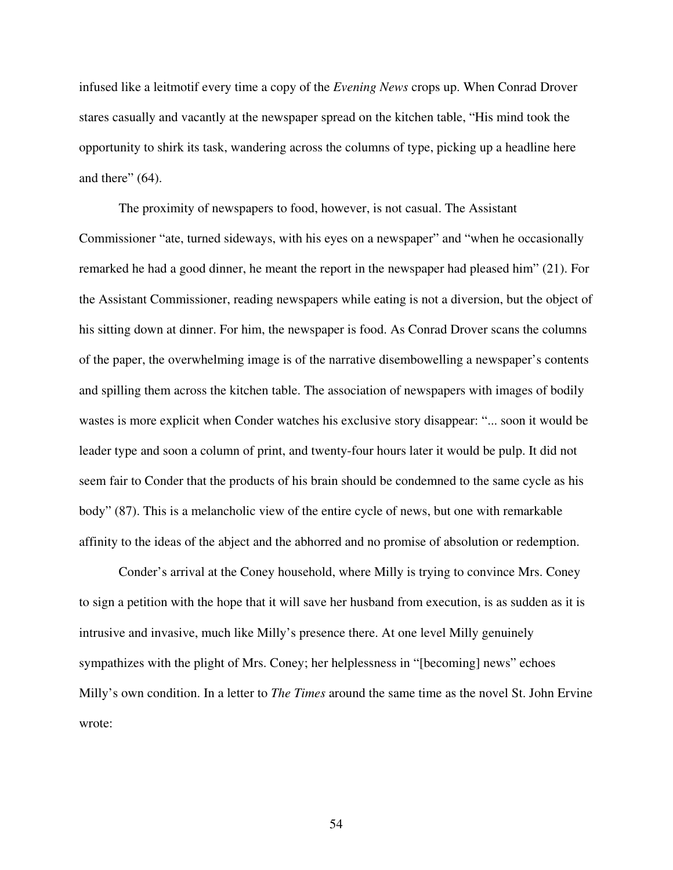infused like a leitmotif every time a copy of the *Evening News* crops up. When Conrad Drover stares casually and vacantly at the newspaper spread on the kitchen table, "His mind took the opportunity to shirk its task, wandering across the columns of type, picking up a headline here and there" (64).

The proximity of newspapers to food, however, is not casual. The Assistant Commissioner "ate, turned sideways, with his eyes on a newspaper" and "when he occasionally remarked he had a good dinner, he meant the report in the newspaper had pleased him" (21). For the Assistant Commissioner, reading newspapers while eating is not a diversion, but the object of his sitting down at dinner. For him, the newspaper is food. As Conrad Drover scans the columns of the paper, the overwhelming image is of the narrative disembowelling a newspaper's contents and spilling them across the kitchen table. The association of newspapers with images of bodily wastes is more explicit when Conder watches his exclusive story disappear: "... soon it would be leader type and soon a column of print, and twenty-four hours later it would be pulp. It did not seem fair to Conder that the products of his brain should be condemned to the same cycle as his body" (87). This is a melancholic view of the entire cycle of news, but one with remarkable affinity to the ideas of the abject and the abhorred and no promise of absolution or redemption.

Conder's arrival at the Coney household, where Milly is trying to convince Mrs. Coney to sign a petition with the hope that it will save her husband from execution, is as sudden as it is intrusive and invasive, much like Milly's presence there. At one level Milly genuinely sympathizes with the plight of Mrs. Coney; her helplessness in "[becoming] news" echoes Milly's own condition. In a letter to *The Times* around the same time as the novel St. John Ervine wrote: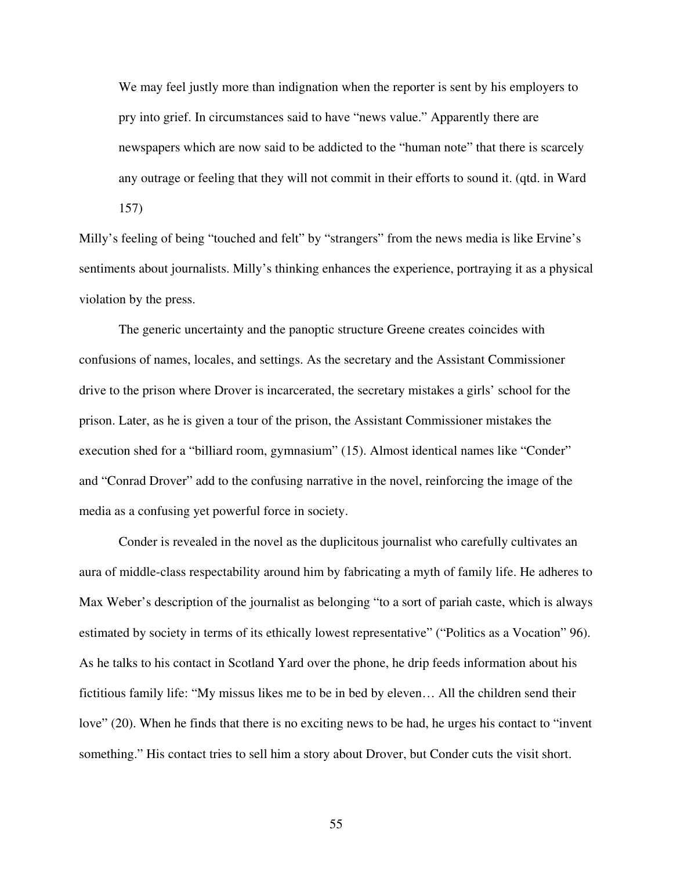We may feel justly more than indignation when the reporter is sent by his employers to pry into grief. In circumstances said to have "news value." Apparently there are newspapers which are now said to be addicted to the "human note" that there is scarcely any outrage or feeling that they will not commit in their efforts to sound it. (qtd. in Ward 157)

Milly's feeling of being "touched and felt" by "strangers" from the news media is like Ervine's sentiments about journalists. Milly's thinking enhances the experience, portraying it as a physical violation by the press.

The generic uncertainty and the panoptic structure Greene creates coincides with confusions of names, locales, and settings. As the secretary and the Assistant Commissioner drive to the prison where Drover is incarcerated, the secretary mistakes a girls' school for the prison. Later, as he is given a tour of the prison, the Assistant Commissioner mistakes the execution shed for a "billiard room, gymnasium" (15). Almost identical names like "Conder" and "Conrad Drover" add to the confusing narrative in the novel, reinforcing the image of the media as a confusing yet powerful force in society.

Conder is revealed in the novel as the duplicitous journalist who carefully cultivates an aura of middle-class respectability around him by fabricating a myth of family life. He adheres to Max Weber's description of the journalist as belonging "to a sort of pariah caste, which is always estimated by society in terms of its ethically lowest representative" ("Politics as a Vocation" 96). As he talks to his contact in Scotland Yard over the phone, he drip feeds information about his fictitious family life: "My missus likes me to be in bed by eleven… All the children send their love" (20). When he finds that there is no exciting news to be had, he urges his contact to "invent something." His contact tries to sell him a story about Drover, but Conder cuts the visit short.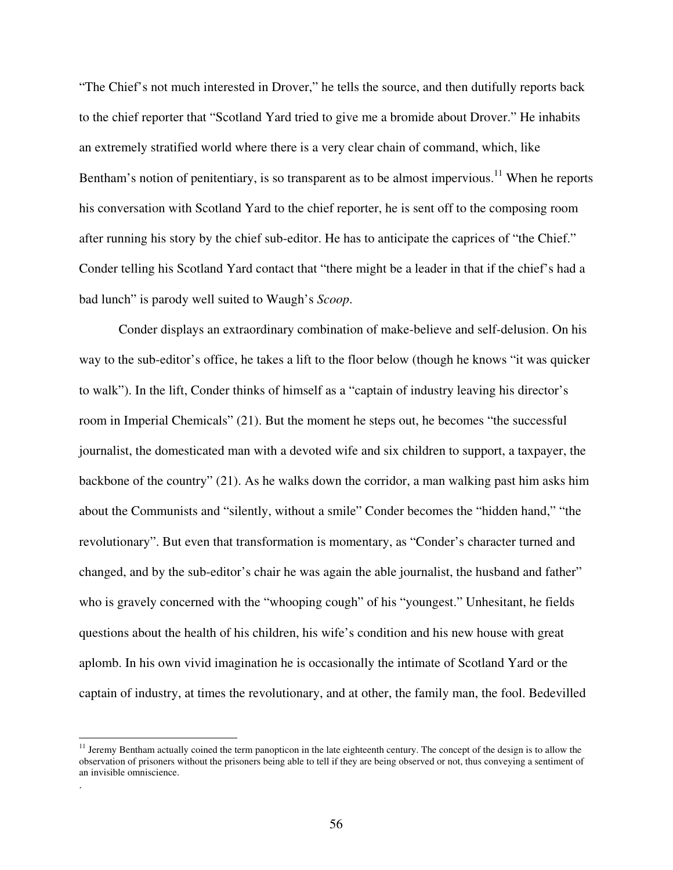"The Chief's not much interested in Drover," he tells the source, and then dutifully reports back to the chief reporter that "Scotland Yard tried to give me a bromide about Drover." He inhabits an extremely stratified world where there is a very clear chain of command, which, like Bentham's notion of penitentiary, is so transparent as to be almost impervious.<sup>11</sup> When he reports his conversation with Scotland Yard to the chief reporter, he is sent off to the composing room after running his story by the chief sub-editor. He has to anticipate the caprices of "the Chief." Conder telling his Scotland Yard contact that "there might be a leader in that if the chief's had a bad lunch" is parody well suited to Waugh's *Scoop*.

Conder displays an extraordinary combination of make-believe and self-delusion. On his way to the sub-editor's office, he takes a lift to the floor below (though he knows "it was quicker to walk"). In the lift, Conder thinks of himself as a "captain of industry leaving his director's room in Imperial Chemicals" (21). But the moment he steps out, he becomes "the successful journalist, the domesticated man with a devoted wife and six children to support, a taxpayer, the backbone of the country" (21). As he walks down the corridor, a man walking past him asks him about the Communists and "silently, without a smile" Conder becomes the "hidden hand," "the revolutionary". But even that transformation is momentary, as "Conder's character turned and changed, and by the sub-editor's chair he was again the able journalist, the husband and father" who is gravely concerned with the "whooping cough" of his "youngest." Unhesitant, he fields questions about the health of his children, his wife's condition and his new house with great aplomb. In his own vivid imagination he is occasionally the intimate of Scotland Yard or the captain of industry, at times the revolutionary, and at other, the family man, the fool. Bedevilled

.

<sup>&</sup>lt;sup>11</sup> Jeremy Bentham actually coined the term panopticon in the late eighteenth century. The concept of the design is to allow the observation of prisoners without the prisoners being able to tell if they are being observed or not, thus conveying a sentiment of an invisible omniscience.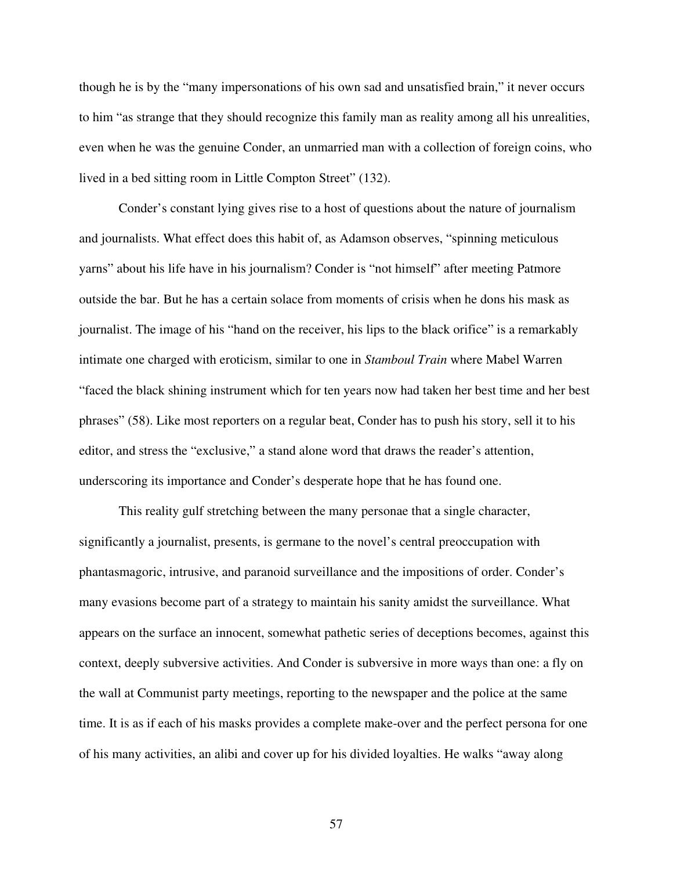though he is by the "many impersonations of his own sad and unsatisfied brain," it never occurs to him "as strange that they should recognize this family man as reality among all his unrealities, even when he was the genuine Conder, an unmarried man with a collection of foreign coins, who lived in a bed sitting room in Little Compton Street" (132).

Conder's constant lying gives rise to a host of questions about the nature of journalism and journalists. What effect does this habit of, as Adamson observes, "spinning meticulous yarns" about his life have in his journalism? Conder is "not himself" after meeting Patmore outside the bar. But he has a certain solace from moments of crisis when he dons his mask as journalist. The image of his "hand on the receiver, his lips to the black orifice" is a remarkably intimate one charged with eroticism, similar to one in *Stamboul Train* where Mabel Warren "faced the black shining instrument which for ten years now had taken her best time and her best phrases" (58). Like most reporters on a regular beat, Conder has to push his story, sell it to his editor, and stress the "exclusive," a stand alone word that draws the reader's attention, underscoring its importance and Conder's desperate hope that he has found one.

This reality gulf stretching between the many personae that a single character, significantly a journalist, presents, is germane to the novel's central preoccupation with phantasmagoric, intrusive, and paranoid surveillance and the impositions of order. Conder's many evasions become part of a strategy to maintain his sanity amidst the surveillance. What appears on the surface an innocent, somewhat pathetic series of deceptions becomes, against this context, deeply subversive activities. And Conder is subversive in more ways than one: a fly on the wall at Communist party meetings, reporting to the newspaper and the police at the same time. It is as if each of his masks provides a complete make-over and the perfect persona for one of his many activities, an alibi and cover up for his divided loyalties. He walks "away along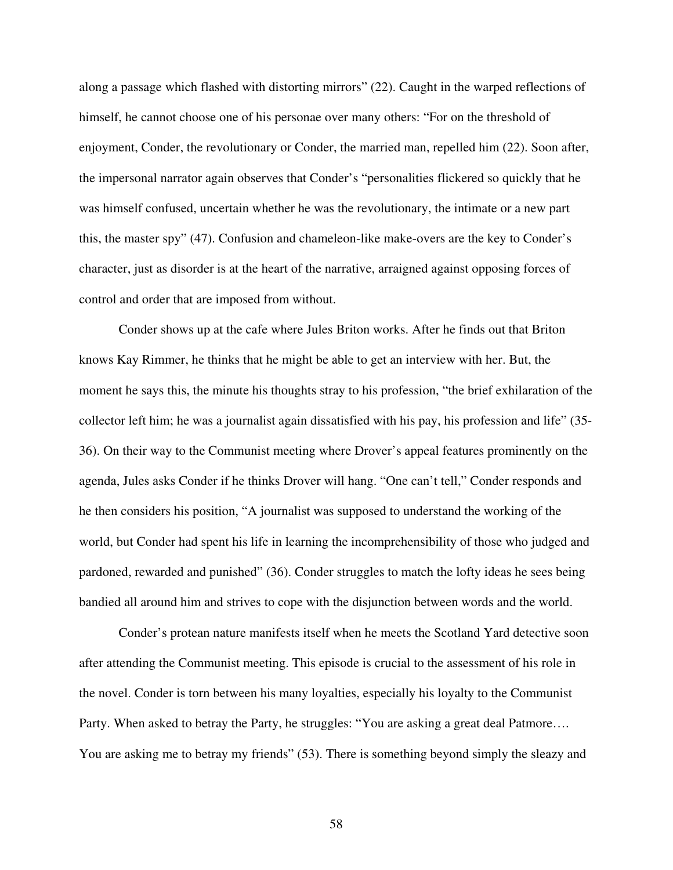along a passage which flashed with distorting mirrors" (22). Caught in the warped reflections of himself, he cannot choose one of his personae over many others: "For on the threshold of enjoyment, Conder, the revolutionary or Conder, the married man, repelled him (22). Soon after, the impersonal narrator again observes that Conder's "personalities flickered so quickly that he was himself confused, uncertain whether he was the revolutionary, the intimate or a new part this, the master spy" (47). Confusion and chameleon-like make-overs are the key to Conder's character, just as disorder is at the heart of the narrative, arraigned against opposing forces of control and order that are imposed from without.

Conder shows up at the cafe where Jules Briton works. After he finds out that Briton knows Kay Rimmer, he thinks that he might be able to get an interview with her. But, the moment he says this, the minute his thoughts stray to his profession, "the brief exhilaration of the collector left him; he was a journalist again dissatisfied with his pay, his profession and life" (35- 36). On their way to the Communist meeting where Drover's appeal features prominently on the agenda, Jules asks Conder if he thinks Drover will hang. "One can't tell," Conder responds and he then considers his position, "A journalist was supposed to understand the working of the world, but Conder had spent his life in learning the incomprehensibility of those who judged and pardoned, rewarded and punished" (36). Conder struggles to match the lofty ideas he sees being bandied all around him and strives to cope with the disjunction between words and the world.

Conder's protean nature manifests itself when he meets the Scotland Yard detective soon after attending the Communist meeting. This episode is crucial to the assessment of his role in the novel. Conder is torn between his many loyalties, especially his loyalty to the Communist Party. When asked to betray the Party, he struggles: "You are asking a great deal Patmore…. You are asking me to betray my friends" (53). There is something beyond simply the sleazy and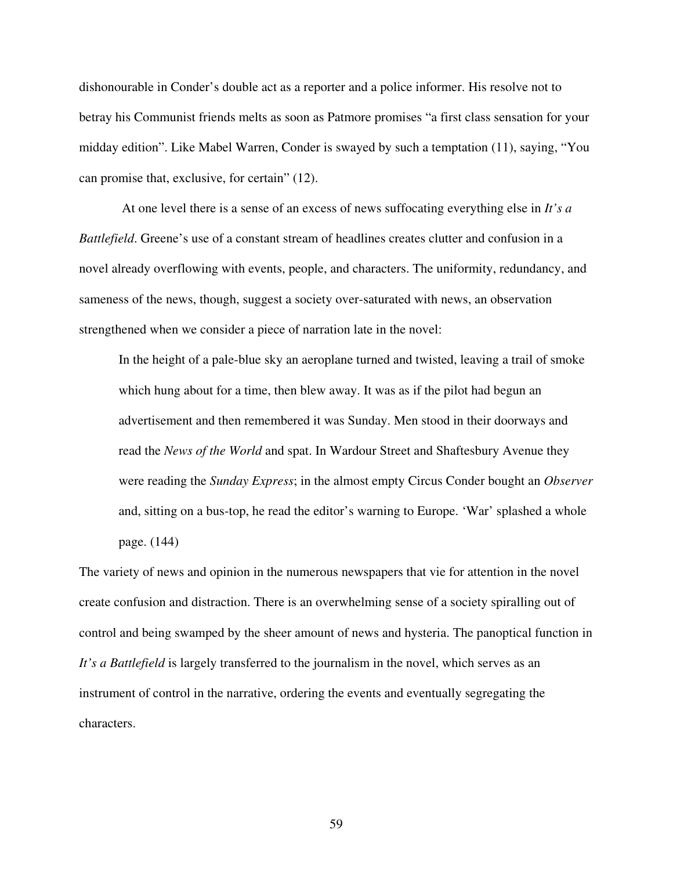dishonourable in Conder's double act as a reporter and a police informer. His resolve not to betray his Communist friends melts as soon as Patmore promises "a first class sensation for your midday edition". Like Mabel Warren, Conder is swayed by such a temptation (11), saying, "You can promise that, exclusive, for certain" (12).

At one level there is a sense of an excess of news suffocating everything else in *It's a Battlefield*. Greene's use of a constant stream of headlines creates clutter and confusion in a novel already overflowing with events, people, and characters. The uniformity, redundancy, and sameness of the news, though, suggest a society over-saturated with news, an observation strengthened when we consider a piece of narration late in the novel:

In the height of a pale-blue sky an aeroplane turned and twisted, leaving a trail of smoke which hung about for a time, then blew away. It was as if the pilot had begun an advertisement and then remembered it was Sunday. Men stood in their doorways and read the *News of the World* and spat. In Wardour Street and Shaftesbury Avenue they were reading the *Sunday Express*; in the almost empty Circus Conder bought an *Observer* and, sitting on a bus-top, he read the editor's warning to Europe. 'War' splashed a whole page. (144)

The variety of news and opinion in the numerous newspapers that vie for attention in the novel create confusion and distraction. There is an overwhelming sense of a society spiralling out of control and being swamped by the sheer amount of news and hysteria. The panoptical function in *It's a Battlefield* is largely transferred to the journalism in the novel, which serves as an instrument of control in the narrative, ordering the events and eventually segregating the characters.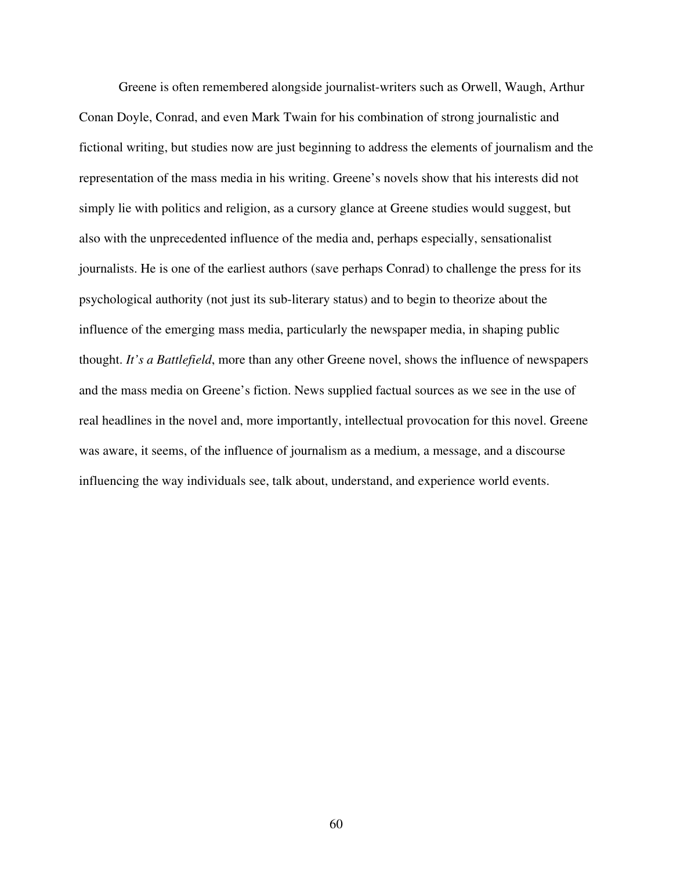Greene is often remembered alongside journalist-writers such as Orwell, Waugh, Arthur Conan Doyle, Conrad, and even Mark Twain for his combination of strong journalistic and fictional writing, but studies now are just beginning to address the elements of journalism and the representation of the mass media in his writing. Greene's novels show that his interests did not simply lie with politics and religion, as a cursory glance at Greene studies would suggest, but also with the unprecedented influence of the media and, perhaps especially, sensationalist journalists. He is one of the earliest authors (save perhaps Conrad) to challenge the press for its psychological authority (not just its sub-literary status) and to begin to theorize about the influence of the emerging mass media, particularly the newspaper media, in shaping public thought. *It's a Battlefield*, more than any other Greene novel, shows the influence of newspapers and the mass media on Greene's fiction. News supplied factual sources as we see in the use of real headlines in the novel and, more importantly, intellectual provocation for this novel. Greene was aware, it seems, of the influence of journalism as a medium, a message, and a discourse influencing the way individuals see, talk about, understand, and experience world events.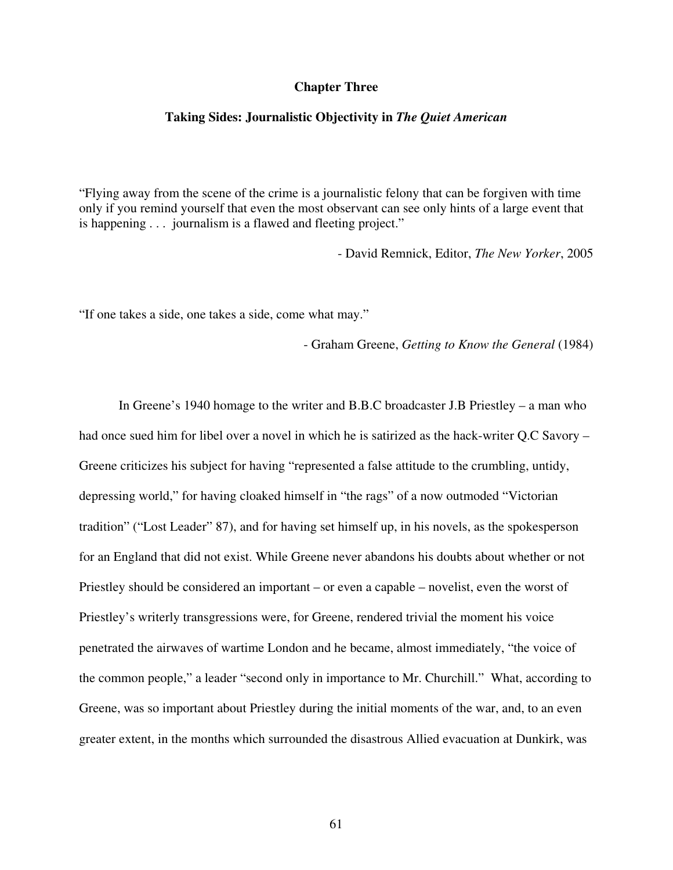## **Chapter Three**

## **Taking Sides: Journalistic Objectivity in** *The Quiet American*

"Flying away from the scene of the crime is a journalistic felony that can be forgiven with time only if you remind yourself that even the most observant can see only hints of a large event that is happening . . . journalism is a flawed and fleeting project."

- David Remnick, Editor, *The New Yorker*, 2005

"If one takes a side, one takes a side, come what may."

- Graham Greene, *Getting to Know the General* (1984)

In Greene's 1940 homage to the writer and B.B.C broadcaster J.B Priestley – a man who had once sued him for libel over a novel in which he is satirized as the hack-writer Q.C Savory – Greene criticizes his subject for having "represented a false attitude to the crumbling, untidy, depressing world," for having cloaked himself in "the rags" of a now outmoded "Victorian tradition" ("Lost Leader" 87), and for having set himself up, in his novels, as the spokesperson for an England that did not exist. While Greene never abandons his doubts about whether or not Priestley should be considered an important – or even a capable – novelist, even the worst of Priestley's writerly transgressions were, for Greene, rendered trivial the moment his voice penetrated the airwaves of wartime London and he became, almost immediately, "the voice of the common people," a leader "second only in importance to Mr. Churchill." What, according to Greene, was so important about Priestley during the initial moments of the war, and, to an even greater extent, in the months which surrounded the disastrous Allied evacuation at Dunkirk, was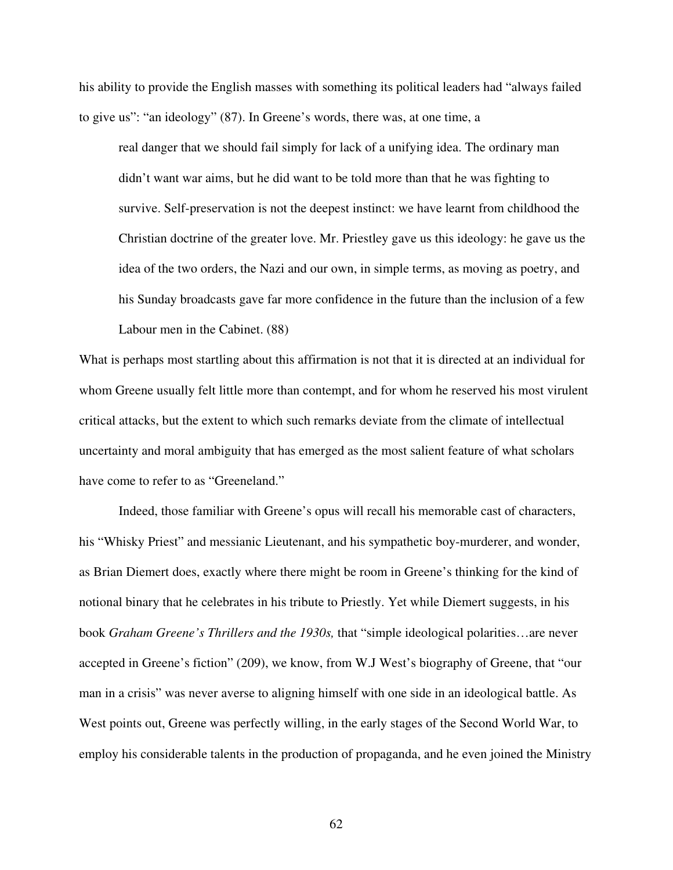his ability to provide the English masses with something its political leaders had "always failed to give us": "an ideology" (87). In Greene's words, there was, at one time, a

real danger that we should fail simply for lack of a unifying idea. The ordinary man didn't want war aims, but he did want to be told more than that he was fighting to survive. Self-preservation is not the deepest instinct: we have learnt from childhood the Christian doctrine of the greater love. Mr. Priestley gave us this ideology: he gave us the idea of the two orders, the Nazi and our own, in simple terms, as moving as poetry, and his Sunday broadcasts gave far more confidence in the future than the inclusion of a few Labour men in the Cabinet. (88)

What is perhaps most startling about this affirmation is not that it is directed at an individual for whom Greene usually felt little more than contempt, and for whom he reserved his most virulent critical attacks, but the extent to which such remarks deviate from the climate of intellectual uncertainty and moral ambiguity that has emerged as the most salient feature of what scholars have come to refer to as "Greeneland."

Indeed, those familiar with Greene's opus will recall his memorable cast of characters, his "Whisky Priest" and messianic Lieutenant, and his sympathetic boy-murderer, and wonder, as Brian Diemert does, exactly where there might be room in Greene's thinking for the kind of notional binary that he celebrates in his tribute to Priestly. Yet while Diemert suggests, in his book *Graham Greene's Thrillers and the 1930s,* that "simple ideological polarities…are never accepted in Greene's fiction" (209), we know, from W.J West's biography of Greene, that "our man in a crisis" was never averse to aligning himself with one side in an ideological battle. As West points out, Greene was perfectly willing, in the early stages of the Second World War, to employ his considerable talents in the production of propaganda, and he even joined the Ministry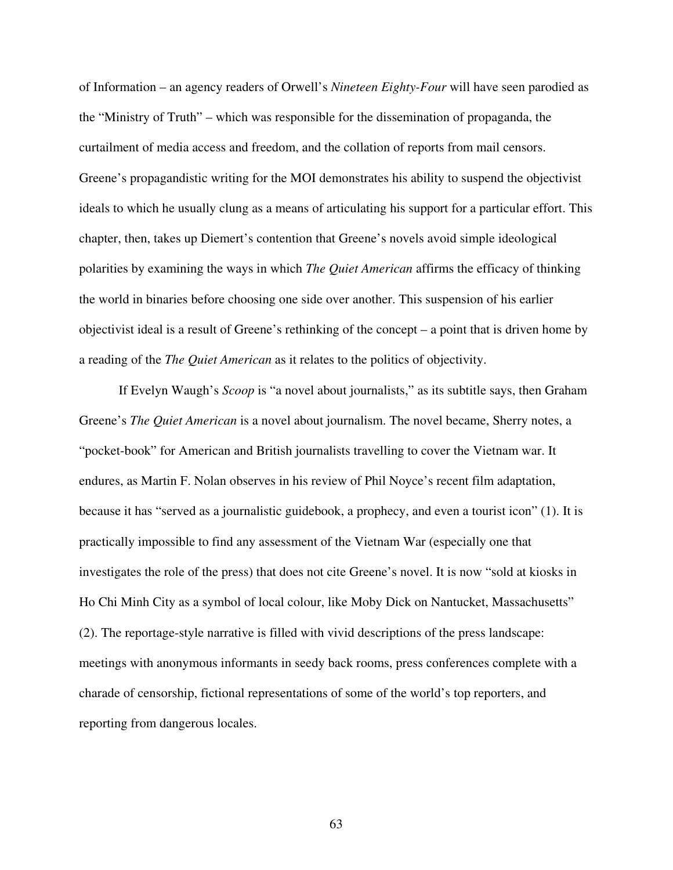of Information – an agency readers of Orwell's *Nineteen Eighty-Four* will have seen parodied as the "Ministry of Truth" – which was responsible for the dissemination of propaganda, the curtailment of media access and freedom, and the collation of reports from mail censors. Greene's propagandistic writing for the MOI demonstrates his ability to suspend the objectivist ideals to which he usually clung as a means of articulating his support for a particular effort. This chapter, then, takes up Diemert's contention that Greene's novels avoid simple ideological polarities by examining the ways in which *The Quiet American* affirms the efficacy of thinking the world in binaries before choosing one side over another. This suspension of his earlier objectivist ideal is a result of Greene's rethinking of the concept – a point that is driven home by a reading of the *The Quiet American* as it relates to the politics of objectivity.

If Evelyn Waugh's *Scoop* is "a novel about journalists," as its subtitle says, then Graham Greene's *The Quiet American* is a novel about journalism. The novel became, Sherry notes, a "pocket-book" for American and British journalists travelling to cover the Vietnam war. It endures, as Martin F. Nolan observes in his review of Phil Noyce's recent film adaptation, because it has "served as a journalistic guidebook, a prophecy, and even a tourist icon" (1). It is practically impossible to find any assessment of the Vietnam War (especially one that investigates the role of the press) that does not cite Greene's novel. It is now "sold at kiosks in Ho Chi Minh City as a symbol of local colour, like Moby Dick on Nantucket, Massachusetts" (2). The reportage-style narrative is filled with vivid descriptions of the press landscape: meetings with anonymous informants in seedy back rooms, press conferences complete with a charade of censorship, fictional representations of some of the world's top reporters, and reporting from dangerous locales.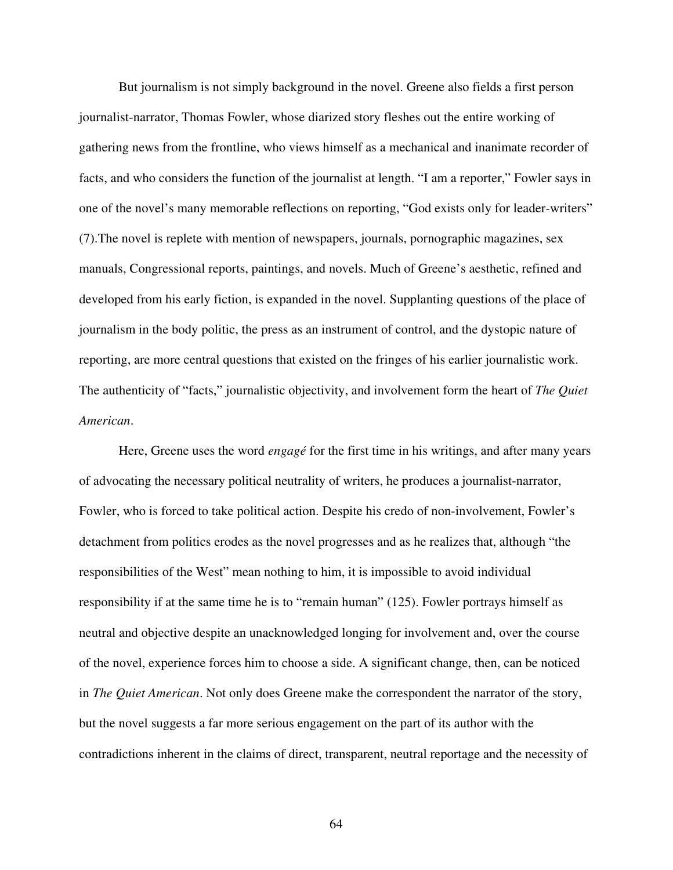But journalism is not simply background in the novel. Greene also fields a first person journalist-narrator, Thomas Fowler, whose diarized story fleshes out the entire working of gathering news from the frontline, who views himself as a mechanical and inanimate recorder of facts, and who considers the function of the journalist at length. "I am a reporter," Fowler says in one of the novel's many memorable reflections on reporting, "God exists only for leader-writers" (7).The novel is replete with mention of newspapers, journals, pornographic magazines, sex manuals, Congressional reports, paintings, and novels. Much of Greene's aesthetic, refined and developed from his early fiction, is expanded in the novel. Supplanting questions of the place of journalism in the body politic, the press as an instrument of control, and the dystopic nature of reporting, are more central questions that existed on the fringes of his earlier journalistic work. The authenticity of "facts," journalistic objectivity, and involvement form the heart of *The Quiet American*.

Here, Greene uses the word *engagé* for the first time in his writings, and after many years of advocating the necessary political neutrality of writers, he produces a journalist-narrator, Fowler, who is forced to take political action. Despite his credo of non-involvement, Fowler's detachment from politics erodes as the novel progresses and as he realizes that, although "the responsibilities of the West" mean nothing to him, it is impossible to avoid individual responsibility if at the same time he is to "remain human" (125). Fowler portrays himself as neutral and objective despite an unacknowledged longing for involvement and, over the course of the novel, experience forces him to choose a side. A significant change, then, can be noticed in *The Quiet American*. Not only does Greene make the correspondent the narrator of the story, but the novel suggests a far more serious engagement on the part of its author with the contradictions inherent in the claims of direct, transparent, neutral reportage and the necessity of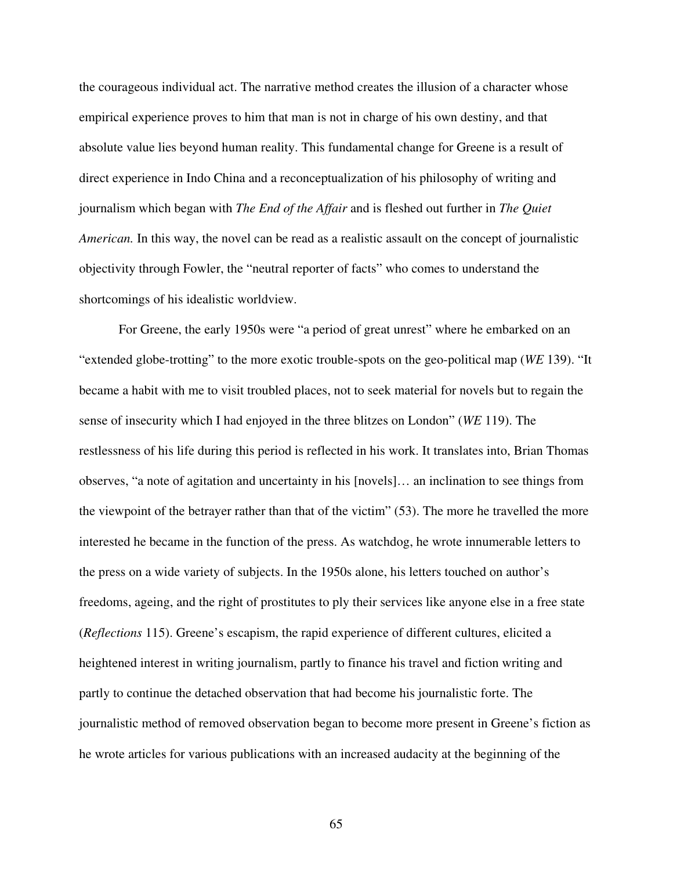the courageous individual act. The narrative method creates the illusion of a character whose empirical experience proves to him that man is not in charge of his own destiny, and that absolute value lies beyond human reality. This fundamental change for Greene is a result of direct experience in Indo China and a reconceptualization of his philosophy of writing and journalism which began with *The End of the Affair* and is fleshed out further in *The Quiet American.* In this way, the novel can be read as a realistic assault on the concept of journalistic objectivity through Fowler, the "neutral reporter of facts" who comes to understand the shortcomings of his idealistic worldview.

For Greene, the early 1950s were "a period of great unrest" where he embarked on an "extended globe-trotting" to the more exotic trouble-spots on the geo-political map (*WE* 139). "It became a habit with me to visit troubled places, not to seek material for novels but to regain the sense of insecurity which I had enjoyed in the three blitzes on London" (*WE* 119). The restlessness of his life during this period is reflected in his work. It translates into, Brian Thomas observes, "a note of agitation and uncertainty in his [novels]… an inclination to see things from the viewpoint of the betrayer rather than that of the victim" (53). The more he travelled the more interested he became in the function of the press. As watchdog, he wrote innumerable letters to the press on a wide variety of subjects. In the 1950s alone, his letters touched on author's freedoms, ageing, and the right of prostitutes to ply their services like anyone else in a free state (*Reflections* 115). Greene's escapism, the rapid experience of different cultures, elicited a heightened interest in writing journalism, partly to finance his travel and fiction writing and partly to continue the detached observation that had become his journalistic forte. The journalistic method of removed observation began to become more present in Greene's fiction as he wrote articles for various publications with an increased audacity at the beginning of the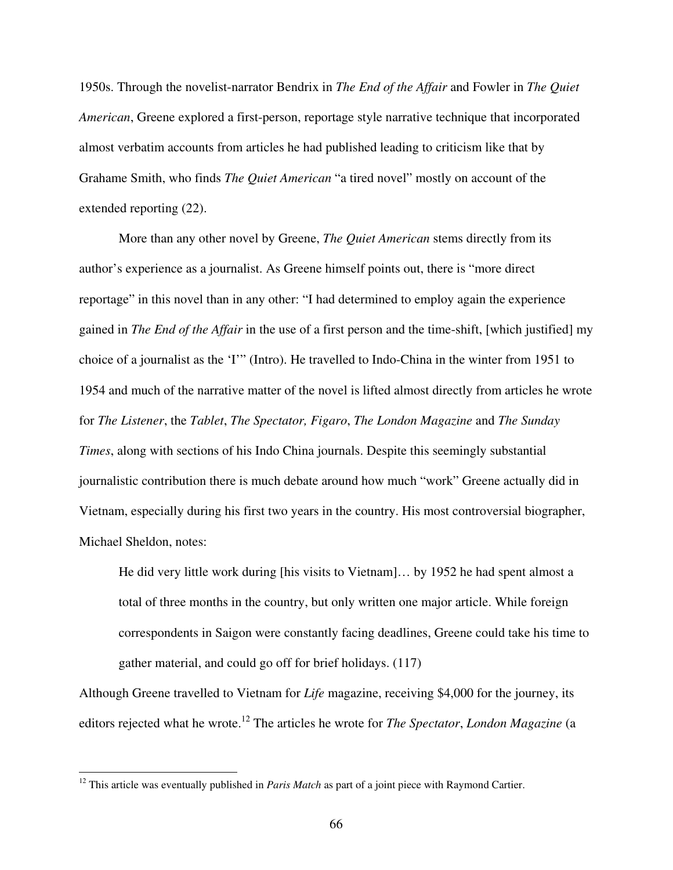1950s. Through the novelist-narrator Bendrix in *The End of the Affair* and Fowler in *The Quiet American*, Greene explored a first-person, reportage style narrative technique that incorporated almost verbatim accounts from articles he had published leading to criticism like that by Grahame Smith, who finds *The Quiet American* "a tired novel" mostly on account of the extended reporting (22).

More than any other novel by Greene, *The Quiet American* stems directly from its author's experience as a journalist. As Greene himself points out, there is "more direct reportage" in this novel than in any other: "I had determined to employ again the experience gained in *The End of the Affair* in the use of a first person and the time-shift, [which justified] my choice of a journalist as the 'I'" (Intro). He travelled to Indo-China in the winter from 1951 to 1954 and much of the narrative matter of the novel is lifted almost directly from articles he wrote for *The Listener*, the *Tablet*, *The Spectator, Figaro*, *The London Magazine* and *The Sunday Times*, along with sections of his Indo China journals. Despite this seemingly substantial journalistic contribution there is much debate around how much "work" Greene actually did in Vietnam, especially during his first two years in the country. His most controversial biographer, Michael Sheldon, notes:

He did very little work during [his visits to Vietnam]… by 1952 he had spent almost a total of three months in the country, but only written one major article. While foreign correspondents in Saigon were constantly facing deadlines, Greene could take his time to gather material, and could go off for brief holidays. (117)

Although Greene travelled to Vietnam for *Life* magazine, receiving \$4,000 for the journey, its editors rejected what he wrote. 12 The articles he wrote for *The Spectator*, *London Magazine* (a

<sup>&</sup>lt;sup>12</sup> This article was eventually published in *Paris Match* as part of a joint piece with Raymond Cartier.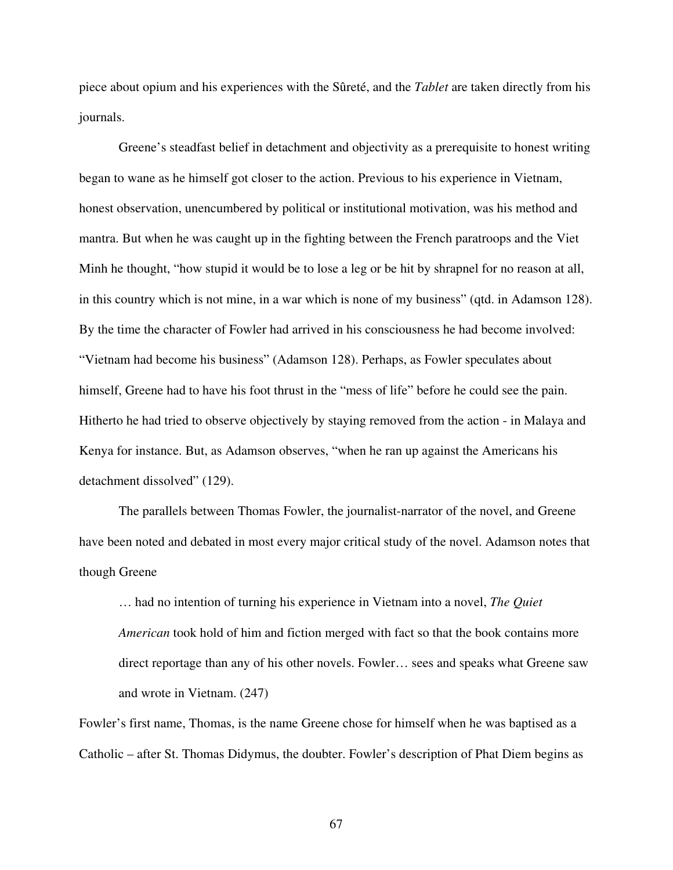piece about opium and his experiences with the Sûreté, and the *Tablet* are taken directly from his journals.

Greene's steadfast belief in detachment and objectivity as a prerequisite to honest writing began to wane as he himself got closer to the action. Previous to his experience in Vietnam, honest observation, unencumbered by political or institutional motivation, was his method and mantra. But when he was caught up in the fighting between the French paratroops and the Viet Minh he thought, "how stupid it would be to lose a leg or be hit by shrapnel for no reason at all, in this country which is not mine, in a war which is none of my business" (qtd. in Adamson 128). By the time the character of Fowler had arrived in his consciousness he had become involved: "Vietnam had become his business" (Adamson 128). Perhaps, as Fowler speculates about himself, Greene had to have his foot thrust in the "mess of life" before he could see the pain. Hitherto he had tried to observe objectively by staying removed from the action - in Malaya and Kenya for instance. But, as Adamson observes, "when he ran up against the Americans his detachment dissolved" (129).

The parallels between Thomas Fowler, the journalist-narrator of the novel, and Greene have been noted and debated in most every major critical study of the novel. Adamson notes that though Greene

… had no intention of turning his experience in Vietnam into a novel, *The Quiet American* took hold of him and fiction merged with fact so that the book contains more direct reportage than any of his other novels. Fowler… sees and speaks what Greene saw and wrote in Vietnam. (247)

Fowler's first name, Thomas, is the name Greene chose for himself when he was baptised as a Catholic – after St. Thomas Didymus, the doubter. Fowler's description of Phat Diem begins as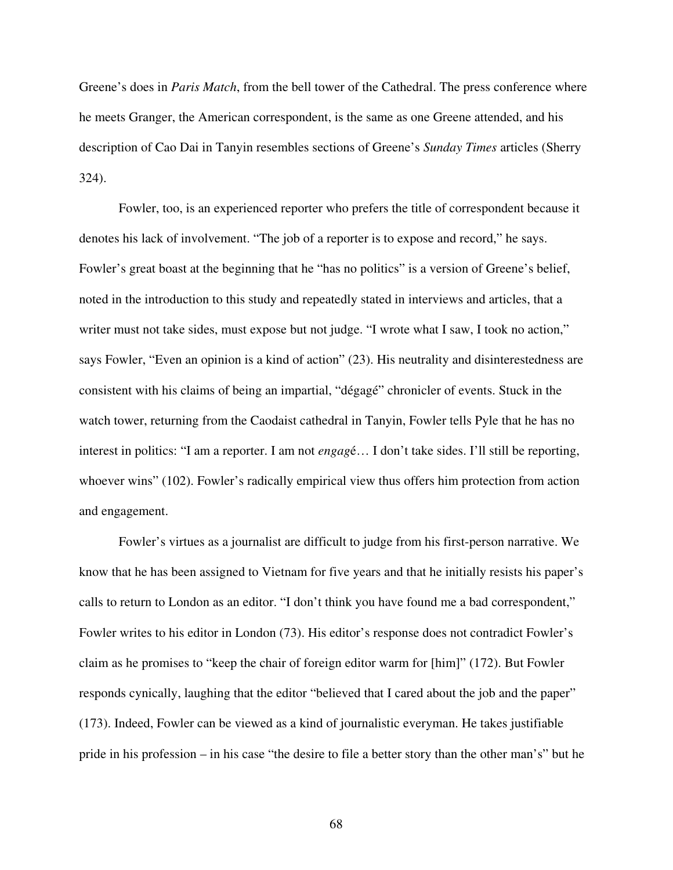Greene's does in *Paris Match*, from the bell tower of the Cathedral. The press conference where he meets Granger, the American correspondent, is the same as one Greene attended, and his description of Cao Dai in Tanyin resembles sections of Greene's *Sunday Times* articles (Sherry 324).

Fowler, too, is an experienced reporter who prefers the title of correspondent because it denotes his lack of involvement. "The job of a reporter is to expose and record," he says. Fowler's great boast at the beginning that he "has no politics" is a version of Greene's belief, noted in the introduction to this study and repeatedly stated in interviews and articles, that a writer must not take sides, must expose but not judge. "I wrote what I saw, I took no action," says Fowler, "Even an opinion is a kind of action" (23). His neutrality and disinterestedness are consistent with his claims of being an impartial, "dégagé" chronicler of events. Stuck in the watch tower, returning from the Caodaist cathedral in Tanyin, Fowler tells Pyle that he has no interest in politics: "I am a reporter. I am not *engag*é… I don't take sides. I'll still be reporting, whoever wins" (102). Fowler's radically empirical view thus offers him protection from action and engagement.

Fowler's virtues as a journalist are difficult to judge from his first-person narrative. We know that he has been assigned to Vietnam for five years and that he initially resists his paper's calls to return to London as an editor. "I don't think you have found me a bad correspondent," Fowler writes to his editor in London (73). His editor's response does not contradict Fowler's claim as he promises to "keep the chair of foreign editor warm for [him]" (172). But Fowler responds cynically, laughing that the editor "believed that I cared about the job and the paper" (173). Indeed, Fowler can be viewed as a kind of journalistic everyman. He takes justifiable pride in his profession – in his case "the desire to file a better story than the other man's" but he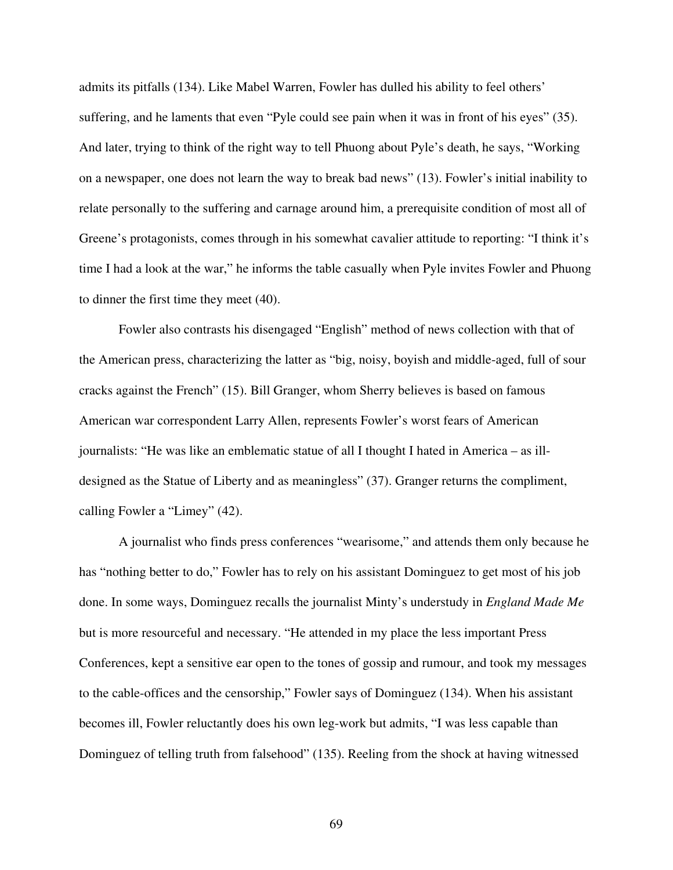admits its pitfalls (134). Like Mabel Warren, Fowler has dulled his ability to feel others' suffering, and he laments that even "Pyle could see pain when it was in front of his eyes" (35). And later, trying to think of the right way to tell Phuong about Pyle's death, he says, "Working on a newspaper, one does not learn the way to break bad news" (13). Fowler's initial inability to relate personally to the suffering and carnage around him, a prerequisite condition of most all of Greene's protagonists, comes through in his somewhat cavalier attitude to reporting: "I think it's time I had a look at the war," he informs the table casually when Pyle invites Fowler and Phuong to dinner the first time they meet (40).

Fowler also contrasts his disengaged "English" method of news collection with that of the American press, characterizing the latter as "big, noisy, boyish and middle-aged, full of sour cracks against the French" (15). Bill Granger, whom Sherry believes is based on famous American war correspondent Larry Allen, represents Fowler's worst fears of American journalists: "He was like an emblematic statue of all I thought I hated in America – as illdesigned as the Statue of Liberty and as meaningless" (37). Granger returns the compliment, calling Fowler a "Limey" (42).

A journalist who finds press conferences "wearisome," and attends them only because he has "nothing better to do," Fowler has to rely on his assistant Dominguez to get most of his job done. In some ways, Dominguez recalls the journalist Minty's understudy in *England Made Me* but is more resourceful and necessary. "He attended in my place the less important Press Conferences, kept a sensitive ear open to the tones of gossip and rumour, and took my messages to the cable-offices and the censorship," Fowler says of Dominguez (134). When his assistant becomes ill, Fowler reluctantly does his own leg-work but admits, "I was less capable than Dominguez of telling truth from falsehood" (135). Reeling from the shock at having witnessed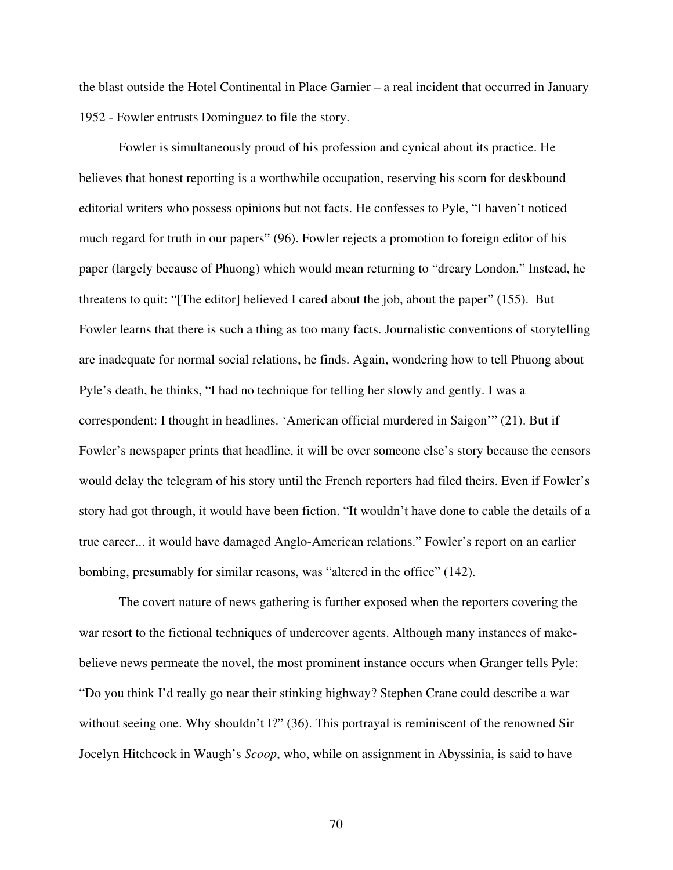the blast outside the Hotel Continental in Place Garnier – a real incident that occurred in January 1952 - Fowler entrusts Dominguez to file the story.

Fowler is simultaneously proud of his profession and cynical about its practice. He believes that honest reporting is a worthwhile occupation, reserving his scorn for deskbound editorial writers who possess opinions but not facts. He confesses to Pyle, "I haven't noticed much regard for truth in our papers" (96). Fowler rejects a promotion to foreign editor of his paper (largely because of Phuong) which would mean returning to "dreary London." Instead, he threatens to quit: "[The editor] believed I cared about the job, about the paper" (155). But Fowler learns that there is such a thing as too many facts. Journalistic conventions of storytelling are inadequate for normal social relations, he finds. Again, wondering how to tell Phuong about Pyle's death, he thinks, "I had no technique for telling her slowly and gently. I was a correspondent: I thought in headlines. 'American official murdered in Saigon'" (21). But if Fowler's newspaper prints that headline, it will be over someone else's story because the censors would delay the telegram of his story until the French reporters had filed theirs. Even if Fowler's story had got through, it would have been fiction. "It wouldn't have done to cable the details of a true career... it would have damaged Anglo-American relations." Fowler's report on an earlier bombing, presumably for similar reasons, was "altered in the office" (142).

The covert nature of news gathering is further exposed when the reporters covering the war resort to the fictional techniques of undercover agents. Although many instances of makebelieve news permeate the novel, the most prominent instance occurs when Granger tells Pyle: "Do you think I'd really go near their stinking highway? Stephen Crane could describe a war without seeing one. Why shouldn't I?" (36). This portrayal is reminiscent of the renowned Sir Jocelyn Hitchcock in Waugh's *Scoop*, who, while on assignment in Abyssinia, is said to have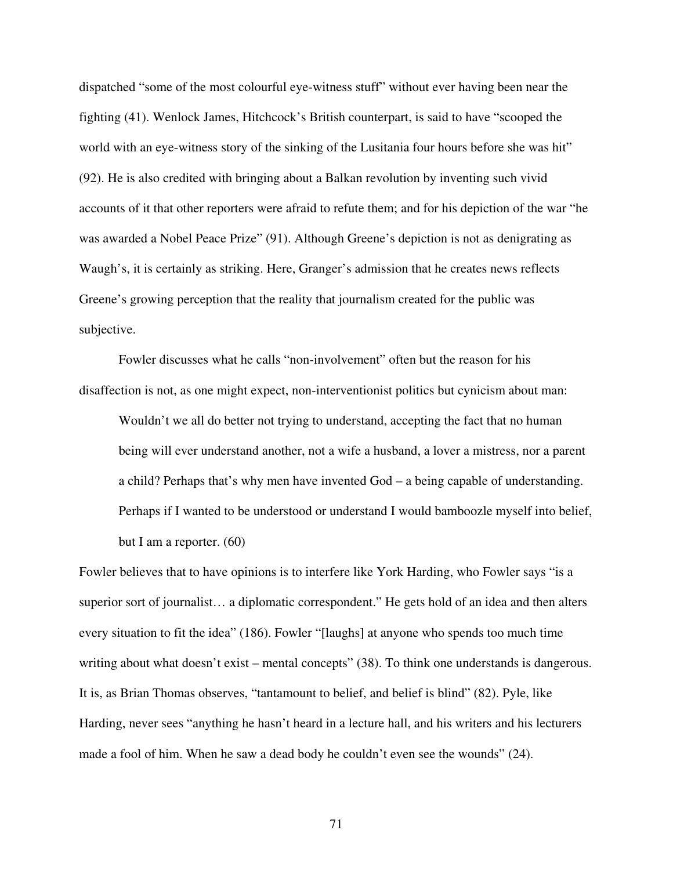dispatched "some of the most colourful eye-witness stuff" without ever having been near the fighting (41). Wenlock James, Hitchcock's British counterpart, is said to have "scooped the world with an eye-witness story of the sinking of the Lusitania four hours before she was hit" (92). He is also credited with bringing about a Balkan revolution by inventing such vivid accounts of it that other reporters were afraid to refute them; and for his depiction of the war "he was awarded a Nobel Peace Prize" (91). Although Greene's depiction is not as denigrating as Waugh's, it is certainly as striking. Here, Granger's admission that he creates news reflects Greene's growing perception that the reality that journalism created for the public was subjective.

Fowler discusses what he calls "non-involvement" often but the reason for his disaffection is not, as one might expect, non-interventionist politics but cynicism about man:

Wouldn't we all do better not trying to understand, accepting the fact that no human being will ever understand another, not a wife a husband, a lover a mistress, nor a parent a child? Perhaps that's why men have invented God – a being capable of understanding. Perhaps if I wanted to be understood or understand I would bamboozle myself into belief, but I am a reporter. (60)

Fowler believes that to have opinions is to interfere like York Harding, who Fowler says "is a superior sort of journalist… a diplomatic correspondent." He gets hold of an idea and then alters every situation to fit the idea" (186). Fowler "[laughs] at anyone who spends too much time writing about what doesn't exist – mental concepts" (38). To think one understands is dangerous. It is, as Brian Thomas observes, "tantamount to belief, and belief is blind" (82). Pyle, like Harding, never sees "anything he hasn't heard in a lecture hall, and his writers and his lecturers made a fool of him. When he saw a dead body he couldn't even see the wounds" (24).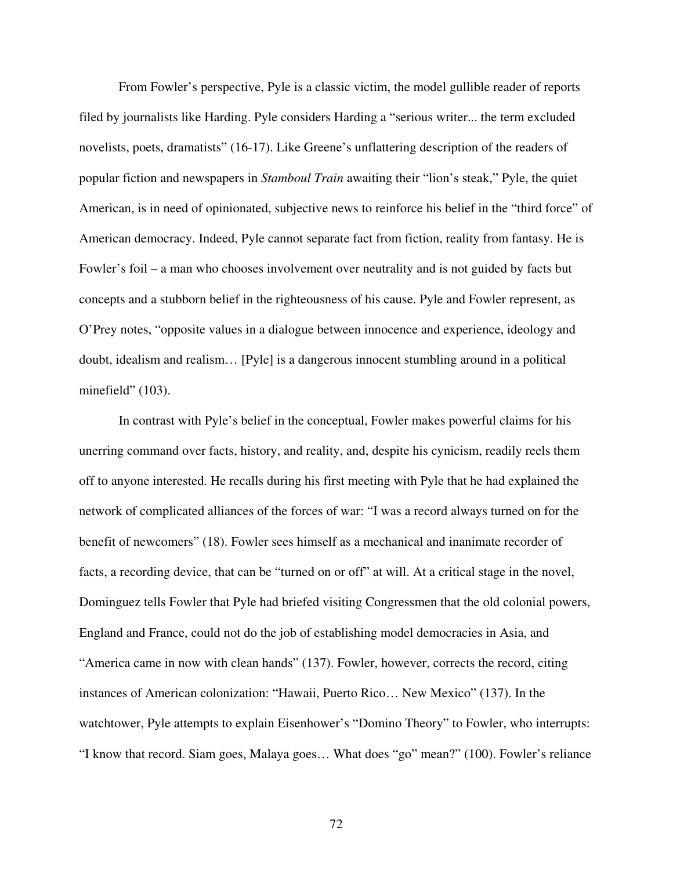From Fowler's perspective, Pyle is a classic victim, the model gullible reader of reports filed by journalists like Harding. Pyle considers Harding a "serious writer... the term excluded novelists, poets, dramatists" (16-17). Like Greene's unflattering description of the readers of popular fiction and newspapers in *Stamboul Train* awaiting their "lion's steak," Pyle, the quiet American, is in need of opinionated, subjective news to reinforce his belief in the "third force" of American democracy. Indeed, Pyle cannot separate fact from fiction, reality from fantasy. He is Fowler's foil – a man who chooses involvement over neutrality and is not guided by facts but concepts and a stubborn belief in the righteousness of his cause. Pyle and Fowler represent, as O'Prey notes, "opposite values in a dialogue between innocence and experience, ideology and doubt, idealism and realism… [Pyle] is a dangerous innocent stumbling around in a political minefield" (103).

In contrast with Pyle's belief in the conceptual, Fowler makes powerful claims for his unerring command over facts, history, and reality, and, despite his cynicism, readily reels them off to anyone interested. He recalls during his first meeting with Pyle that he had explained the network of complicated alliances of the forces of war: "I was a record always turned on for the benefit of newcomers" (18). Fowler sees himself as a mechanical and inanimate recorder of facts, a recording device, that can be "turned on or off" at will. At a critical stage in the novel, Dominguez tells Fowler that Pyle had briefed visiting Congressmen that the old colonial powers, England and France, could not do the job of establishing model democracies in Asia, and "America came in now with clean hands" (137). Fowler, however, corrects the record, citing instances of American colonization: "Hawaii, Puerto Rico… New Mexico" (137). In the watchtower, Pyle attempts to explain Eisenhower's "Domino Theory" to Fowler, who interrupts: "I know that record. Siam goes, Malaya goes… What does "go" mean?" (100). Fowler's reliance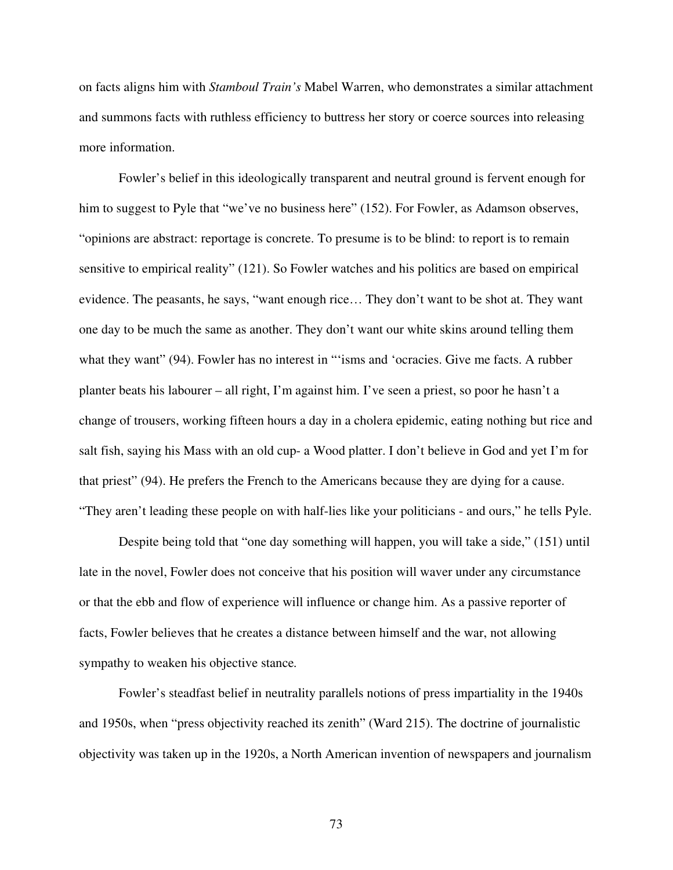on facts aligns him with *Stamboul Train's* Mabel Warren, who demonstrates a similar attachment and summons facts with ruthless efficiency to buttress her story or coerce sources into releasing more information.

Fowler's belief in this ideologically transparent and neutral ground is fervent enough for him to suggest to Pyle that "we've no business here" (152). For Fowler, as Adamson observes, "opinions are abstract: reportage is concrete. To presume is to be blind: to report is to remain sensitive to empirical reality" (121). So Fowler watches and his politics are based on empirical evidence. The peasants, he says, "want enough rice… They don't want to be shot at. They want one day to be much the same as another. They don't want our white skins around telling them what they want" (94). Fowler has no interest in "'isms and 'ocracies. Give me facts. A rubber planter beats his labourer – all right, I'm against him. I've seen a priest, so poor he hasn't a change of trousers, working fifteen hours a day in a cholera epidemic, eating nothing but rice and salt fish, saying his Mass with an old cup- a Wood platter. I don't believe in God and yet I'm for that priest" (94). He prefers the French to the Americans because they are dying for a cause. "They aren't leading these people on with half-lies like your politicians - and ours," he tells Pyle.

Despite being told that "one day something will happen, you will take a side," (151) until late in the novel, Fowler does not conceive that his position will waver under any circumstance or that the ebb and flow of experience will influence or change him. As a passive reporter of facts, Fowler believes that he creates a distance between himself and the war, not allowing sympathy to weaken his objective stance*.*

Fowler's steadfast belief in neutrality parallels notions of press impartiality in the 1940s and 1950s, when "press objectivity reached its zenith" (Ward 215). The doctrine of journalistic objectivity was taken up in the 1920s, a North American invention of newspapers and journalism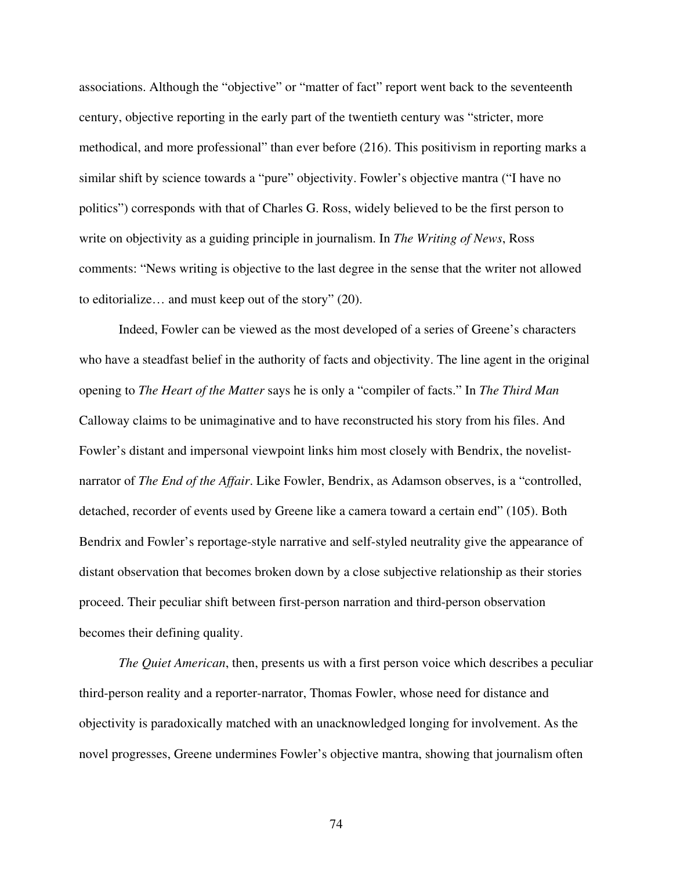associations. Although the "objective" or "matter of fact" report went back to the seventeenth century, objective reporting in the early part of the twentieth century was "stricter, more methodical, and more professional" than ever before (216). This positivism in reporting marks a similar shift by science towards a "pure" objectivity. Fowler's objective mantra ("I have no politics") corresponds with that of Charles G. Ross, widely believed to be the first person to write on objectivity as a guiding principle in journalism. In *The Writing of News*, Ross comments: "News writing is objective to the last degree in the sense that the writer not allowed to editorialize… and must keep out of the story" (20).

Indeed, Fowler can be viewed as the most developed of a series of Greene's characters who have a steadfast belief in the authority of facts and objectivity. The line agent in the original opening to *The Heart of the Matter* says he is only a "compiler of facts." In *The Third Man* Calloway claims to be unimaginative and to have reconstructed his story from his files. And Fowler's distant and impersonal viewpoint links him most closely with Bendrix, the novelistnarrator of *The End of the Affair*. Like Fowler, Bendrix, as Adamson observes, is a "controlled, detached, recorder of events used by Greene like a camera toward a certain end" (105). Both Bendrix and Fowler's reportage-style narrative and self-styled neutrality give the appearance of distant observation that becomes broken down by a close subjective relationship as their stories proceed. Their peculiar shift between first-person narration and third-person observation becomes their defining quality.

*The Quiet American*, then, presents us with a first person voice which describes a peculiar third-person reality and a reporter-narrator, Thomas Fowler, whose need for distance and objectivity is paradoxically matched with an unacknowledged longing for involvement. As the novel progresses, Greene undermines Fowler's objective mantra, showing that journalism often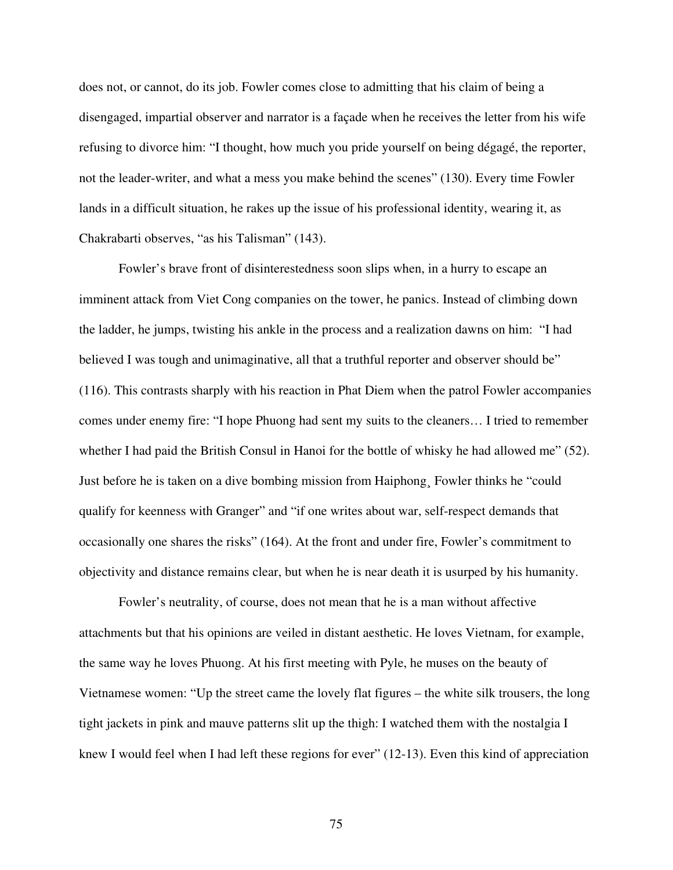does not, or cannot, do its job. Fowler comes close to admitting that his claim of being a disengaged, impartial observer and narrator is a façade when he receives the letter from his wife refusing to divorce him: "I thought, how much you pride yourself on being dégagé, the reporter, not the leader-writer, and what a mess you make behind the scenes" (130). Every time Fowler lands in a difficult situation, he rakes up the issue of his professional identity, wearing it, as Chakrabarti observes, "as his Talisman" (143).

Fowler's brave front of disinterestedness soon slips when, in a hurry to escape an imminent attack from Viet Cong companies on the tower, he panics. Instead of climbing down the ladder, he jumps, twisting his ankle in the process and a realization dawns on him: "I had believed I was tough and unimaginative, all that a truthful reporter and observer should be" (116). This contrasts sharply with his reaction in Phat Diem when the patrol Fowler accompanies comes under enemy fire: "I hope Phuong had sent my suits to the cleaners… I tried to remember whether I had paid the British Consul in Hanoi for the bottle of whisky he had allowed me" (52). Just before he is taken on a dive bombing mission from Haiphong¸ Fowler thinks he "could qualify for keenness with Granger" and "if one writes about war, self-respect demands that occasionally one shares the risks" (164). At the front and under fire, Fowler's commitment to objectivity and distance remains clear, but when he is near death it is usurped by his humanity.

Fowler's neutrality, of course, does not mean that he is a man without affective attachments but that his opinions are veiled in distant aesthetic. He loves Vietnam, for example, the same way he loves Phuong. At his first meeting with Pyle, he muses on the beauty of Vietnamese women: "Up the street came the lovely flat figures – the white silk trousers, the long tight jackets in pink and mauve patterns slit up the thigh: I watched them with the nostalgia I knew I would feel when I had left these regions for ever" (12-13). Even this kind of appreciation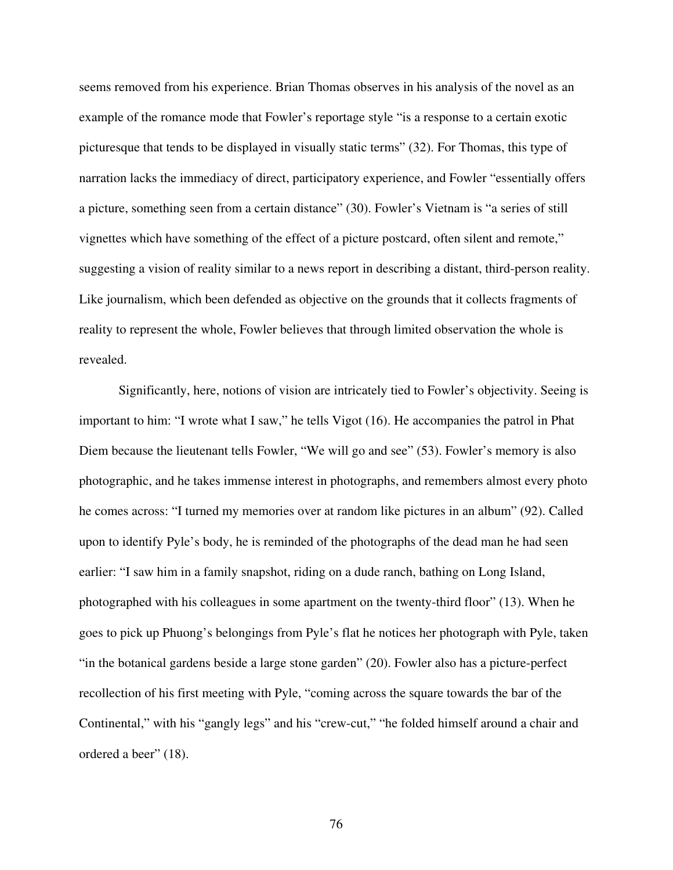seems removed from his experience. Brian Thomas observes in his analysis of the novel as an example of the romance mode that Fowler's reportage style "is a response to a certain exotic picturesque that tends to be displayed in visually static terms" (32). For Thomas, this type of narration lacks the immediacy of direct, participatory experience, and Fowler "essentially offers a picture, something seen from a certain distance" (30). Fowler's Vietnam is "a series of still vignettes which have something of the effect of a picture postcard, often silent and remote," suggesting a vision of reality similar to a news report in describing a distant, third-person reality. Like journalism, which been defended as objective on the grounds that it collects fragments of reality to represent the whole, Fowler believes that through limited observation the whole is revealed.

Significantly, here, notions of vision are intricately tied to Fowler's objectivity. Seeing is important to him: "I wrote what I saw," he tells Vigot (16). He accompanies the patrol in Phat Diem because the lieutenant tells Fowler, "We will go and see" (53). Fowler's memory is also photographic, and he takes immense interest in photographs, and remembers almost every photo he comes across: "I turned my memories over at random like pictures in an album" (92). Called upon to identify Pyle's body, he is reminded of the photographs of the dead man he had seen earlier: "I saw him in a family snapshot, riding on a dude ranch, bathing on Long Island, photographed with his colleagues in some apartment on the twenty-third floor" (13). When he goes to pick up Phuong's belongings from Pyle's flat he notices her photograph with Pyle, taken "in the botanical gardens beside a large stone garden" (20). Fowler also has a picture-perfect recollection of his first meeting with Pyle, "coming across the square towards the bar of the Continental," with his "gangly legs" and his "crew-cut," "he folded himself around a chair and ordered a beer" (18).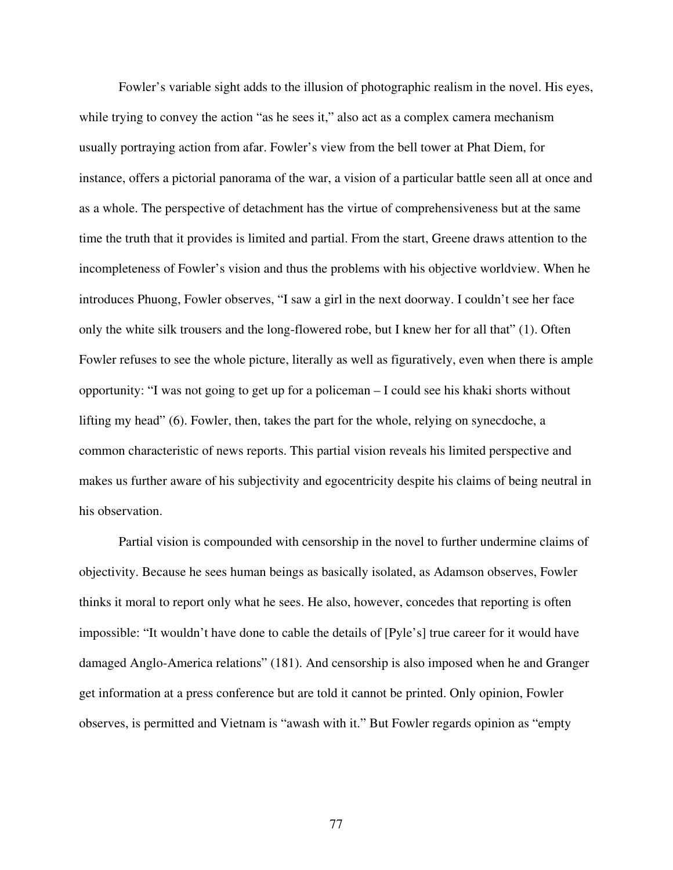Fowler's variable sight adds to the illusion of photographic realism in the novel. His eyes, while trying to convey the action "as he sees it," also act as a complex camera mechanism usually portraying action from afar. Fowler's view from the bell tower at Phat Diem, for instance, offers a pictorial panorama of the war, a vision of a particular battle seen all at once and as a whole. The perspective of detachment has the virtue of comprehensiveness but at the same time the truth that it provides is limited and partial. From the start, Greene draws attention to the incompleteness of Fowler's vision and thus the problems with his objective worldview. When he introduces Phuong, Fowler observes, "I saw a girl in the next doorway. I couldn't see her face only the white silk trousers and the long-flowered robe, but I knew her for all that" (1). Often Fowler refuses to see the whole picture, literally as well as figuratively, even when there is ample opportunity: "I was not going to get up for a policeman – I could see his khaki shorts without lifting my head" (6). Fowler, then, takes the part for the whole, relying on synecdoche, a common characteristic of news reports. This partial vision reveals his limited perspective and makes us further aware of his subjectivity and egocentricity despite his claims of being neutral in his observation.

Partial vision is compounded with censorship in the novel to further undermine claims of objectivity. Because he sees human beings as basically isolated, as Adamson observes, Fowler thinks it moral to report only what he sees. He also, however, concedes that reporting is often impossible: "It wouldn't have done to cable the details of [Pyle's] true career for it would have damaged Anglo-America relations" (181). And censorship is also imposed when he and Granger get information at a press conference but are told it cannot be printed. Only opinion, Fowler observes, is permitted and Vietnam is "awash with it." But Fowler regards opinion as "empty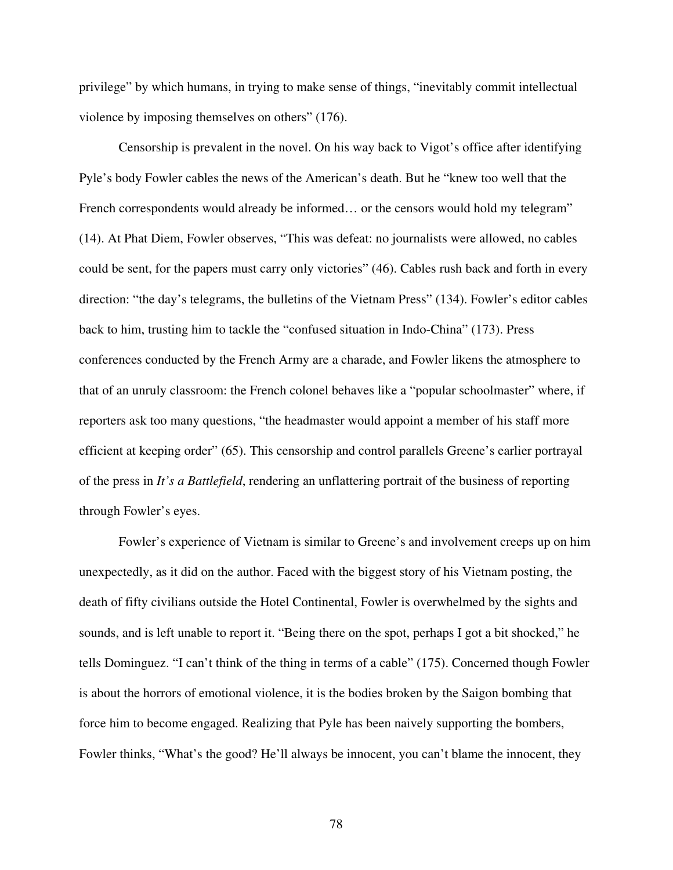privilege" by which humans, in trying to make sense of things, "inevitably commit intellectual violence by imposing themselves on others" (176).

Censorship is prevalent in the novel. On his way back to Vigot's office after identifying Pyle's body Fowler cables the news of the American's death. But he "knew too well that the French correspondents would already be informed... or the censors would hold my telegram" (14). At Phat Diem, Fowler observes, "This was defeat: no journalists were allowed, no cables could be sent, for the papers must carry only victories" (46). Cables rush back and forth in every direction: "the day's telegrams, the bulletins of the Vietnam Press" (134). Fowler's editor cables back to him, trusting him to tackle the "confused situation in Indo-China" (173). Press conferences conducted by the French Army are a charade, and Fowler likens the atmosphere to that of an unruly classroom: the French colonel behaves like a "popular schoolmaster" where, if reporters ask too many questions, "the headmaster would appoint a member of his staff more efficient at keeping order" (65). This censorship and control parallels Greene's earlier portrayal of the press in *It's a Battlefield*, rendering an unflattering portrait of the business of reporting through Fowler's eyes.

Fowler's experience of Vietnam is similar to Greene's and involvement creeps up on him unexpectedly, as it did on the author. Faced with the biggest story of his Vietnam posting, the death of fifty civilians outside the Hotel Continental, Fowler is overwhelmed by the sights and sounds, and is left unable to report it. "Being there on the spot, perhaps I got a bit shocked," he tells Dominguez. "I can't think of the thing in terms of a cable" (175). Concerned though Fowler is about the horrors of emotional violence, it is the bodies broken by the Saigon bombing that force him to become engaged. Realizing that Pyle has been naively supporting the bombers, Fowler thinks, "What's the good? He'll always be innocent, you can't blame the innocent, they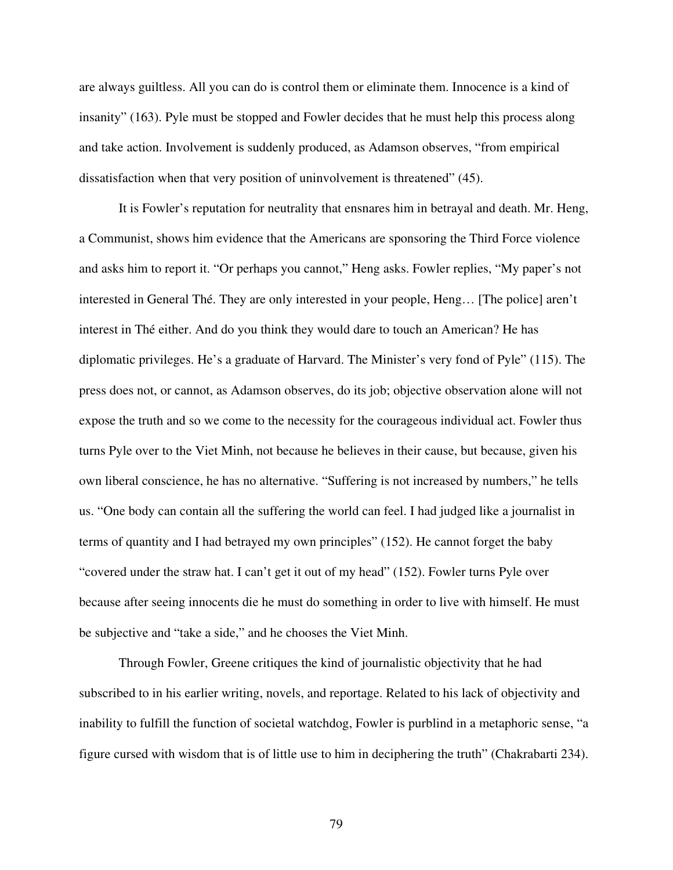are always guiltless. All you can do is control them or eliminate them. Innocence is a kind of insanity" (163). Pyle must be stopped and Fowler decides that he must help this process along and take action. Involvement is suddenly produced, as Adamson observes, "from empirical dissatisfaction when that very position of uninvolvement is threatened" (45).

It is Fowler's reputation for neutrality that ensnares him in betrayal and death. Mr. Heng, a Communist, shows him evidence that the Americans are sponsoring the Third Force violence and asks him to report it. "Or perhaps you cannot," Heng asks. Fowler replies, "My paper's not interested in General Thé. They are only interested in your people, Heng… [The police] aren't interest in Thé either. And do you think they would dare to touch an American? He has diplomatic privileges. He's a graduate of Harvard. The Minister's very fond of Pyle" (115). The press does not, or cannot, as Adamson observes, do its job; objective observation alone will not expose the truth and so we come to the necessity for the courageous individual act. Fowler thus turns Pyle over to the Viet Minh, not because he believes in their cause, but because, given his own liberal conscience, he has no alternative. "Suffering is not increased by numbers," he tells us. "One body can contain all the suffering the world can feel. I had judged like a journalist in terms of quantity and I had betrayed my own principles" (152). He cannot forget the baby "covered under the straw hat. I can't get it out of my head" (152). Fowler turns Pyle over because after seeing innocents die he must do something in order to live with himself. He must be subjective and "take a side," and he chooses the Viet Minh.

Through Fowler, Greene critiques the kind of journalistic objectivity that he had subscribed to in his earlier writing, novels, and reportage. Related to his lack of objectivity and inability to fulfill the function of societal watchdog, Fowler is purblind in a metaphoric sense, "a figure cursed with wisdom that is of little use to him in deciphering the truth" (Chakrabarti 234).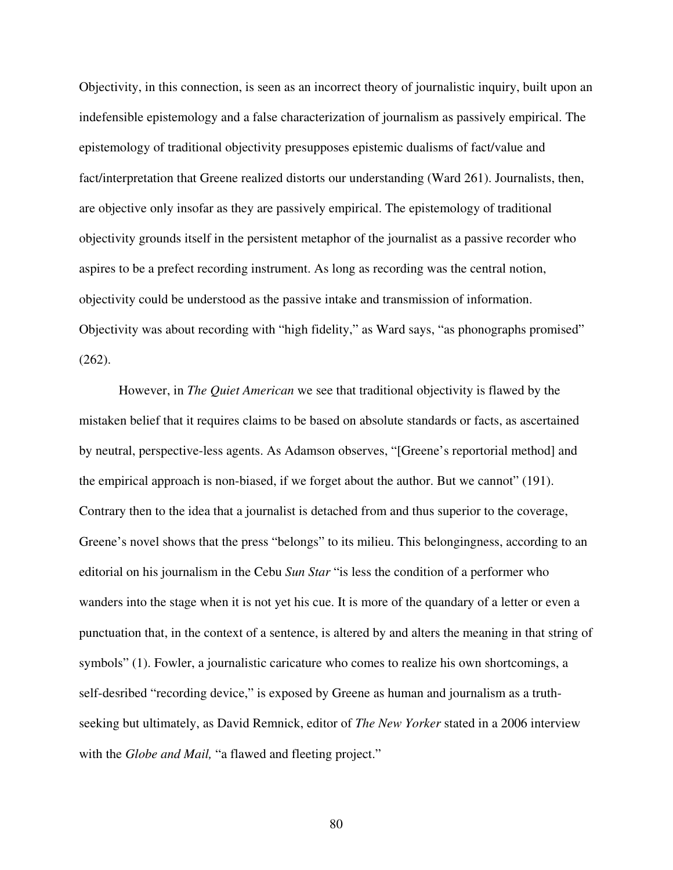Objectivity, in this connection, is seen as an incorrect theory of journalistic inquiry, built upon an indefensible epistemology and a false characterization of journalism as passively empirical. The epistemology of traditional objectivity presupposes epistemic dualisms of fact/value and fact/interpretation that Greene realized distorts our understanding (Ward 261). Journalists, then, are objective only insofar as they are passively empirical. The epistemology of traditional objectivity grounds itself in the persistent metaphor of the journalist as a passive recorder who aspires to be a prefect recording instrument. As long as recording was the central notion, objectivity could be understood as the passive intake and transmission of information. Objectivity was about recording with "high fidelity," as Ward says, "as phonographs promised" (262).

However, in *The Quiet American* we see that traditional objectivity is flawed by the mistaken belief that it requires claims to be based on absolute standards or facts, as ascertained by neutral, perspective-less agents. As Adamson observes, "[Greene's reportorial method] and the empirical approach is non-biased, if we forget about the author. But we cannot" (191). Contrary then to the idea that a journalist is detached from and thus superior to the coverage, Greene's novel shows that the press "belongs" to its milieu. This belongingness, according to an editorial on his journalism in the Cebu *Sun Star* "is less the condition of a performer who wanders into the stage when it is not yet his cue. It is more of the quandary of a letter or even a punctuation that, in the context of a sentence, is altered by and alters the meaning in that string of symbols" (1). Fowler, a journalistic caricature who comes to realize his own shortcomings, a self-desribed "recording device," is exposed by Greene as human and journalism as a truthseeking but ultimately, as David Remnick, editor of *The New Yorker* stated in a 2006 interview with the *Globe and Mail,* "a flawed and fleeting project."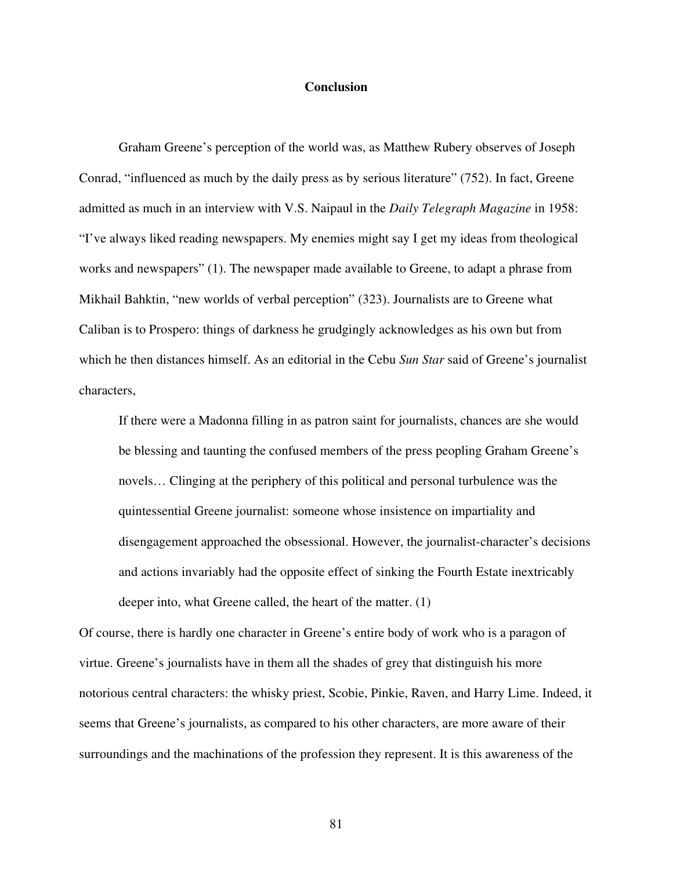## **Conclusion**

Graham Greene's perception of the world was, as Matthew Rubery observes of Joseph Conrad, "influenced as much by the daily press as by serious literature" (752). In fact, Greene admitted as much in an interview with V.S. Naipaul in the *Daily Telegraph Magazine* in 1958: "I've always liked reading newspapers. My enemies might say I get my ideas from theological works and newspapers" (1). The newspaper made available to Greene, to adapt a phrase from Mikhail Bahktin, "new worlds of verbal perception" (323). Journalists are to Greene what Caliban is to Prospero: things of darkness he grudgingly acknowledges as his own but from which he then distances himself. As an editorial in the Cebu *Sun Star* said of Greene's journalist characters,

If there were a Madonna filling in as patron saint for journalists, chances are she would be blessing and taunting the confused members of the press peopling Graham Greene's novels… Clinging at the periphery of this political and personal turbulence was the quintessential Greene journalist: someone whose insistence on impartiality and disengagement approached the obsessional. However, the journalist-character's decisions and actions invariably had the opposite effect of sinking the Fourth Estate inextricably deeper into, what Greene called, the heart of the matter. (1)

Of course, there is hardly one character in Greene's entire body of work who is a paragon of virtue. Greene's journalists have in them all the shades of grey that distinguish his more notorious central characters: the whisky priest, Scobie, Pinkie, Raven, and Harry Lime. Indeed, it seems that Greene's journalists, as compared to his other characters, are more aware of their surroundings and the machinations of the profession they represent. It is this awareness of the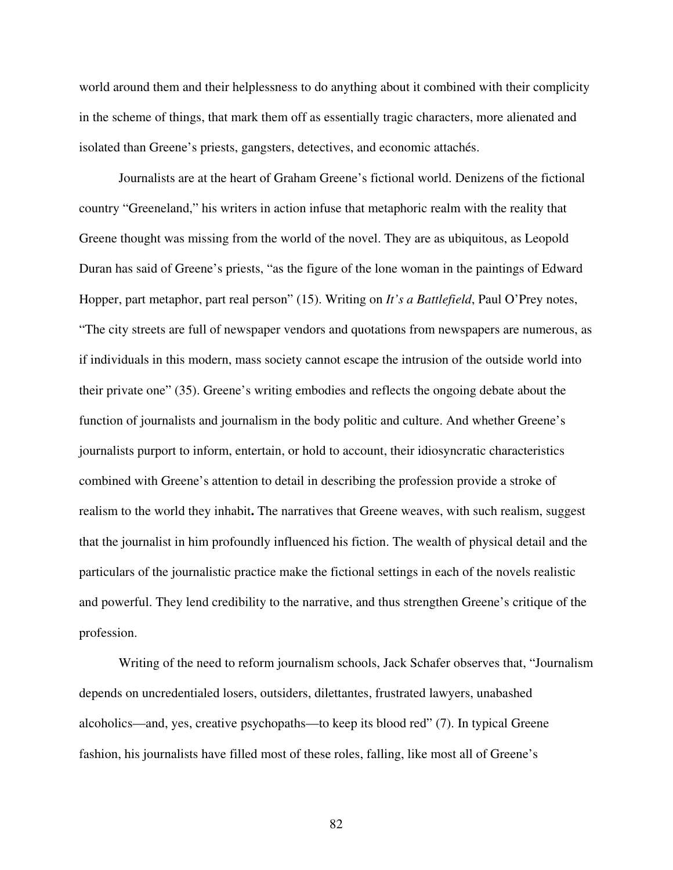world around them and their helplessness to do anything about it combined with their complicity in the scheme of things, that mark them off as essentially tragic characters, more alienated and isolated than Greene's priests, gangsters, detectives, and economic attachés.

Journalists are at the heart of Graham Greene's fictional world. Denizens of the fictional country "Greeneland," his writers in action infuse that metaphoric realm with the reality that Greene thought was missing from the world of the novel. They are as ubiquitous, as Leopold Duran has said of Greene's priests, "as the figure of the lone woman in the paintings of Edward Hopper, part metaphor, part real person" (15). Writing on *It's a Battlefield*, Paul O'Prey notes, "The city streets are full of newspaper vendors and quotations from newspapers are numerous, as if individuals in this modern, mass society cannot escape the intrusion of the outside world into their private one" (35). Greene's writing embodies and reflects the ongoing debate about the function of journalists and journalism in the body politic and culture. And whether Greene's journalists purport to inform, entertain, or hold to account, their idiosyncratic characteristics combined with Greene's attention to detail in describing the profession provide a stroke of realism to the world they inhabit**.** The narratives that Greene weaves, with such realism, suggest that the journalist in him profoundly influenced his fiction. The wealth of physical detail and the particulars of the journalistic practice make the fictional settings in each of the novels realistic and powerful. They lend credibility to the narrative, and thus strengthen Greene's critique of the profession.

Writing of the need to reform journalism schools, Jack Schafer observes that, "Journalism depends on uncredentialed losers, outsiders, dilettantes, frustrated lawyers, unabashed alcoholics—and, yes, creative psychopaths—to keep its blood red" (7). In typical Greene fashion, his journalists have filled most of these roles, falling, like most all of Greene's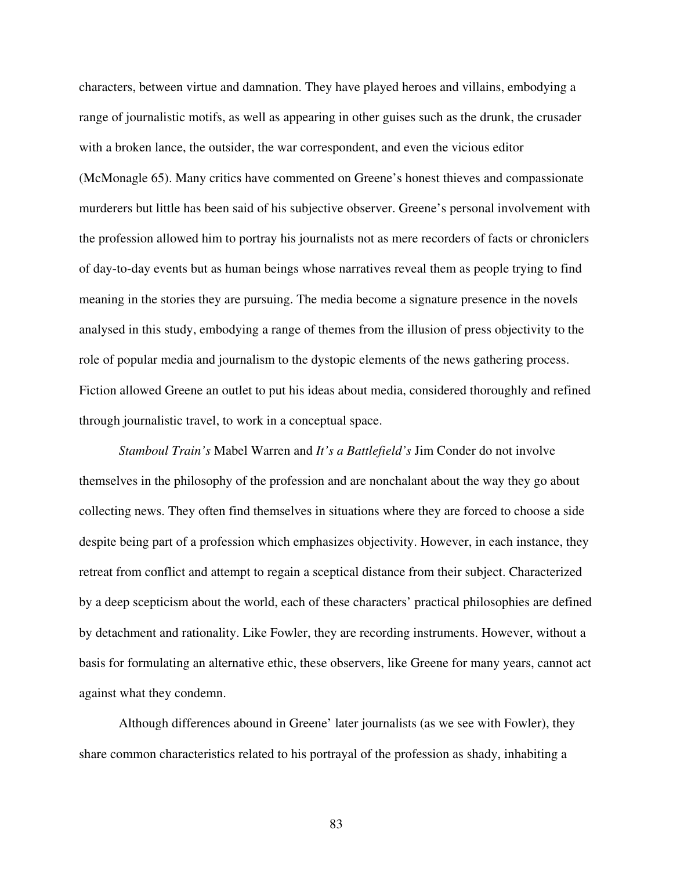characters, between virtue and damnation. They have played heroes and villains, embodying a range of journalistic motifs, as well as appearing in other guises such as the drunk, the crusader with a broken lance, the outsider, the war correspondent, and even the vicious editor (McMonagle 65). Many critics have commented on Greene's honest thieves and compassionate murderers but little has been said of his subjective observer. Greene's personal involvement with the profession allowed him to portray his journalists not as mere recorders of facts or chroniclers of day-to-day events but as human beings whose narratives reveal them as people trying to find meaning in the stories they are pursuing. The media become a signature presence in the novels analysed in this study, embodying a range of themes from the illusion of press objectivity to the role of popular media and journalism to the dystopic elements of the news gathering process. Fiction allowed Greene an outlet to put his ideas about media, considered thoroughly and refined through journalistic travel, to work in a conceptual space.

*Stamboul Train's* Mabel Warren and *It's a Battlefield's* Jim Conder do not involve themselves in the philosophy of the profession and are nonchalant about the way they go about collecting news. They often find themselves in situations where they are forced to choose a side despite being part of a profession which emphasizes objectivity. However, in each instance, they retreat from conflict and attempt to regain a sceptical distance from their subject. Characterized by a deep scepticism about the world, each of these characters' practical philosophies are defined by detachment and rationality. Like Fowler, they are recording instruments. However, without a basis for formulating an alternative ethic, these observers, like Greene for many years, cannot act against what they condemn.

Although differences abound in Greene' later journalists (as we see with Fowler), they share common characteristics related to his portrayal of the profession as shady, inhabiting a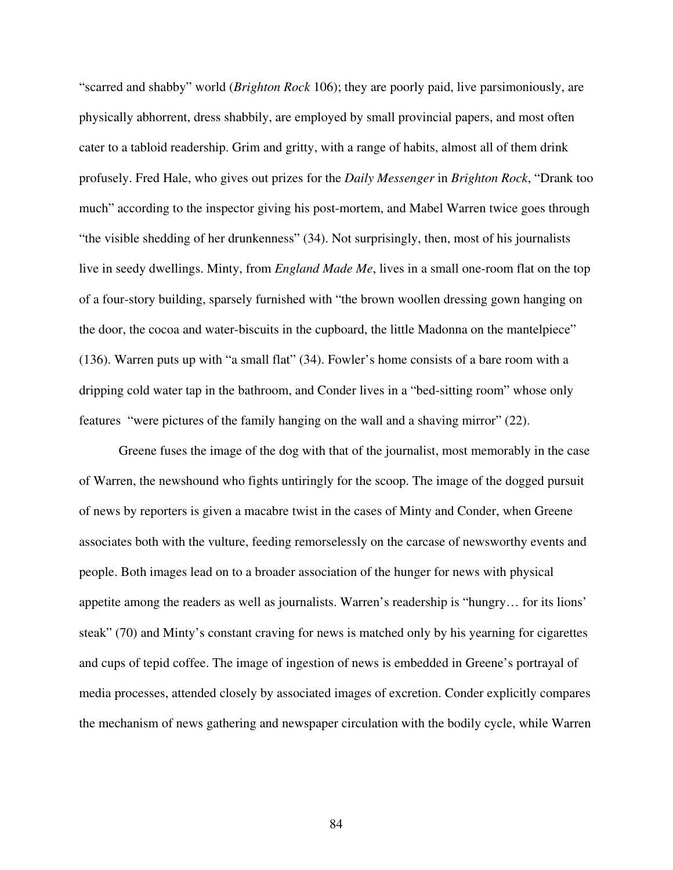"scarred and shabby" world (*Brighton Rock* 106); they are poorly paid, live parsimoniously, are physically abhorrent, dress shabbily, are employed by small provincial papers, and most often cater to a tabloid readership. Grim and gritty, with a range of habits, almost all of them drink profusely. Fred Hale, who gives out prizes for the *Daily Messenger* in *Brighton Rock*, "Drank too much" according to the inspector giving his post-mortem, and Mabel Warren twice goes through "the visible shedding of her drunkenness" (34). Not surprisingly, then, most of his journalists live in seedy dwellings. Minty, from *England Made Me*, lives in a small one-room flat on the top of a four-story building, sparsely furnished with "the brown woollen dressing gown hanging on the door, the cocoa and water-biscuits in the cupboard, the little Madonna on the mantelpiece" (136). Warren puts up with "a small flat" (34). Fowler's home consists of a bare room with a dripping cold water tap in the bathroom, and Conder lives in a "bed-sitting room" whose only features "were pictures of the family hanging on the wall and a shaving mirror" (22).

Greene fuses the image of the dog with that of the journalist, most memorably in the case of Warren, the newshound who fights untiringly for the scoop. The image of the dogged pursuit of news by reporters is given a macabre twist in the cases of Minty and Conder, when Greene associates both with the vulture, feeding remorselessly on the carcase of newsworthy events and people. Both images lead on to a broader association of the hunger for news with physical appetite among the readers as well as journalists. Warren's readership is "hungry… for its lions' steak" (70) and Minty's constant craving for news is matched only by his yearning for cigarettes and cups of tepid coffee. The image of ingestion of news is embedded in Greene's portrayal of media processes, attended closely by associated images of excretion. Conder explicitly compares the mechanism of news gathering and newspaper circulation with the bodily cycle, while Warren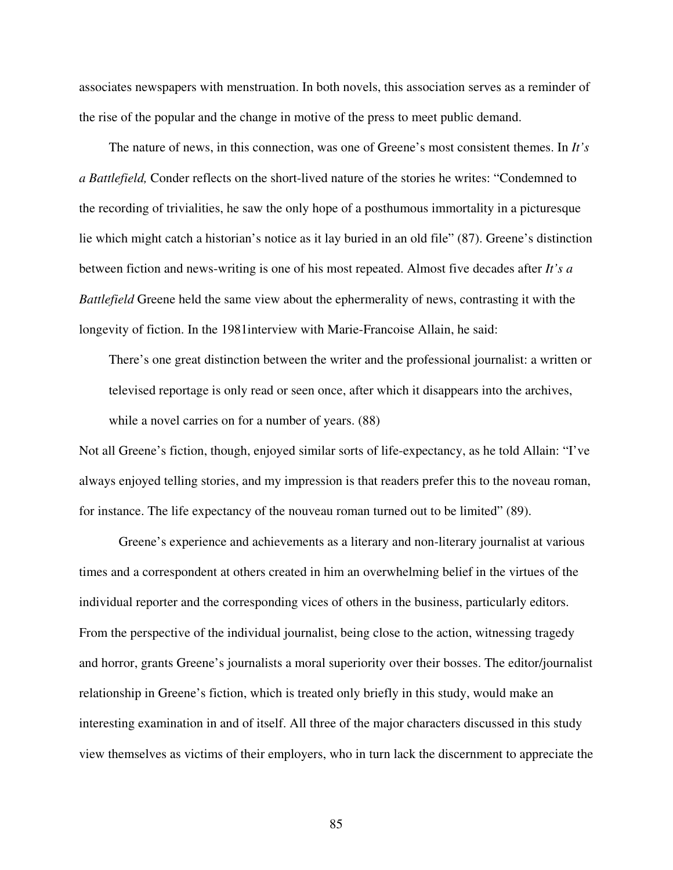associates newspapers with menstruation. In both novels, this association serves as a reminder of the rise of the popular and the change in motive of the press to meet public demand.

The nature of news, in this connection, was one of Greene's most consistent themes. In *It's a Battlefield,* Conder reflects on the short-lived nature of the stories he writes: "Condemned to the recording of trivialities, he saw the only hope of a posthumous immortality in a picturesque lie which might catch a historian's notice as it lay buried in an old file" (87). Greene's distinction between fiction and news-writing is one of his most repeated. Almost five decades after *It's a Battlefield* Greene held the same view about the ephermerality of news, contrasting it with the longevity of fiction. In the 1981interview with Marie-Francoise Allain, he said:

There's one great distinction between the writer and the professional journalist: a written or televised reportage is only read or seen once, after which it disappears into the archives, while a novel carries on for a number of years. (88)

Not all Greene's fiction, though, enjoyed similar sorts of life-expectancy, as he told Allain: "I've always enjoyed telling stories, and my impression is that readers prefer this to the noveau roman, for instance. The life expectancy of the nouveau roman turned out to be limited" (89).

Greene's experience and achievements as a literary and non-literary journalist at various times and a correspondent at others created in him an overwhelming belief in the virtues of the individual reporter and the corresponding vices of others in the business, particularly editors. From the perspective of the individual journalist, being close to the action, witnessing tragedy and horror, grants Greene's journalists a moral superiority over their bosses. The editor/journalist relationship in Greene's fiction, which is treated only briefly in this study, would make an interesting examination in and of itself. All three of the major characters discussed in this study view themselves as victims of their employers, who in turn lack the discernment to appreciate the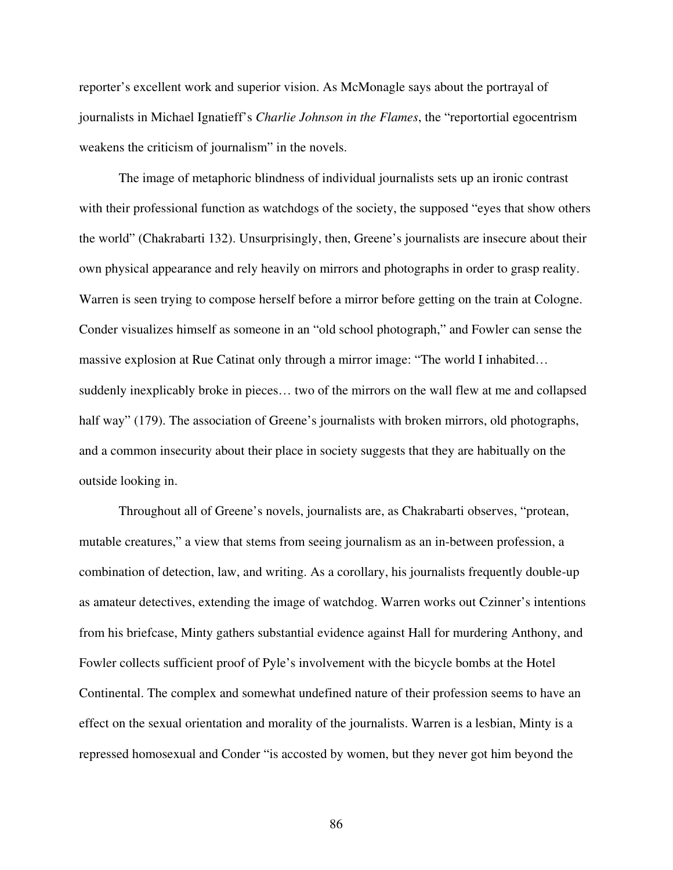reporter's excellent work and superior vision. As McMonagle says about the portrayal of journalists in Michael Ignatieff's *Charlie Johnson in the Flames*, the "reportortial egocentrism weakens the criticism of journalism" in the novels.

The image of metaphoric blindness of individual journalists sets up an ironic contrast with their professional function as watchdogs of the society, the supposed "eyes that show others the world" (Chakrabarti 132). Unsurprisingly, then, Greene's journalists are insecure about their own physical appearance and rely heavily on mirrors and photographs in order to grasp reality. Warren is seen trying to compose herself before a mirror before getting on the train at Cologne. Conder visualizes himself as someone in an "old school photograph," and Fowler can sense the massive explosion at Rue Catinat only through a mirror image: "The world I inhabited… suddenly inexplicably broke in pieces… two of the mirrors on the wall flew at me and collapsed half way" (179). The association of Greene's journalists with broken mirrors, old photographs, and a common insecurity about their place in society suggests that they are habitually on the outside looking in.

Throughout all of Greene's novels, journalists are, as Chakrabarti observes, "protean, mutable creatures," a view that stems from seeing journalism as an in-between profession, a combination of detection, law, and writing. As a corollary, his journalists frequently double-up as amateur detectives, extending the image of watchdog. Warren works out Czinner's intentions from his briefcase, Minty gathers substantial evidence against Hall for murdering Anthony, and Fowler collects sufficient proof of Pyle's involvement with the bicycle bombs at the Hotel Continental. The complex and somewhat undefined nature of their profession seems to have an effect on the sexual orientation and morality of the journalists. Warren is a lesbian, Minty is a repressed homosexual and Conder "is accosted by women, but they never got him beyond the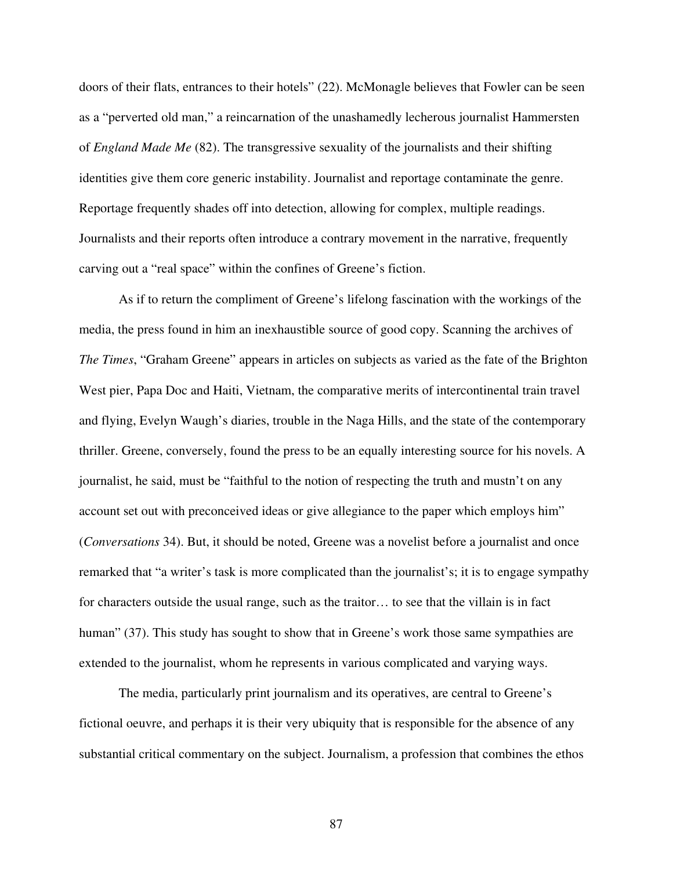doors of their flats, entrances to their hotels" (22). McMonagle believes that Fowler can be seen as a "perverted old man," a reincarnation of the unashamedly lecherous journalist Hammersten of *England Made Me* (82). The transgressive sexuality of the journalists and their shifting identities give them core generic instability. Journalist and reportage contaminate the genre. Reportage frequently shades off into detection, allowing for complex, multiple readings. Journalists and their reports often introduce a contrary movement in the narrative, frequently carving out a "real space" within the confines of Greene's fiction.

As if to return the compliment of Greene's lifelong fascination with the workings of the media, the press found in him an inexhaustible source of good copy. Scanning the archives of *The Times*, "Graham Greene" appears in articles on subjects as varied as the fate of the Brighton West pier, Papa Doc and Haiti, Vietnam, the comparative merits of intercontinental train travel and flying, Evelyn Waugh's diaries, trouble in the Naga Hills, and the state of the contemporary thriller. Greene, conversely, found the press to be an equally interesting source for his novels. A journalist, he said, must be "faithful to the notion of respecting the truth and mustn't on any account set out with preconceived ideas or give allegiance to the paper which employs him" (*Conversations* 34). But, it should be noted, Greene was a novelist before a journalist and once remarked that "a writer's task is more complicated than the journalist's; it is to engage sympathy for characters outside the usual range, such as the traitor… to see that the villain is in fact human" (37). This study has sought to show that in Greene's work those same sympathies are extended to the journalist, whom he represents in various complicated and varying ways.

The media, particularly print journalism and its operatives, are central to Greene's fictional oeuvre, and perhaps it is their very ubiquity that is responsible for the absence of any substantial critical commentary on the subject. Journalism, a profession that combines the ethos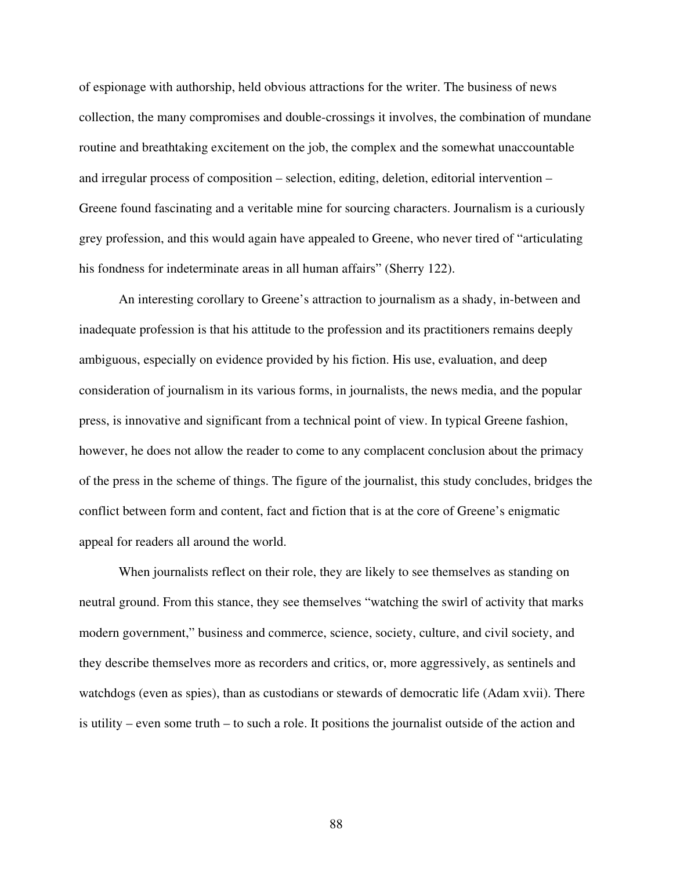of espionage with authorship, held obvious attractions for the writer. The business of news collection, the many compromises and double-crossings it involves, the combination of mundane routine and breathtaking excitement on the job, the complex and the somewhat unaccountable and irregular process of composition – selection, editing, deletion, editorial intervention – Greene found fascinating and a veritable mine for sourcing characters. Journalism is a curiously grey profession, and this would again have appealed to Greene, who never tired of "articulating his fondness for indeterminate areas in all human affairs" (Sherry 122).

An interesting corollary to Greene's attraction to journalism as a shady, in-between and inadequate profession is that his attitude to the profession and its practitioners remains deeply ambiguous, especially on evidence provided by his fiction. His use, evaluation, and deep consideration of journalism in its various forms, in journalists, the news media, and the popular press, is innovative and significant from a technical point of view. In typical Greene fashion, however, he does not allow the reader to come to any complacent conclusion about the primacy of the press in the scheme of things. The figure of the journalist, this study concludes, bridges the conflict between form and content, fact and fiction that is at the core of Greene's enigmatic appeal for readers all around the world.

When journalists reflect on their role, they are likely to see themselves as standing on neutral ground. From this stance, they see themselves "watching the swirl of activity that marks modern government," business and commerce, science, society, culture, and civil society, and they describe themselves more as recorders and critics, or, more aggressively, as sentinels and watchdogs (even as spies), than as custodians or stewards of democratic life (Adam xvii). There is utility – even some truth – to such a role. It positions the journalist outside of the action and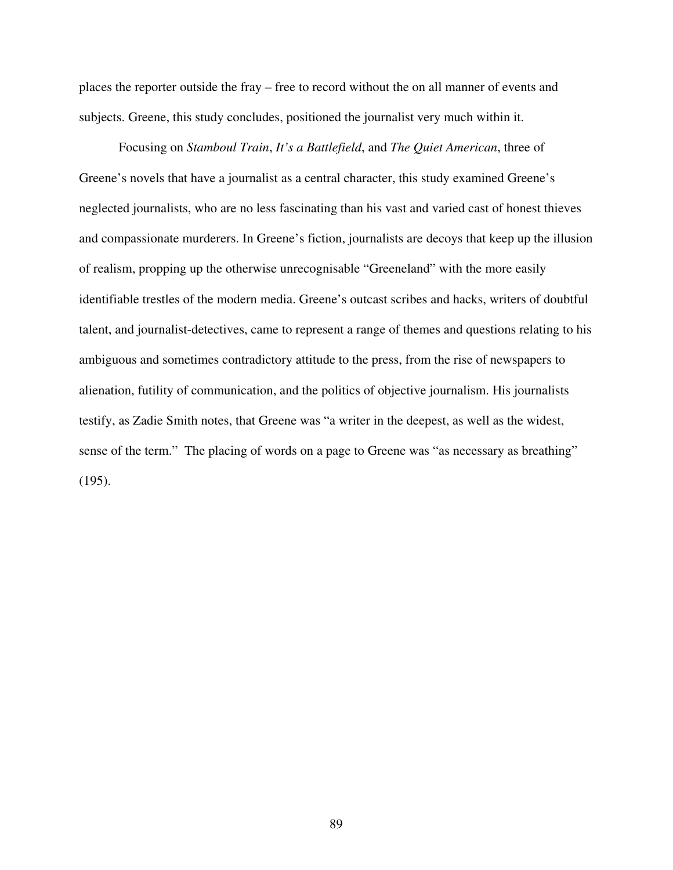places the reporter outside the fray – free to record without the on all manner of events and subjects. Greene, this study concludes, positioned the journalist very much within it.

Focusing on *Stamboul Train*, *It's a Battlefield*, and *The Quiet American*, three of Greene's novels that have a journalist as a central character, this study examined Greene's neglected journalists, who are no less fascinating than his vast and varied cast of honest thieves and compassionate murderers. In Greene's fiction, journalists are decoys that keep up the illusion of realism, propping up the otherwise unrecognisable "Greeneland" with the more easily identifiable trestles of the modern media. Greene's outcast scribes and hacks, writers of doubtful talent, and journalist-detectives, came to represent a range of themes and questions relating to his ambiguous and sometimes contradictory attitude to the press, from the rise of newspapers to alienation, futility of communication, and the politics of objective journalism. His journalists testify, as Zadie Smith notes, that Greene was "a writer in the deepest, as well as the widest, sense of the term." The placing of words on a page to Greene was "as necessary as breathing" (195).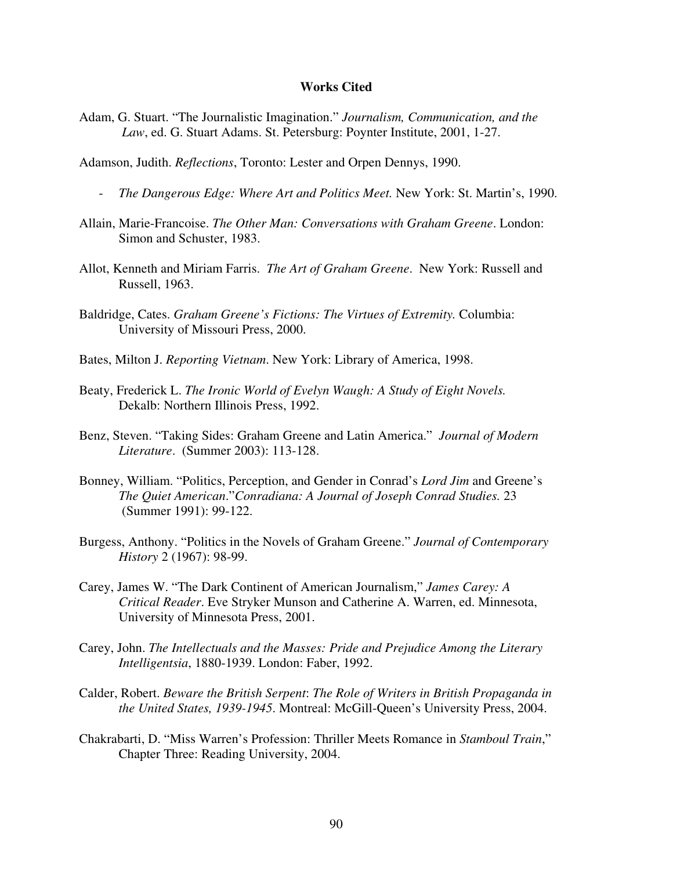## **Works Cited**

- Adam, G. Stuart. "The Journalistic Imagination." *Journalism, Communication, and the Law*, ed. G. Stuart Adams. St. Petersburg: Poynter Institute, 2001, 1-27.
- Adamson, Judith. *Reflections*, Toronto: Lester and Orpen Dennys, 1990.
	- *The Dangerous Edge: Where Art and Politics Meet.* New York: St. Martin's, 1990.
- Allain, Marie-Francoise. *The Other Man: Conversations with Graham Greene*. London: Simon and Schuster, 1983.
- Allot, Kenneth and Miriam Farris. *The Art of Graham Greene*. New York: Russell and Russell, 1963.
- Baldridge, Cates. *Graham Greene's Fictions: The Virtues of Extremity.* Columbia: University of Missouri Press, 2000.
- Bates, Milton J. *Reporting Vietnam*. New York: Library of America, 1998.
- Beaty, Frederick L. *The Ironic World of Evelyn Waugh: A Study of Eight Novels.* Dekalb: Northern Illinois Press, 1992.
- Benz, Steven. "Taking Sides: Graham Greene and Latin America." *Journal of Modern Literature*. (Summer 2003): 113-128.
- Bonney, William. "Politics, Perception, and Gender in Conrad's *Lord Jim* and Greene's *The Quiet American*."*Conradiana: A Journal of Joseph Conrad Studies.* 23 (Summer 1991): 99-122.
- Burgess, Anthony. "Politics in the Novels of Graham Greene." *Journal of Contemporary History* 2 (1967): 98-99.
- Carey, James W. "The Dark Continent of American Journalism," *James Carey: A Critical Reader*. Eve Stryker Munson and Catherine A. Warren, ed. Minnesota, University of Minnesota Press, 2001.
- Carey, John. *The Intellectuals and the Masses: Pride and Prejudice Among the Literary Intelligentsia*, 1880-1939. London: Faber, 1992.
- Calder, Robert. *Beware the British Serpent*: *The Role of Writers in British Propaganda in the United States, 1939-1945*. Montreal: McGill-Queen's University Press, 2004.
- Chakrabarti, D. "Miss Warren's Profession: Thriller Meets Romance in *Stamboul Train*," Chapter Three: Reading University, 2004.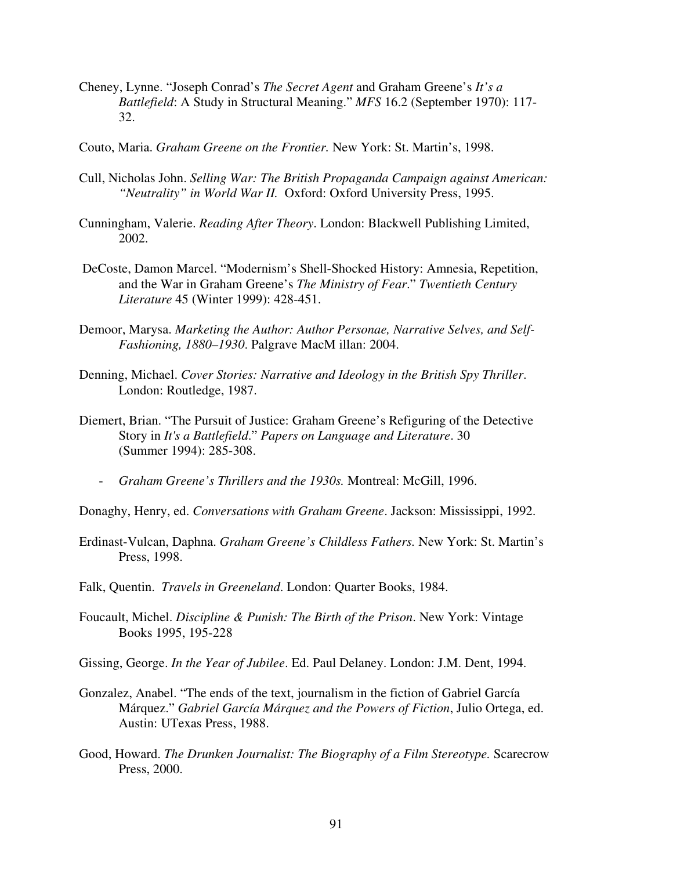- Cheney, Lynne. "Joseph Conrad's *The Secret Agent* and Graham Greene's *It's a Battlefield*: A Study in Structural Meaning." *MFS* 16.2 (September 1970): 117- 32.
- Couto, Maria. *Graham Greene on the Frontier.* New York: St. Martin's, 1998.
- Cull, Nicholas John. *Selling War: The British Propaganda Campaign against American: "Neutrality" in World War II.* Oxford: Oxford University Press, 1995.
- Cunningham, Valerie. *Reading After Theory*. London: Blackwell Publishing Limited, 2002.
- DeCoste, Damon Marcel. "Modernism's Shell-Shocked History: Amnesia, Repetition, and the War in Graham Greene's *The Ministry of Fear*." *Twentieth Century Literature* 45 (Winter 1999): 428-451.
- Demoor, Marysa. *Marketing the Author: Author Personae, Narrative Selves, and Self-Fashioning, 1880–1930*. Palgrave MacM illan: 2004.
- Denning, Michael. *Cover Stories: Narrative and Ideology in the British Spy Thriller*. London: Routledge, 1987.
- Diemert, Brian. "The Pursuit of Justice: Graham Greene's Refiguring of the Detective Story in *It's a Battlefield*." *Papers on Language and Literature*. 30 (Summer 1994): 285-308.
	- *Graham Greene's Thrillers and the 1930s.* Montreal: McGill, 1996.
- Donaghy, Henry, ed. *Conversations with Graham Greene*. Jackson: Mississippi, 1992.
- Erdinast-Vulcan, Daphna. *Graham Greene's Childless Fathers.* New York: St. Martin's Press, 1998.
- Falk, Quentin. *Travels in Greeneland*. London: Quarter Books, 1984.
- Foucault, Michel. *Discipline & Punish: The Birth of the Prison*. New York: Vintage Books 1995, 195-228
- Gissing, George. *In the Year of Jubilee*. Ed. Paul Delaney. London: J.M. Dent, 1994.
- Gonzalez, Anabel. "The ends of the text, journalism in the fiction of Gabriel García Márquez." *Gabriel García Márquez and the Powers of Fiction*, Julio Ortega, ed. Austin: UTexas Press, 1988.
- Good, Howard. *The Drunken Journalist: The Biography of a Film Stereotype.* Scarecrow Press, 2000.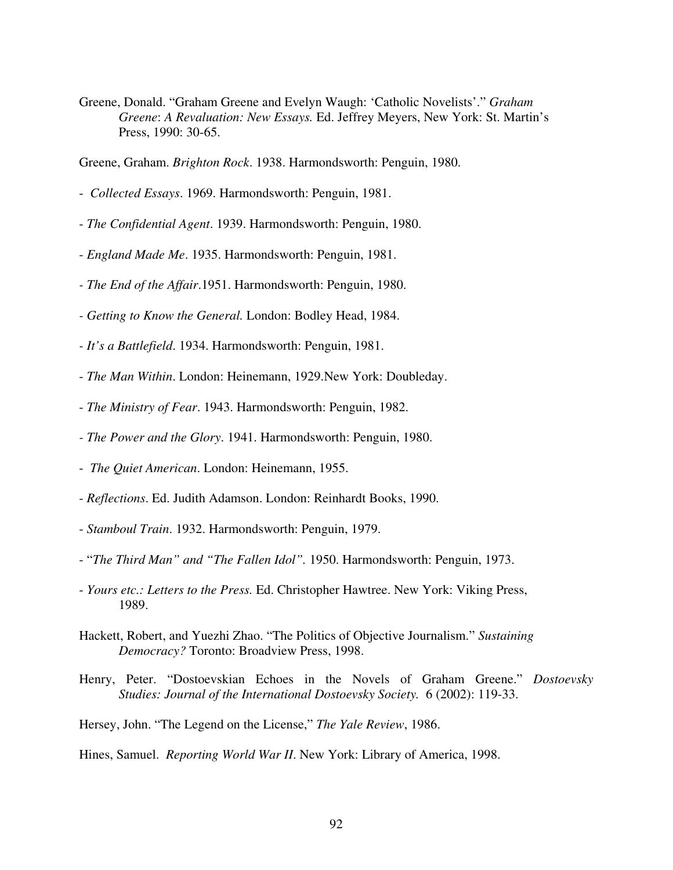Greene, Donald. "Graham Greene and Evelyn Waugh: 'Catholic Novelists'." *Graham Greene*: *A Revaluation: New Essays.* Ed. Jeffrey Meyers, New York: St. Martin's Press, 1990: 30-65.

Greene, Graham. *Brighton Rock*. 1938. Harmondsworth: Penguin, 1980.

- *Collected Essays*. 1969. Harmondsworth: Penguin, 1981.
- *The Confidential Agent*. 1939. Harmondsworth: Penguin, 1980.
- *England Made Me*. 1935. Harmondsworth: Penguin, 1981.
- *- The End of the Affair*.1951. Harmondsworth: Penguin, 1980.
- *- Getting to Know the General.* London: Bodley Head, 1984.
- *- It's a Battlefield*. 1934. Harmondsworth: Penguin, 1981.
- *The Man Within*. London: Heinemann, 1929.New York: Doubleday.
- *The Ministry of Fear*. 1943. Harmondsworth: Penguin, 1982.
- *- The Power and the Glory*. 1941. Harmondsworth: Penguin, 1980.
- *The Quiet American*. London: Heinemann, 1955.
- *Reflections*. Ed. Judith Adamson. London: Reinhardt Books, 1990.
- *Stamboul Train*. 1932. Harmondsworth: Penguin, 1979.
- "*The Third Man" and "The Fallen Idol".* 1950. Harmondsworth: Penguin, 1973.
- *Yours etc.: Letters to the Press.* Ed. Christopher Hawtree. New York: Viking Press, 1989.
- Hackett, Robert, and Yuezhi Zhao. "The Politics of Objective Journalism." *Sustaining Democracy?* Toronto: Broadview Press, 1998.
- Henry, Peter. "Dostoevskian Echoes in the Novels of Graham Greene." *Dostoevsky Studies: Journal of the International Dostoevsky Society.* 6 (2002): 119-33.
- Hersey, John. "The Legend on the License," *The Yale Review*, 1986.

## Hines, Samuel. *Reporting World War II*. New York: Library of America, 1998.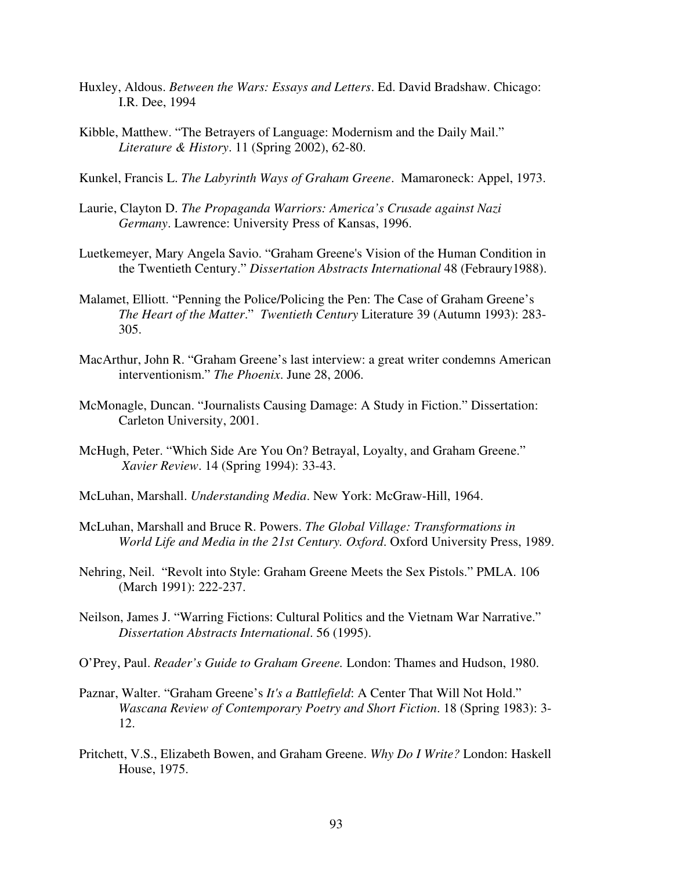- Huxley, Aldous. *Between the Wars: Essays and Letters*. Ed. David Bradshaw. Chicago: I.R. Dee, 1994
- Kibble, Matthew. "The Betrayers of Language: Modernism and the Daily Mail." *Literature & History*. 11 (Spring 2002), 62-80.
- Kunkel, Francis L. *The Labyrinth Ways of Graham Greene*. Mamaroneck: Appel, 1973.
- Laurie, Clayton D. *The Propaganda Warriors: America's Crusade against Nazi Germany*. Lawrence: University Press of Kansas, 1996.
- Luetkemeyer, Mary Angela Savio. "Graham Greene's Vision of the Human Condition in the Twentieth Century." *Dissertation Abstracts International* 48 (Febraury1988).
- Malamet, Elliott. "Penning the Police/Policing the Pen: The Case of Graham Greene's *The Heart of the Matter*." *Twentieth Century* Literature 39 (Autumn 1993): 283- 305.
- MacArthur, John R. "Graham Greene's last interview: a great writer condemns American interventionism." *The Phoenix*. June 28, 2006.
- McMonagle, Duncan. "Journalists Causing Damage: A Study in Fiction." Dissertation: Carleton University, 2001.
- McHugh, Peter. "Which Side Are You On? Betrayal, Loyalty, and Graham Greene." *Xavier Review*. 14 (Spring 1994): 33-43.
- McLuhan, Marshall. *Understanding Media*. New York: McGraw-Hill, 1964.
- McLuhan, Marshall and Bruce R. Powers. *The Global Village: Transformations in World Life and Media in the 21st Century. Oxford*. Oxford University Press, 1989.
- Nehring, Neil. "Revolt into Style: Graham Greene Meets the Sex Pistols." PMLA. 106 (March 1991): 222-237.
- Neilson, James J. "Warring Fictions: Cultural Politics and the Vietnam War Narrative." *Dissertation Abstracts International*. 56 (1995).
- O'Prey, Paul. *Reader's Guide to Graham Greene.* London: Thames and Hudson, 1980.
- Paznar, Walter. "Graham Greene's *It's a Battlefield*: A Center That Will Not Hold." *Wascana Review of Contemporary Poetry and Short Fiction*. 18 (Spring 1983): 3- 12.
- Pritchett, V.S., Elizabeth Bowen, and Graham Greene. *Why Do I Write?* London: Haskell House, 1975.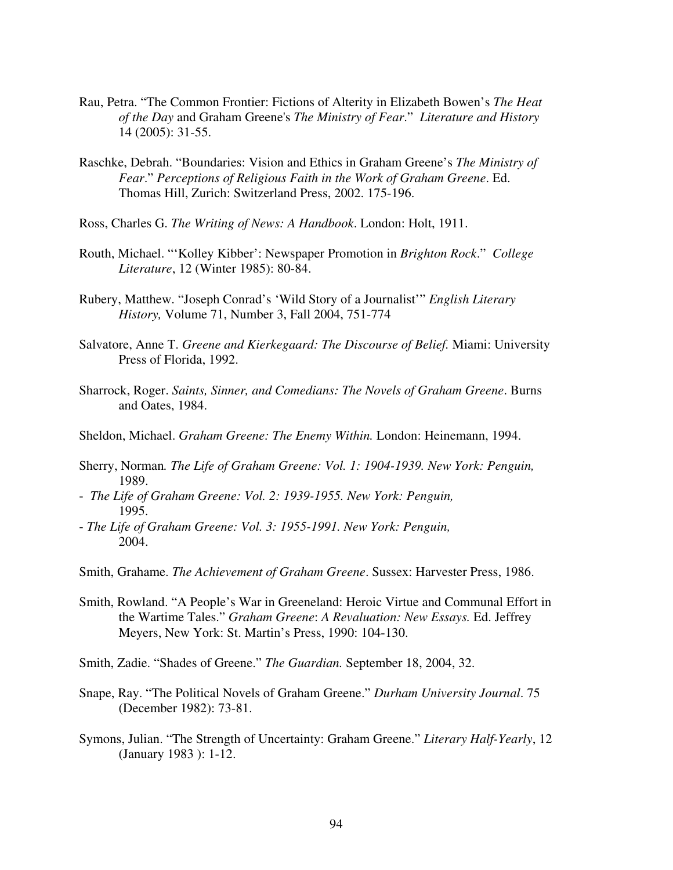- Rau, Petra. "The Common Frontier: Fictions of Alterity in Elizabeth Bowen's *The Heat of the Day* and Graham Greene's *The Ministry of Fear*." *Literature and History* 14 (2005): 31-55.
- Raschke, Debrah. "Boundaries: Vision and Ethics in Graham Greene's *The Ministry of Fear*." *Perceptions of Religious Faith in the Work of Graham Greene*. Ed. Thomas Hill, Zurich: Switzerland Press, 2002. 175-196.
- Ross, Charles G. *The Writing of News: A Handbook*. London: Holt, 1911.
- Routh, Michael. "'Kolley Kibber': Newspaper Promotion in *Brighton Rock*." *College Literature*, 12 (Winter 1985): 80-84.
- Rubery, Matthew. "Joseph Conrad's 'Wild Story of a Journalist'" *English Literary History,* Volume 71, Number 3, Fall 2004, 751-774
- Salvatore, Anne T. *Greene and Kierkegaard: The Discourse of Belief.* Miami: University Press of Florida, 1992.
- Sharrock, Roger. *Saints, Sinner, and Comedians: The Novels of Graham Greene*. Burns and Oates, 1984.
- Sheldon, Michael. *Graham Greene: The Enemy Within.* London: Heinemann, 1994.
- Sherry, Norman*. The Life of Graham Greene: Vol. 1: 1904-1939. New York: Penguin,* 1989.
- *The Life of Graham Greene: Vol. 2: 1939-1955. New York: Penguin,* 1995.
- *The Life of Graham Greene: Vol. 3: 1955-1991. New York: Penguin,* 2004.
- Smith, Grahame. *The Achievement of Graham Greene*. Sussex: Harvester Press, 1986.
- Smith, Rowland. "A People's War in Greeneland: Heroic Virtue and Communal Effort in the Wartime Tales." *Graham Greene*: *A Revaluation: New Essays.* Ed. Jeffrey Meyers, New York: St. Martin's Press, 1990: 104-130.
- Smith, Zadie. "Shades of Greene." *The Guardian.* September 18, 2004, 32.
- Snape, Ray. "The Political Novels of Graham Greene." *Durham University Journal*. 75 (December 1982): 73-81.
- Symons, Julian. "The Strength of Uncertainty: Graham Greene." *Literary Half-Yearly*, 12 (January 1983 ): 1-12.